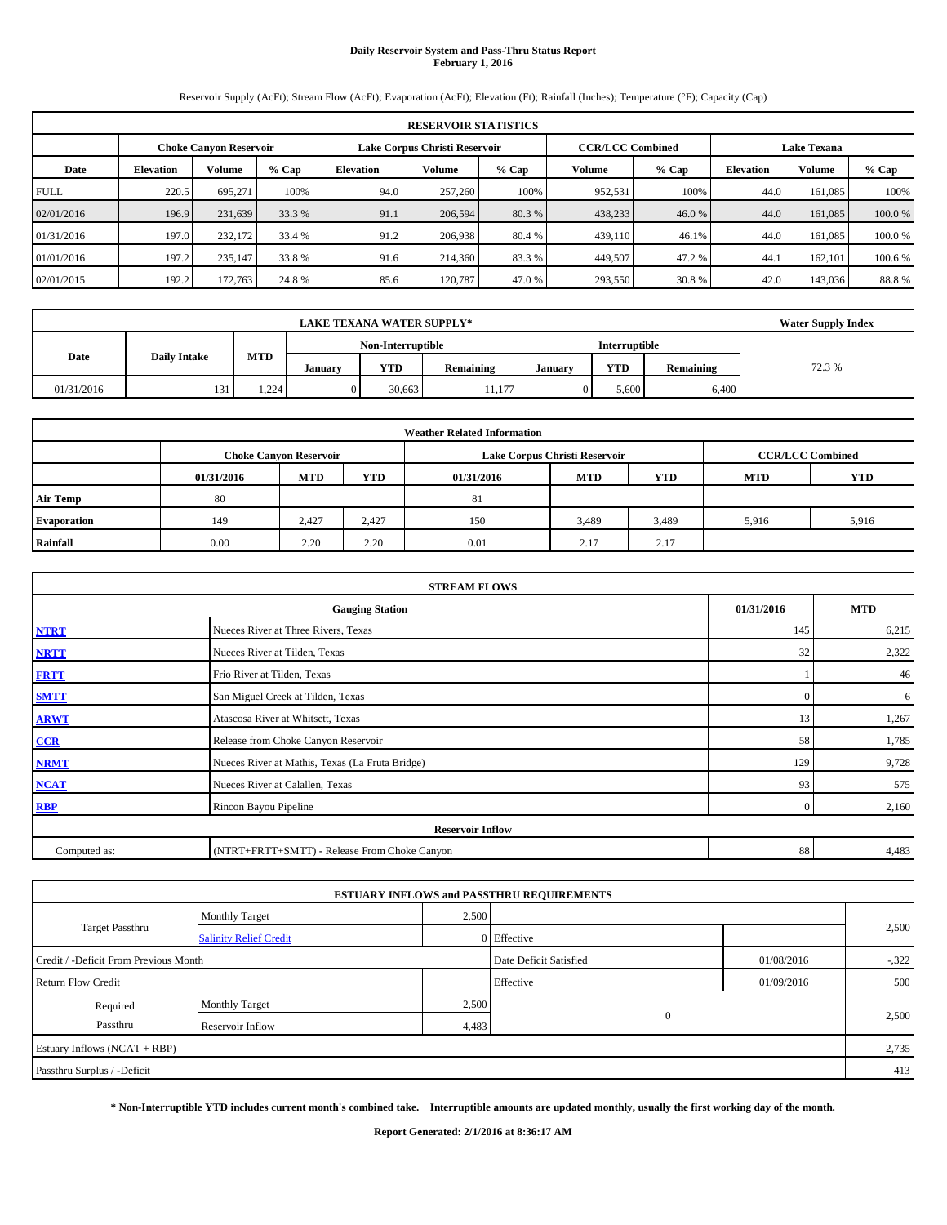# **Daily Reservoir System and Pass-Thru Status Report February 1, 2016**

Reservoir Supply (AcFt); Stream Flow (AcFt); Evaporation (AcFt); Elevation (Ft); Rainfall (Inches); Temperature (°F); Capacity (Cap)

|             | <b>RESERVOIR STATISTICS</b>                                                                                     |         |         |                  |         |         |         |         |                  |               |        |  |  |
|-------------|-----------------------------------------------------------------------------------------------------------------|---------|---------|------------------|---------|---------|---------|---------|------------------|---------------|--------|--|--|
|             | Lake Corpus Christi Reservoir<br><b>CCR/LCC Combined</b><br><b>Lake Texana</b><br><b>Choke Canyon Reservoir</b> |         |         |                  |         |         |         |         |                  |               |        |  |  |
| Date        | <b>Elevation</b>                                                                                                | Volume  | $%$ Cap | <b>Elevation</b> | Volume  | $%$ Cap | Volume  | $%$ Cap | <b>Elevation</b> | <b>Volume</b> | % Cap  |  |  |
| <b>FULL</b> | 220.5                                                                                                           | 695.271 | 100%    | 94.0             | 257,260 | 100%    | 952,531 | 100%    | 44.0             | 161,085       | 100%   |  |  |
| 02/01/2016  | 196.9                                                                                                           | 231,639 | 33.3 %  | 91.1             | 206,594 | 80.3 %  | 438,233 | 46.0%   | 44.0             | 161,085       | 100.0% |  |  |
| 01/31/2016  | 197.0                                                                                                           | 232,172 | 33.4 %  | 91.2             | 206.938 | 80.4 %  | 439,110 | 46.1%   | 44.0             | 161.085       | 100.0% |  |  |
| 01/01/2016  | 197.2                                                                                                           | 235,147 | 33.8 %  | 91.6             | 214,360 | 83.3 %  | 449,507 | 47.2%   | 44.1             | 162,101       | 100.6% |  |  |
| 02/01/2015  | 192.2                                                                                                           | 172,763 | 24.8%   | 85.6             | 120.787 | 47.0 %  | 293,550 | 30.8%   | 42.0             | 143,036       | 88.8%  |  |  |

|            | <b>LAKE TEXANA WATER SUPPLY*</b>                                                                       |       |  |                   |        |        |                      |       |  |  |  |  |
|------------|--------------------------------------------------------------------------------------------------------|-------|--|-------------------|--------|--------|----------------------|-------|--|--|--|--|
|            |                                                                                                        |       |  | Non-Interruptible |        |        | <b>Interruptible</b> |       |  |  |  |  |
| Date       | <b>MTD</b><br><b>Daily Intake</b><br><b>YTD</b><br>YTD<br>Remaining<br>Remaining<br>Januarv<br>January |       |  |                   |        | 72.3 % |                      |       |  |  |  |  |
| 01/31/2016 | 131                                                                                                    | 1,224 |  | 30.663            | 11.177 |        | 5,600                | 6,400 |  |  |  |  |

| <b>Weather Related Information</b> |                                                                                                              |                               |       |      |                               |                         |       |       |  |  |  |
|------------------------------------|--------------------------------------------------------------------------------------------------------------|-------------------------------|-------|------|-------------------------------|-------------------------|-------|-------|--|--|--|
|                                    |                                                                                                              | <b>Choke Canyon Reservoir</b> |       |      | Lake Corpus Christi Reservoir | <b>CCR/LCC Combined</b> |       |       |  |  |  |
|                                    | <b>MTD</b><br><b>YTD</b><br><b>YTD</b><br><b>YTD</b><br><b>MTD</b><br><b>MTD</b><br>01/31/2016<br>01/31/2016 |                               |       |      |                               |                         |       |       |  |  |  |
| <b>Air Temp</b>                    | 80                                                                                                           |                               |       | 81   |                               |                         |       |       |  |  |  |
| <b>Evaporation</b>                 | 149                                                                                                          | 2.427                         | 2.427 | 150  | 3,489                         | 3,489                   | 5.916 | 5,916 |  |  |  |
| Rainfall                           | 0.00                                                                                                         | 2.20                          | 2.20  | 0.01 | 2.17                          | 2.17                    |       |       |  |  |  |

| <b>STREAM FLOWS</b>                                |                                                 |                |       |  |  |  |  |  |  |  |
|----------------------------------------------------|-------------------------------------------------|----------------|-------|--|--|--|--|--|--|--|
| 01/31/2016<br><b>MTD</b><br><b>Gauging Station</b> |                                                 |                |       |  |  |  |  |  |  |  |
| <b>NTRT</b>                                        | Nueces River at Three Rivers, Texas             | 145            | 6,215 |  |  |  |  |  |  |  |
| <b>NRTT</b>                                        | Nueces River at Tilden, Texas                   | 32             | 2,322 |  |  |  |  |  |  |  |
| <b>FRTT</b>                                        | Frio River at Tilden, Texas                     |                | 46    |  |  |  |  |  |  |  |
| <b>SMTT</b>                                        | San Miguel Creek at Tilden, Texas               | $\Omega$       | 6     |  |  |  |  |  |  |  |
| <b>ARWT</b>                                        | Atascosa River at Whitsett, Texas               | 13             | 1,267 |  |  |  |  |  |  |  |
| $CCR$                                              | Release from Choke Canyon Reservoir             | 58             | 1,785 |  |  |  |  |  |  |  |
| <b>NRMT</b>                                        | Nueces River at Mathis, Texas (La Fruta Bridge) | 129            | 9,728 |  |  |  |  |  |  |  |
| <b>NCAT</b>                                        | Nueces River at Calallen, Texas                 | 93             | 575   |  |  |  |  |  |  |  |
| <b>RBP</b>                                         | Rincon Bayou Pipeline                           | $\overline{0}$ | 2,160 |  |  |  |  |  |  |  |
|                                                    | <b>Reservoir Inflow</b>                         |                |       |  |  |  |  |  |  |  |
| Computed as:                                       | (NTRT+FRTT+SMTT) - Release From Choke Canyon    |                |       |  |  |  |  |  |  |  |

|                                                                               |                               |       | <b>ESTUARY INFLOWS and PASSTHRU REQUIREMENTS</b> |            |       |  |  |  |
|-------------------------------------------------------------------------------|-------------------------------|-------|--------------------------------------------------|------------|-------|--|--|--|
|                                                                               | <b>Monthly Target</b>         | 2,500 |                                                  |            |       |  |  |  |
| Target Passthru                                                               | <b>Salinity Relief Credit</b> |       | 0 Effective                                      |            | 2,500 |  |  |  |
| 01/08/2016<br>Credit / -Deficit From Previous Month<br>Date Deficit Satisfied |                               |       |                                                  |            |       |  |  |  |
| <b>Return Flow Credit</b>                                                     |                               |       | Effective                                        | 01/09/2016 | 500   |  |  |  |
| Required                                                                      | <b>Monthly Target</b>         | 2,500 |                                                  |            |       |  |  |  |
| Passthru                                                                      | Reservoir Inflow              | 4,483 | $\mathbf{0}$                                     |            | 2,500 |  |  |  |
| Estuary Inflows (NCAT + RBP)                                                  |                               |       |                                                  |            | 2,735 |  |  |  |
| Passthru Surplus / -Deficit                                                   |                               |       |                                                  |            | 413   |  |  |  |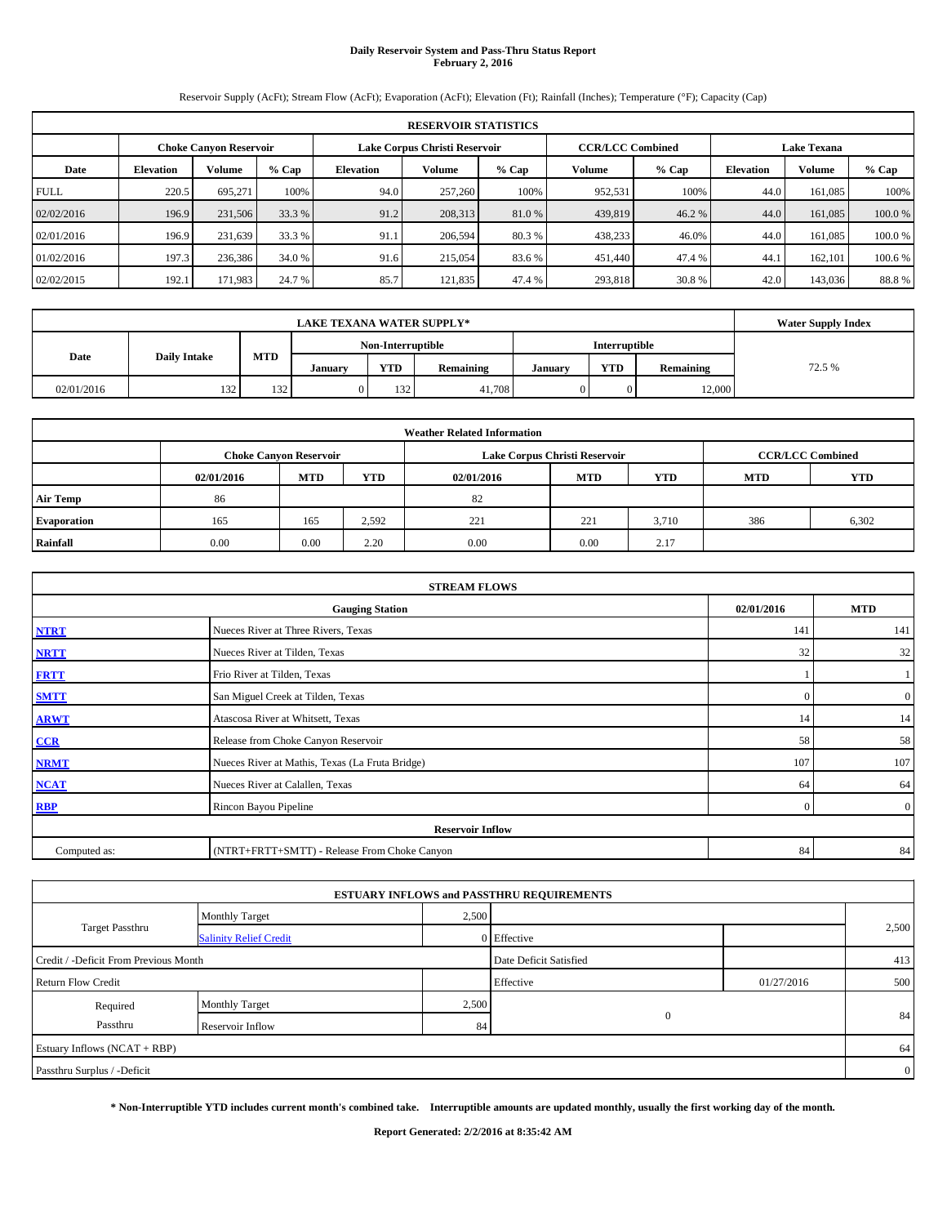# **Daily Reservoir System and Pass-Thru Status Report February 2, 2016**

Reservoir Supply (AcFt); Stream Flow (AcFt); Evaporation (AcFt); Elevation (Ft); Rainfall (Inches); Temperature (°F); Capacity (Cap)

|             | <b>RESERVOIR STATISTICS</b>                                                                                     |         |         |                  |         |         |         |         |                  |               |        |  |  |
|-------------|-----------------------------------------------------------------------------------------------------------------|---------|---------|------------------|---------|---------|---------|---------|------------------|---------------|--------|--|--|
|             | Lake Corpus Christi Reservoir<br><b>CCR/LCC Combined</b><br><b>Lake Texana</b><br><b>Choke Canyon Reservoir</b> |         |         |                  |         |         |         |         |                  |               |        |  |  |
| Date        | <b>Elevation</b>                                                                                                | Volume  | $%$ Cap | <b>Elevation</b> | Volume  | $%$ Cap | Volume  | $%$ Cap | <b>Elevation</b> | <b>Volume</b> | % Cap  |  |  |
| <b>FULL</b> | 220.5                                                                                                           | 695.271 | 100%    | 94.0             | 257,260 | 100%    | 952,531 | 100%    | 44.0             | 161,085       | 100%   |  |  |
| 02/02/2016  | 196.9                                                                                                           | 231,506 | 33.3 %  | 91.2             | 208,313 | 81.0 %  | 439,819 | 46.2%   | 44.0             | 161,085       | 100.0% |  |  |
| 02/01/2016  | 196.9                                                                                                           | 231.639 | 33.3 %  | 91.1             | 206,594 | 80.3 %  | 438,233 | 46.0%   | 44.0             | 161.085       | 100.0% |  |  |
| 01/02/2016  | 197.3                                                                                                           | 236,386 | 34.0 %  | 91.6             | 215,054 | 83.6 %  | 451,440 | 47.4 %  | 44.1             | 162,101       | 100.6% |  |  |
| 02/02/2015  | 192.1                                                                                                           | 171,983 | 24.7 %  | 85.7             | 121.835 | 47.4 %  | 293,818 | 30.8%   | 42.0             | 143,036       | 88.8%  |  |  |

|            | <b>LAKE TEXANA WATER SUPPLY*</b> |            |         |                   |           |                                    |                      |        |        |  |  |
|------------|----------------------------------|------------|---------|-------------------|-----------|------------------------------------|----------------------|--------|--------|--|--|
|            |                                  |            |         | Non-Interruptible |           |                                    | <b>Interruptible</b> |        |        |  |  |
| Date       | <b>Daily Intake</b>              | <b>MTD</b> | Januarv | <b>YTD</b>        | Remaining | <b>YTD</b><br>Remaining<br>January |                      |        | 72.5 % |  |  |
| 02/01/2016 | 132                              | 132        |         | 132               | 41.708    |                                    |                      | 12,000 |        |  |  |

| <b>Weather Related Information</b> |            |                               |            |            |                               |                         |     |       |  |  |  |
|------------------------------------|------------|-------------------------------|------------|------------|-------------------------------|-------------------------|-----|-------|--|--|--|
|                                    |            | <b>Choke Canvon Reservoir</b> |            |            | Lake Corpus Christi Reservoir | <b>CCR/LCC Combined</b> |     |       |  |  |  |
|                                    | 02/01/2016 | <b>MTD</b>                    | <b>YTD</b> | 02/01/2016 | <b>MTD</b>                    | <b>YTD</b>              |     |       |  |  |  |
| <b>Air Temp</b>                    | 86         |                               |            | 82         |                               |                         |     |       |  |  |  |
| <b>Evaporation</b>                 | 165        | 165                           | 2,592      | 221        | 221                           | 3.710                   | 386 | 6,302 |  |  |  |
| Rainfall                           | 0.00       | 0.00                          | 2.20       | 0.00       | 0.00                          | 2.17                    |     |       |  |  |  |

| <b>STREAM FLOWS</b>                                                |                                                 |          |                |  |  |  |  |  |  |  |
|--------------------------------------------------------------------|-------------------------------------------------|----------|----------------|--|--|--|--|--|--|--|
| 02/01/2016<br><b>MTD</b><br><b>Gauging Station</b>                 |                                                 |          |                |  |  |  |  |  |  |  |
| <b>NTRT</b>                                                        | Nueces River at Three Rivers, Texas             | 141      | 141            |  |  |  |  |  |  |  |
| <b>NRTT</b>                                                        | Nueces River at Tilden, Texas                   | 32       | 32             |  |  |  |  |  |  |  |
| <b>FRTT</b>                                                        | Frio River at Tilden, Texas                     |          |                |  |  |  |  |  |  |  |
| <b>SMTT</b>                                                        | San Miguel Creek at Tilden, Texas               | $\Omega$ | $\overline{0}$ |  |  |  |  |  |  |  |
| <b>ARWT</b>                                                        | Atascosa River at Whitsett, Texas               | 14       | 14             |  |  |  |  |  |  |  |
| CCR                                                                | Release from Choke Canyon Reservoir             | 58       | 58             |  |  |  |  |  |  |  |
| <b>NRMT</b>                                                        | Nueces River at Mathis, Texas (La Fruta Bridge) | 107      | 107            |  |  |  |  |  |  |  |
| <b>NCAT</b>                                                        | Nueces River at Calallen, Texas                 | 64       | 64             |  |  |  |  |  |  |  |
| <b>RBP</b>                                                         | Rincon Bayou Pipeline                           | $\Omega$ | $\overline{0}$ |  |  |  |  |  |  |  |
|                                                                    | <b>Reservoir Inflow</b>                         |          |                |  |  |  |  |  |  |  |
| (NTRT+FRTT+SMTT) - Release From Choke Canyon<br>84<br>Computed as: |                                                 |          |                |  |  |  |  |  |  |  |

| Monthly Target                        |                        |                                                                                                         |                |
|---------------------------------------|------------------------|---------------------------------------------------------------------------------------------------------|----------------|
| <b>Salinity Relief Credit</b>         |                        |                                                                                                         | 2,500          |
| Credit / -Deficit From Previous Month | Date Deficit Satisfied |                                                                                                         | 413            |
|                                       | Effective              | 01/27/2016                                                                                              | 500            |
| <b>Monthly Target</b>                 |                        |                                                                                                         |                |
| Reservoir Inflow                      |                        |                                                                                                         | 84             |
|                                       |                        |                                                                                                         | 64             |
|                                       |                        |                                                                                                         | $\overline{0}$ |
|                                       |                        | <b>ESTUARY INFLOWS and PASSTHRU REQUIREMENTS</b><br>2,500<br>0 Effective<br>2,500<br>$\mathbf{0}$<br>84 |                |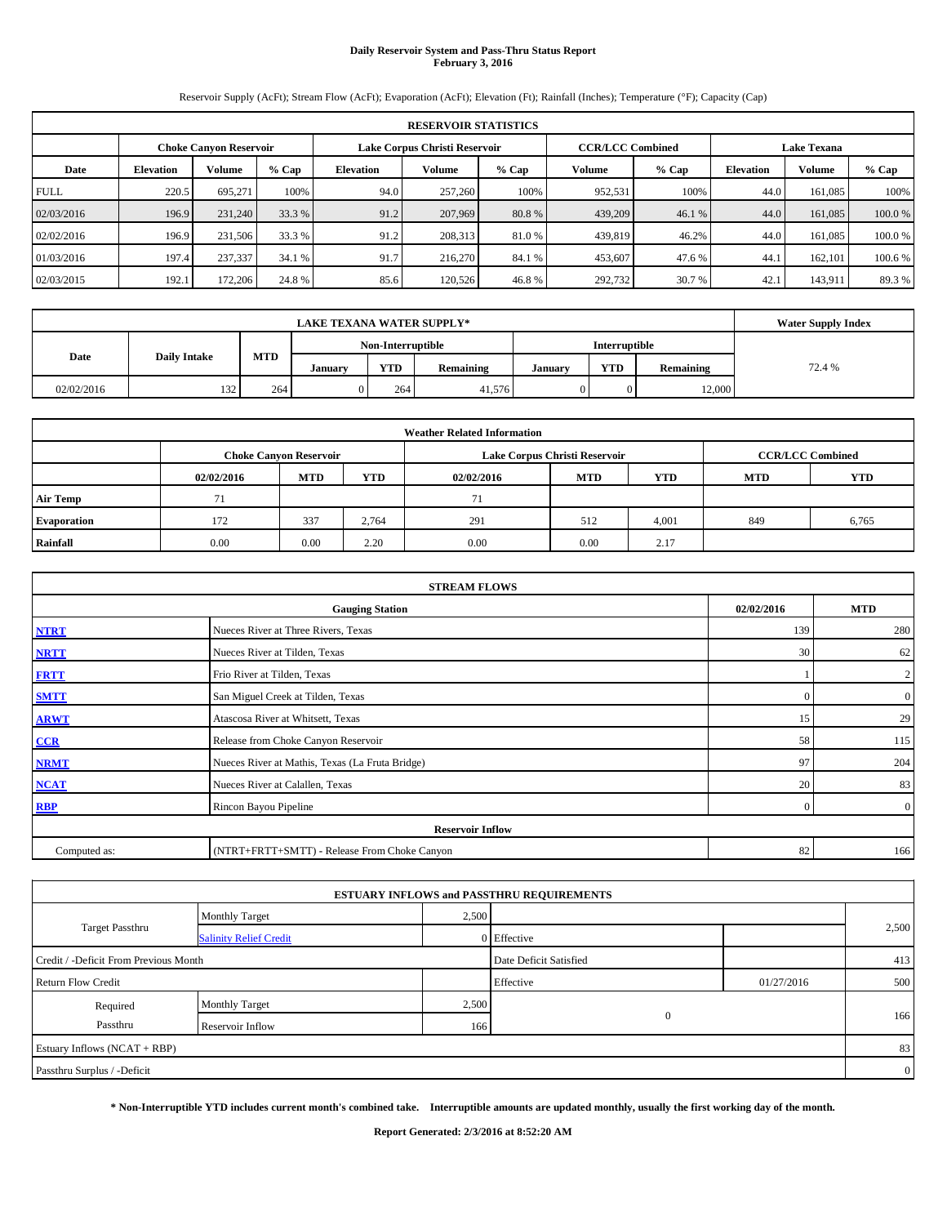# **Daily Reservoir System and Pass-Thru Status Report February 3, 2016**

Reservoir Supply (AcFt); Stream Flow (AcFt); Evaporation (AcFt); Elevation (Ft); Rainfall (Inches); Temperature (°F); Capacity (Cap)

|             | <b>RESERVOIR STATISTICS</b>                                                                                     |         |         |                  |         |         |         |         |                  |               |        |  |  |
|-------------|-----------------------------------------------------------------------------------------------------------------|---------|---------|------------------|---------|---------|---------|---------|------------------|---------------|--------|--|--|
|             | Lake Corpus Christi Reservoir<br><b>CCR/LCC Combined</b><br><b>Lake Texana</b><br><b>Choke Canyon Reservoir</b> |         |         |                  |         |         |         |         |                  |               |        |  |  |
| Date        | <b>Elevation</b>                                                                                                | Volume  | $%$ Cap | <b>Elevation</b> | Volume  | $%$ Cap | Volume  | $%$ Cap | <b>Elevation</b> | <b>Volume</b> | % Cap  |  |  |
| <b>FULL</b> | 220.5                                                                                                           | 695.271 | 100%    | 94.0             | 257,260 | 100%    | 952,531 | 100%    | 44.0             | 161,085       | 100%   |  |  |
| 02/03/2016  | 196.9                                                                                                           | 231,240 | 33.3 %  | 91.2             | 207,969 | 80.8%   | 439,209 | 46.1 %  | 44.0             | 161,085       | 100.0% |  |  |
| 02/02/2016  | 196.9                                                                                                           | 231,506 | 33.3 %  | 91.2             | 208,313 | 81.0 %  | 439,819 | 46.2%   | 44.0             | 161.085       | 100.0% |  |  |
| 01/03/2016  | 197.4                                                                                                           | 237,337 | 34.1 %  | 91.7             | 216,270 | 84.1 %  | 453,607 | 47.6 %  | 44.1             | 162,101       | 100.6% |  |  |
| 02/03/2015  | 192.1                                                                                                           | 172,206 | 24.8%   | 85.6             | 120,526 | 46.8%   | 292,732 | 30.7 %  | 42.1             | 143,911       | 89.3 % |  |  |

|            | <b>LAKE TEXANA WATER SUPPLY*</b> |            |         |                   |           |                                    |                      |        |        |  |  |
|------------|----------------------------------|------------|---------|-------------------|-----------|------------------------------------|----------------------|--------|--------|--|--|
|            |                                  |            |         | Non-Interruptible |           |                                    | <b>Interruptible</b> |        |        |  |  |
| Date       | <b>Daily Intake</b>              | <b>MTD</b> | Januarv | <b>YTD</b>        | Remaining | <b>YTD</b><br>Remaining<br>January |                      |        | 72.4 % |  |  |
| 02/02/2016 | 132                              | 264        |         | 264               | 41,576    |                                    |                      | 12,000 |        |  |  |

| <b>Weather Related Information</b> |            |                               |            |            |                               |                         |            |            |  |  |
|------------------------------------|------------|-------------------------------|------------|------------|-------------------------------|-------------------------|------------|------------|--|--|
|                                    |            | <b>Choke Canvon Reservoir</b> |            |            | Lake Corpus Christi Reservoir | <b>CCR/LCC Combined</b> |            |            |  |  |
|                                    | 02/02/2016 | <b>MTD</b>                    | <b>YTD</b> | 02/02/2016 | <b>MTD</b>                    | <b>YTD</b>              | <b>MTD</b> | <b>YTD</b> |  |  |
| <b>Air Temp</b>                    | 71         |                               |            | $\tau$     |                               |                         |            |            |  |  |
| <b>Evaporation</b>                 | 172        | 337                           | 2.764      | 291        | 512                           | 4,001                   | 849        | 6,765      |  |  |
| Rainfall                           | 0.00       | 0.00                          | 2.20       | 0.00       | 0.00                          | 2.17                    |            |            |  |  |

| <b>STREAM FLOWS</b>                                |                                                 |          |                |  |  |  |  |  |  |  |
|----------------------------------------------------|-------------------------------------------------|----------|----------------|--|--|--|--|--|--|--|
| 02/02/2016<br><b>MTD</b><br><b>Gauging Station</b> |                                                 |          |                |  |  |  |  |  |  |  |
| <b>NTRT</b>                                        | Nueces River at Three Rivers, Texas             | 139      | 280            |  |  |  |  |  |  |  |
| <b>NRTT</b>                                        | Nueces River at Tilden, Texas                   | 30       | 62             |  |  |  |  |  |  |  |
| <b>FRTT</b>                                        | Frio River at Tilden, Texas                     |          | $\overline{2}$ |  |  |  |  |  |  |  |
| <b>SMTT</b>                                        | San Miguel Creek at Tilden, Texas               | $\Omega$ | $\overline{0}$ |  |  |  |  |  |  |  |
| <b>ARWT</b>                                        | Atascosa River at Whitsett, Texas               | 15       | 29             |  |  |  |  |  |  |  |
| CCR                                                | Release from Choke Canyon Reservoir             | 58       | 115            |  |  |  |  |  |  |  |
| <b>NRMT</b>                                        | Nueces River at Mathis, Texas (La Fruta Bridge) | 97       | 204            |  |  |  |  |  |  |  |
| <b>NCAT</b>                                        | Nueces River at Calallen, Texas                 | 20       | 83             |  |  |  |  |  |  |  |
| <b>RBP</b>                                         | Rincon Bayou Pipeline                           | $\Omega$ | $\overline{0}$ |  |  |  |  |  |  |  |
|                                                    | <b>Reservoir Inflow</b>                         |          |                |  |  |  |  |  |  |  |
| Computed as:                                       | (NTRT+FRTT+SMTT) - Release From Choke Canyon    | 82       | 166            |  |  |  |  |  |  |  |

|                                       |                               |       | <b>ESTUARY INFLOWS and PASSTHRU REQUIREMENTS</b> |            |                |  |
|---------------------------------------|-------------------------------|-------|--------------------------------------------------|------------|----------------|--|
|                                       | <b>Monthly Target</b>         | 2,500 |                                                  |            |                |  |
| <b>Target Passthru</b>                | <b>Salinity Relief Credit</b> |       | 0 Effective                                      |            | 2,500          |  |
| Credit / -Deficit From Previous Month |                               |       | Date Deficit Satisfied                           |            | 413            |  |
| <b>Return Flow Credit</b>             |                               |       | Effective                                        | 01/27/2016 | 500            |  |
| Required                              | <b>Monthly Target</b>         | 2,500 |                                                  |            |                |  |
| Passthru                              | Reservoir Inflow              | 166   | $\mathbf{0}$                                     |            | 166            |  |
| Estuary Inflows (NCAT + RBP)          |                               |       |                                                  |            | 83             |  |
| Passthru Surplus / -Deficit           |                               |       |                                                  |            | $\overline{0}$ |  |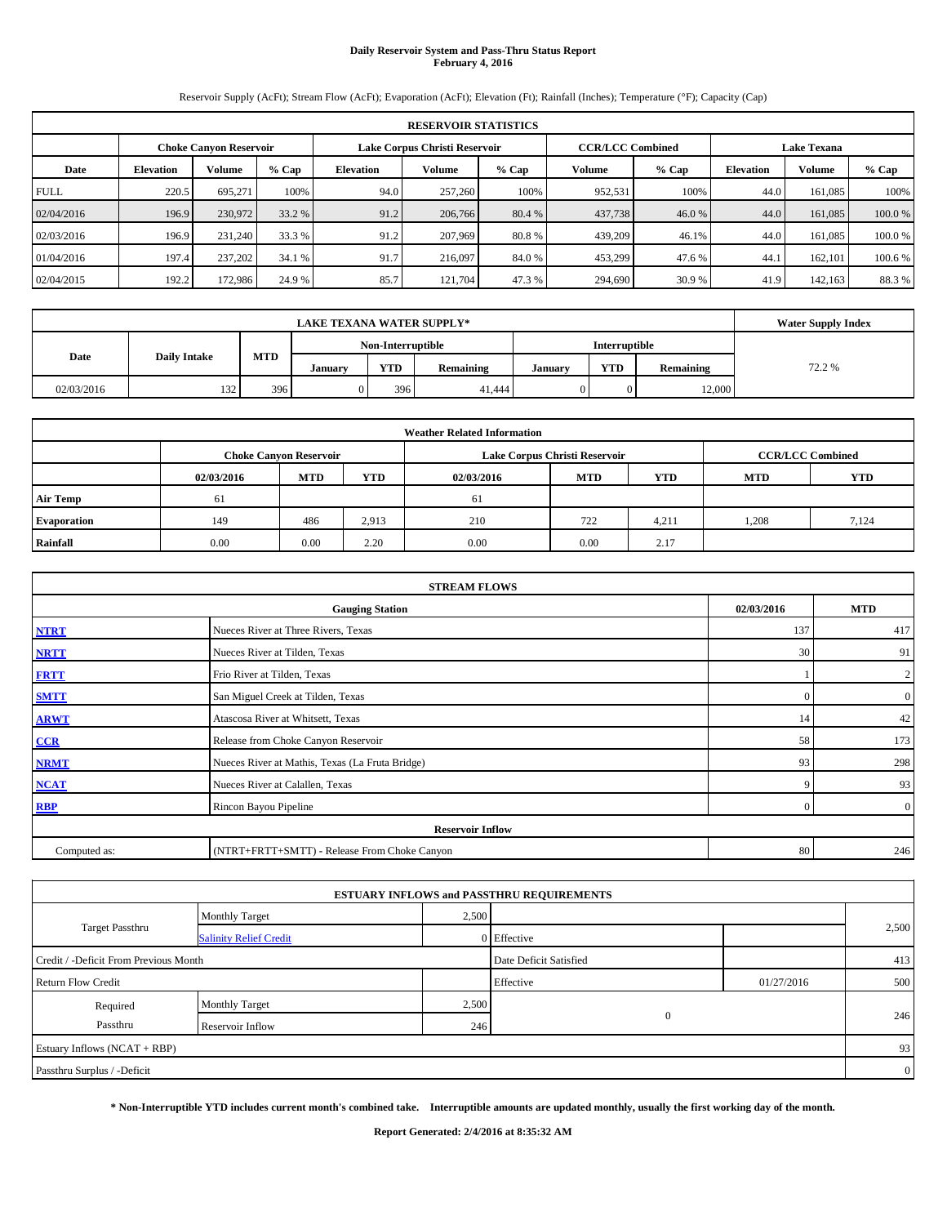# **Daily Reservoir System and Pass-Thru Status Report February 4, 2016**

Reservoir Supply (AcFt); Stream Flow (AcFt); Evaporation (AcFt); Elevation (Ft); Rainfall (Inches); Temperature (°F); Capacity (Cap)

| <b>RESERVOIR STATISTICS</b> |                  |                               |         |                  |                               |         |                         |         |                    |               |         |
|-----------------------------|------------------|-------------------------------|---------|------------------|-------------------------------|---------|-------------------------|---------|--------------------|---------------|---------|
|                             |                  | <b>Choke Canyon Reservoir</b> |         |                  | Lake Corpus Christi Reservoir |         | <b>CCR/LCC Combined</b> |         | <b>Lake Texana</b> |               |         |
| Date                        | <b>Elevation</b> | Volume                        | $%$ Cap | <b>Elevation</b> | Volume                        | $%$ Cap | Volume                  | $%$ Cap | <b>Elevation</b>   | <b>Volume</b> | % Cap   |
| <b>FULL</b>                 | 220.5            | 695.271                       | 100%    | 94.0             | 257,260                       | 100%    | 952,531                 | 100%    | 44.0               | 161,085       | 100%    |
| 02/04/2016                  | 196.9            | 230,972                       | 33.2 %  | 91.2             | 206,766                       | 80.4 %  | 437,738                 | 46.0 %  | 44.0               | 161,085       | 100.0 % |
| 02/03/2016                  | 196.9            | 231,240                       | 33.3 %  | 91.2             | 207,969                       | 80.8%   | 439,209                 | 46.1%   | 44.0               | 161.085       | 100.0%  |
| 01/04/2016                  | 197.4            | 237,202                       | 34.1 %  | 91.7             | 216,097                       | 84.0 %  | 453,299                 | 47.6 %  | 44.1               | 162,101       | 100.6 % |
| 02/04/2015                  | 192.2            | 172,986                       | 24.9 %  | 85.7             | 121.704                       | 47.3 %  | 294,690                 | 30.9%   | 41.9               | 142,163       | 88.3%   |

|            | <b>Water Supply Index</b>                 |            |         |            |           |         |            |           |        |
|------------|-------------------------------------------|------------|---------|------------|-----------|---------|------------|-----------|--------|
|            | <b>Interruptible</b><br>Non-Interruptible |            |         |            |           |         |            |           |        |
| Date       | <b>Daily Intake</b>                       | <b>MTD</b> | Januarv | <b>YTD</b> | Remaining | January | <b>YTD</b> | Remaining | 72.2 % |
| 02/03/2016 | 132                                       | 396        |         | 396        | 41,444    |         |            | 12,000    |        |

| <b>Weather Related Information</b> |            |                               |            |            |                               |                         |            |            |  |  |
|------------------------------------|------------|-------------------------------|------------|------------|-------------------------------|-------------------------|------------|------------|--|--|
|                                    |            | <b>Choke Canvon Reservoir</b> |            |            | Lake Corpus Christi Reservoir | <b>CCR/LCC Combined</b> |            |            |  |  |
|                                    | 02/03/2016 | <b>MTD</b>                    | <b>YTD</b> | 02/03/2016 | <b>MTD</b>                    | <b>YTD</b>              | <b>MTD</b> | <b>YTD</b> |  |  |
| <b>Air Temp</b>                    | -61        |                               |            | 61         |                               |                         |            |            |  |  |
| <b>Evaporation</b>                 | 149        | 486                           | 2,913      | 210        | 722                           | 4,211                   | 1.208      | 7,124      |  |  |
| Rainfall                           | 0.00       | 0.00                          | 2.20       | 0.00       | 0.00                          | 2.17                    |            |            |  |  |

| <b>STREAM FLOWS</b>                                |                                                 |                |                  |  |  |  |  |  |  |
|----------------------------------------------------|-------------------------------------------------|----------------|------------------|--|--|--|--|--|--|
| 02/03/2016<br><b>MTD</b><br><b>Gauging Station</b> |                                                 |                |                  |  |  |  |  |  |  |
| <b>NTRT</b>                                        | Nueces River at Three Rivers, Texas             | 137            | 417              |  |  |  |  |  |  |
| <b>NRTT</b>                                        | Nueces River at Tilden, Texas                   | 30             | 91               |  |  |  |  |  |  |
| <b>FRTT</b>                                        | Frio River at Tilden, Texas                     |                | $\mathbf{2}$     |  |  |  |  |  |  |
| <b>SMTT</b>                                        | San Miguel Creek at Tilden, Texas               | $\Omega$       | $\boldsymbol{0}$ |  |  |  |  |  |  |
| <b>ARWT</b>                                        | Atascosa River at Whitsett, Texas               | 14             | 42               |  |  |  |  |  |  |
| CCR                                                | Release from Choke Canyon Reservoir             | 58             | 173              |  |  |  |  |  |  |
| <b>NRMT</b>                                        | Nueces River at Mathis, Texas (La Fruta Bridge) | 93             | 298              |  |  |  |  |  |  |
| <b>NCAT</b>                                        | Nueces River at Calallen, Texas                 | 9              | 93               |  |  |  |  |  |  |
| <b>RBP</b>                                         | Rincon Bayou Pipeline                           | $\overline{0}$ | $\overline{0}$   |  |  |  |  |  |  |
|                                                    | <b>Reservoir Inflow</b>                         |                |                  |  |  |  |  |  |  |
| Computed as:                                       | (NTRT+FRTT+SMTT) - Release From Choke Canyon    | 80             | 246              |  |  |  |  |  |  |

|                                       |                               |       | <b>ESTUARY INFLOWS and PASSTHRU REQUIREMENTS</b> |            |                |
|---------------------------------------|-------------------------------|-------|--------------------------------------------------|------------|----------------|
|                                       | <b>Monthly Target</b>         | 2,500 |                                                  |            |                |
| <b>Target Passthru</b>                | <b>Salinity Relief Credit</b> |       | 0 Effective                                      |            | 2,500          |
| Credit / -Deficit From Previous Month |                               |       | Date Deficit Satisfied                           |            | 413            |
| <b>Return Flow Credit</b>             |                               |       | Effective                                        | 01/27/2016 | 500            |
| Required                              | <b>Monthly Target</b>         | 2,500 |                                                  |            |                |
| Passthru                              | Reservoir Inflow              | 246   | $\mathbf{0}$                                     |            | 246            |
| Estuary Inflows (NCAT + RBP)          |                               |       |                                                  |            | 93             |
| Passthru Surplus / -Deficit           |                               |       |                                                  |            | $\overline{0}$ |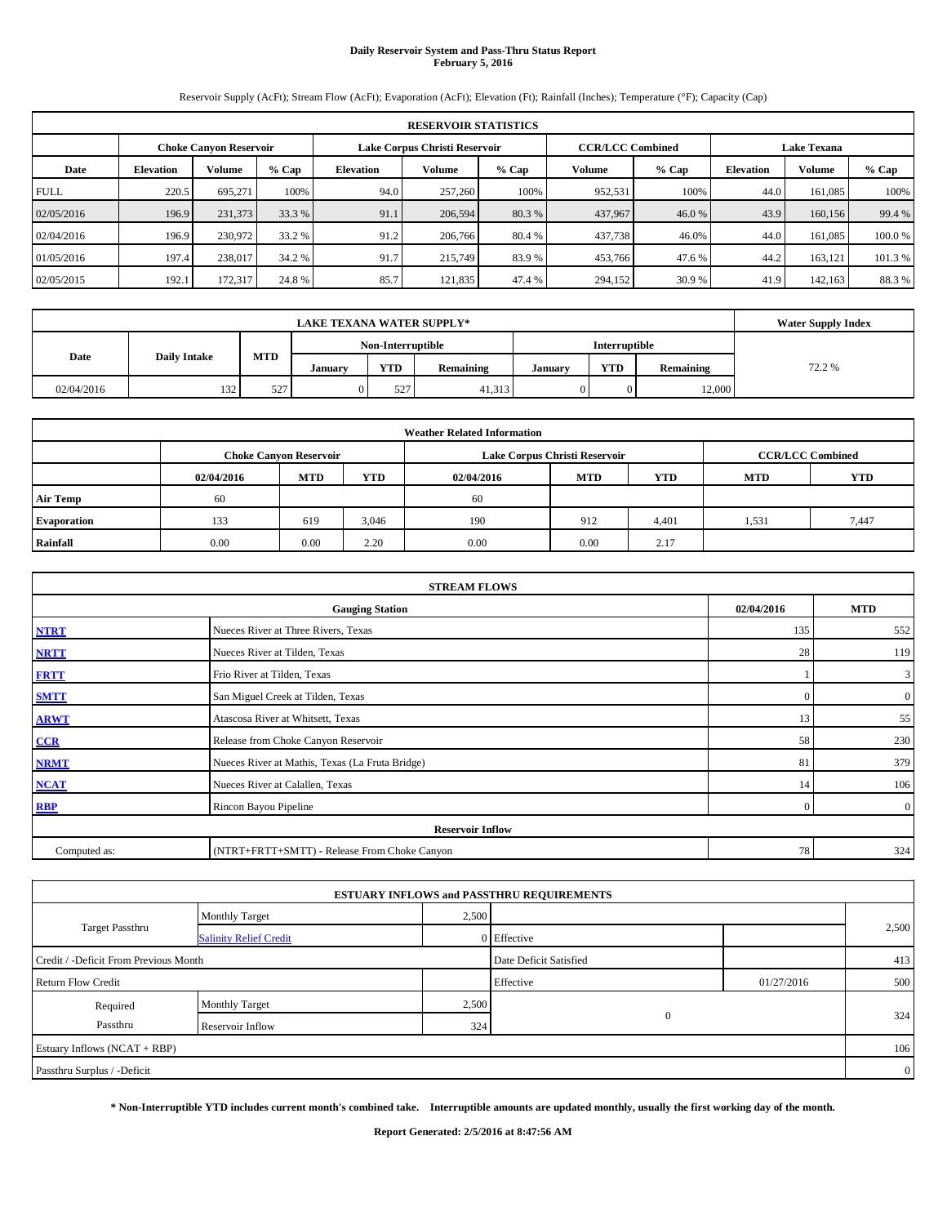# **Daily Reservoir System and Pass-Thru Status Report February 5, 2016**

Reservoir Supply (AcFt); Stream Flow (AcFt); Evaporation (AcFt); Elevation (Ft); Rainfall (Inches); Temperature (°F); Capacity (Cap)

| <b>RESERVOIR STATISTICS</b> |                  |                               |         |                  |                               |         |                         |         |                    |         |         |
|-----------------------------|------------------|-------------------------------|---------|------------------|-------------------------------|---------|-------------------------|---------|--------------------|---------|---------|
|                             |                  | <b>Choke Canyon Reservoir</b> |         |                  | Lake Corpus Christi Reservoir |         | <b>CCR/LCC Combined</b> |         | <b>Lake Texana</b> |         |         |
| Date                        | <b>Elevation</b> | Volume                        | $%$ Cap | <b>Elevation</b> | Volume                        | $%$ Cap | Volume                  | $%$ Cap | <b>Elevation</b>   | Volume  | % Cap   |
| <b>FULL</b>                 | 220.5            | 695.271                       | 100%    | 94.0             | 257,260                       | 100%    | 952,531                 | 100%    | 44.0               | 161,085 | 100%    |
| 02/05/2016                  | 196.9            | 231,373                       | 33.3 %  | 91.1             | 206,594                       | 80.3 %  | 437,967                 | 46.0 %  | 43.9               | 160,156 | 99.4 %  |
| 02/04/2016                  | 196.9            | 230.972                       | 33.2 %  | 91.2             | 206,766                       | 80.4 %  | 437,738                 | 46.0%   | 44.0               | 161,085 | 100.0%  |
| 01/05/2016                  | 197.4            | 238,017                       | 34.2 %  | 91.7             | 215,749                       | 83.9 %  | 453,766                 | 47.6 %  | 44.2               | 163,121 | 101.3 % |
| 02/05/2015                  | 192.1            | 172,317                       | 24.8%   | 85.7             | 121.835                       | 47.4 %  | 294,152                 | 30.9%   | 41.9               | 142,163 | 88.3%   |

|            | <b>Water Supply Index</b>                 |            |         |            |           |         |            |           |        |
|------------|-------------------------------------------|------------|---------|------------|-----------|---------|------------|-----------|--------|
|            | <b>Interruptible</b><br>Non-Interruptible |            |         |            |           |         |            |           |        |
| Date       | <b>Daily Intake</b>                       | <b>MTD</b> | Januarv | <b>YTD</b> | Remaining | January | <b>YTD</b> | Remaining | 72.2 % |
| 02/04/2016 | 132                                       | 527        |         | 527        | 41,313    |         |            | 12,000    |        |

| <b>Weather Related Information</b> |            |                               |            |            |                               |                         |            |            |  |  |
|------------------------------------|------------|-------------------------------|------------|------------|-------------------------------|-------------------------|------------|------------|--|--|
|                                    |            | <b>Choke Canvon Reservoir</b> |            |            | Lake Corpus Christi Reservoir | <b>CCR/LCC Combined</b> |            |            |  |  |
|                                    | 02/04/2016 | <b>MTD</b>                    | <b>YTD</b> | 02/04/2016 | <b>MTD</b>                    | <b>YTD</b>              | <b>MTD</b> | <b>YTD</b> |  |  |
| <b>Air Temp</b>                    | 60         |                               |            | 60         |                               |                         |            |            |  |  |
| <b>Evaporation</b>                 | 133        | 619                           | 3,046      | 190        | 912                           | 4,401                   | 1,531      | 7.447      |  |  |
| Rainfall                           | 0.00       | 0.00                          | 2.20       | 0.00       | 0.00                          | 2.17                    |            |            |  |  |

| <b>STREAM FLOWS</b>                  |                                                 |                |                  |  |  |  |  |  |  |
|--------------------------------------|-------------------------------------------------|----------------|------------------|--|--|--|--|--|--|
| 02/04/2016<br><b>Gauging Station</b> |                                                 |                |                  |  |  |  |  |  |  |
| <b>NTRT</b>                          | Nueces River at Three Rivers, Texas             | 135            | 552              |  |  |  |  |  |  |
| <b>NRTT</b>                          | Nueces River at Tilden, Texas                   | 28             | 119              |  |  |  |  |  |  |
| <b>FRTT</b>                          | Frio River at Tilden, Texas                     |                | 3                |  |  |  |  |  |  |
| <b>SMTT</b>                          | San Miguel Creek at Tilden, Texas               | $\Omega$       | $\boldsymbol{0}$ |  |  |  |  |  |  |
| <b>ARWT</b>                          | Atascosa River at Whitsett, Texas               | 13             | 55               |  |  |  |  |  |  |
| CCR                                  | Release from Choke Canyon Reservoir             | 58             | 230              |  |  |  |  |  |  |
| <b>NRMT</b>                          | Nueces River at Mathis, Texas (La Fruta Bridge) | 81             | 379              |  |  |  |  |  |  |
| <b>NCAT</b>                          | Nueces River at Calallen, Texas                 | 14             | 106              |  |  |  |  |  |  |
| <b>RBP</b>                           | Rincon Bayou Pipeline                           | $\overline{0}$ | $\overline{0}$   |  |  |  |  |  |  |
|                                      | <b>Reservoir Inflow</b>                         |                |                  |  |  |  |  |  |  |
| Computed as:                         | (NTRT+FRTT+SMTT) - Release From Choke Canyon    | 78             | 324              |  |  |  |  |  |  |

|                                       |                               |       | <b>ESTUARY INFLOWS and PASSTHRU REQUIREMENTS</b> |            |                |
|---------------------------------------|-------------------------------|-------|--------------------------------------------------|------------|----------------|
|                                       | <b>Monthly Target</b>         | 2,500 |                                                  |            |                |
| <b>Target Passthru</b>                | <b>Salinity Relief Credit</b> |       | 0 Effective                                      |            | 2,500          |
| Credit / -Deficit From Previous Month |                               |       | Date Deficit Satisfied                           |            | 413            |
| <b>Return Flow Credit</b>             |                               |       | Effective                                        | 01/27/2016 | 500            |
| Required                              | <b>Monthly Target</b>         | 2,500 |                                                  |            |                |
| Passthru                              | Reservoir Inflow              | 324   | $\mathbf{0}$                                     |            | 324            |
| Estuary Inflows (NCAT + RBP)          |                               |       |                                                  |            | 106            |
| Passthru Surplus / -Deficit           |                               |       |                                                  |            | $\overline{0}$ |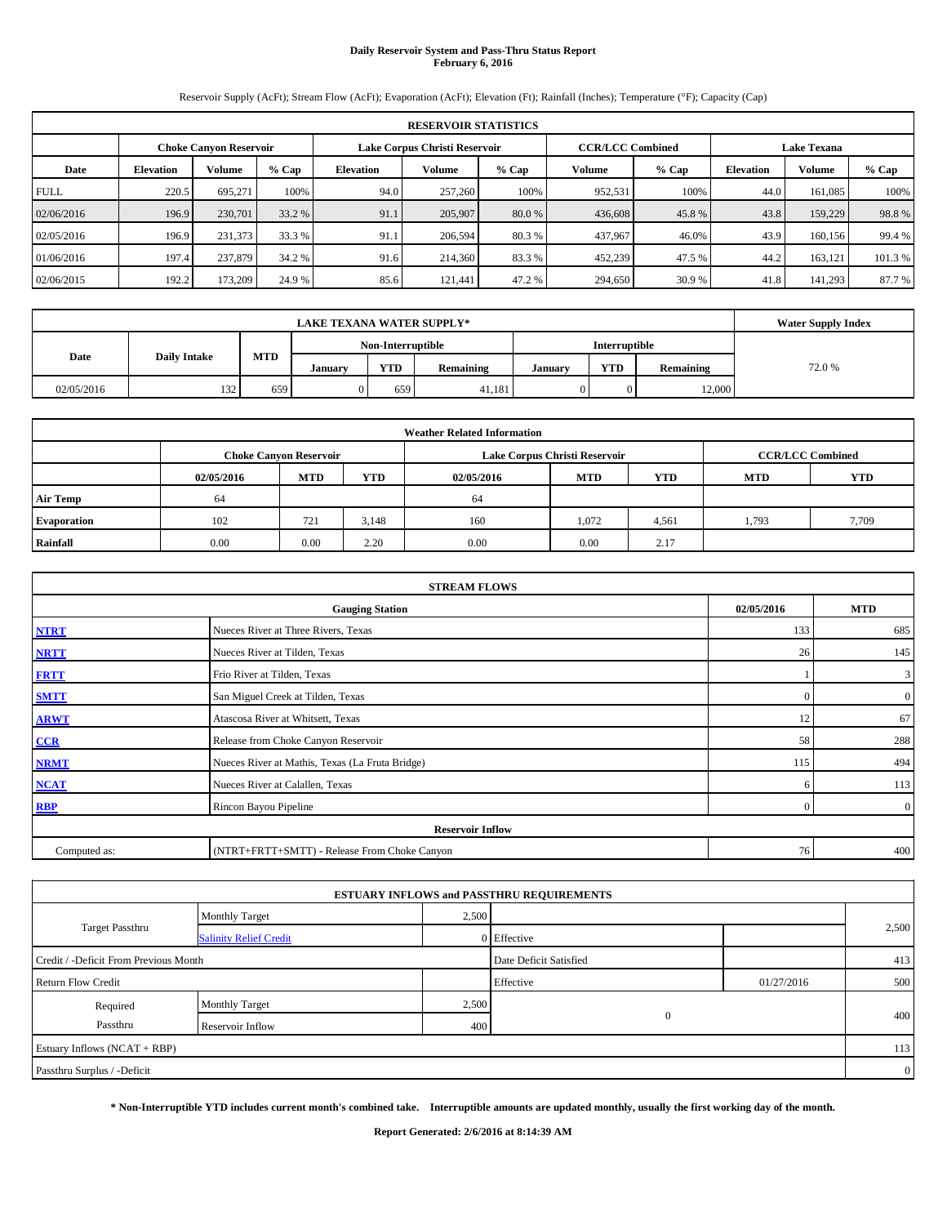# **Daily Reservoir System and Pass-Thru Status Report February 6, 2016**

Reservoir Supply (AcFt); Stream Flow (AcFt); Evaporation (AcFt); Elevation (Ft); Rainfall (Inches); Temperature (°F); Capacity (Cap)

|             | <b>RESERVOIR STATISTICS</b> |                               |         |                  |                               |         |                         |         |                    |               |         |  |
|-------------|-----------------------------|-------------------------------|---------|------------------|-------------------------------|---------|-------------------------|---------|--------------------|---------------|---------|--|
|             |                             | <b>Choke Canyon Reservoir</b> |         |                  | Lake Corpus Christi Reservoir |         | <b>CCR/LCC Combined</b> |         | <b>Lake Texana</b> |               |         |  |
| Date        | <b>Elevation</b>            | Volume                        | $%$ Cap | <b>Elevation</b> | <b>Volume</b>                 | $%$ Cap | Volume                  | $%$ Cap | <b>Elevation</b>   | <b>Volume</b> | $%$ Cap |  |
| <b>FULL</b> | 220.5                       | 695.271                       | 100%    | 94.0             | 257,260                       | 100%    | 952,531                 | 100%    | 44.0               | 161,085       | 100%    |  |
| 02/06/2016  | 196.9                       | 230,701                       | 33.2 %  | 91.1             | 205,907                       | 80.0 %  | 436,608                 | 45.8%   | 43.8               | 159,229       | 98.8%   |  |
| 02/05/2016  | 196.9                       | 231.373                       | 33.3 %  | 91.1             | 206,594                       | 80.3 %  | 437,967                 | 46.0%   | 43.9               | 160,156       | 99.4 %  |  |
| 01/06/2016  | 197.4                       | 237,879                       | 34.2 %  | 91.6             | 214,360                       | 83.3%   | 452,239                 | 47.5 %  | 44.2               | 163,121       | 101.3%  |  |
| 02/06/2015  | 192.2                       | 173,209                       | 24.9 %  | 85.6             | 121.441                       | 47.2 %  | 294,650                 | 30.9 %  | 41.8               | 141,293       | 87.7 %  |  |

|            | <b>Water Supply Index</b>                 |     |         |            |           |         |            |           |        |
|------------|-------------------------------------------|-----|---------|------------|-----------|---------|------------|-----------|--------|
|            | <b>Interruptible</b><br>Non-Interruptible |     |         |            |           |         |            |           |        |
| Date       | <b>MTD</b><br><b>Daily Intake</b>         |     | January | <b>YTD</b> | Remaining | January | <b>YTD</b> | Remaining | 72.0 % |
| 02/05/2016 | 132                                       | 659 |         | 659        | 41,181    |         |            | 12,000    |        |

|                    |            |                               |            | <b>Weather Related Information</b> |                               |                         |            |       |
|--------------------|------------|-------------------------------|------------|------------------------------------|-------------------------------|-------------------------|------------|-------|
|                    |            | <b>Choke Canvon Reservoir</b> |            |                                    | Lake Corpus Christi Reservoir | <b>CCR/LCC Combined</b> |            |       |
|                    | 02/05/2016 | <b>MTD</b>                    | <b>YTD</b> | 02/05/2016                         | <b>MTD</b>                    | <b>MTD</b>              | <b>YTD</b> |       |
| <b>Air Temp</b>    | -64        |                               |            | 64                                 |                               |                         |            |       |
| <b>Evaporation</b> | 102        | 721                           | 3,148      | 160                                | 1,072                         | 4,561                   | 1.793      | 7,709 |
| Rainfall           | 0.00       | 0.00                          | 2.20       | 0.00                               | 0.00                          | 2.17                    |            |       |

|              | <b>STREAM FLOWS</b>                             |                |                  |  |  |  |  |  |
|--------------|-------------------------------------------------|----------------|------------------|--|--|--|--|--|
|              | <b>Gauging Station</b>                          |                |                  |  |  |  |  |  |
| <b>NTRT</b>  | Nueces River at Three Rivers, Texas             | 133            | 685              |  |  |  |  |  |
| <b>NRTT</b>  | Nueces River at Tilden, Texas                   | 26             | 145              |  |  |  |  |  |
| <b>FRTT</b>  | Frio River at Tilden, Texas                     |                | 3                |  |  |  |  |  |
| <b>SMTT</b>  | San Miguel Creek at Tilden, Texas               | $\Omega$       | $\boldsymbol{0}$ |  |  |  |  |  |
| <b>ARWT</b>  | Atascosa River at Whitsett, Texas               | 12             | 67               |  |  |  |  |  |
| CCR          | Release from Choke Canyon Reservoir             | 58             | 288              |  |  |  |  |  |
| <b>NRMT</b>  | Nueces River at Mathis, Texas (La Fruta Bridge) | 115            | 494              |  |  |  |  |  |
| <b>NCAT</b>  | Nueces River at Calallen, Texas                 | 6              | 113              |  |  |  |  |  |
| <b>RBP</b>   | Rincon Bayou Pipeline                           | $\overline{0}$ | $\overline{0}$   |  |  |  |  |  |
|              | <b>Reservoir Inflow</b>                         |                |                  |  |  |  |  |  |
| Computed as: | (NTRT+FRTT+SMTT) - Release From Choke Canyon    | 76             | 400              |  |  |  |  |  |

|                                       |                               |       | <b>ESTUARY INFLOWS and PASSTHRU REQUIREMENTS</b> |            |                |
|---------------------------------------|-------------------------------|-------|--------------------------------------------------|------------|----------------|
|                                       | <b>Monthly Target</b>         | 2,500 |                                                  |            |                |
| <b>Target Passthru</b>                | <b>Salinity Relief Credit</b> |       | 0 Effective                                      |            | 2,500          |
| Credit / -Deficit From Previous Month |                               |       | Date Deficit Satisfied                           |            | 413            |
| <b>Return Flow Credit</b>             |                               |       | Effective                                        | 01/27/2016 | 500            |
| Required                              | <b>Monthly Target</b>         | 2,500 |                                                  |            |                |
| Passthru                              | Reservoir Inflow              | 400   | $\mathbf{0}$                                     |            | 400            |
| Estuary Inflows (NCAT + RBP)          |                               |       |                                                  |            | 113            |
| Passthru Surplus / -Deficit           |                               |       |                                                  |            | $\overline{0}$ |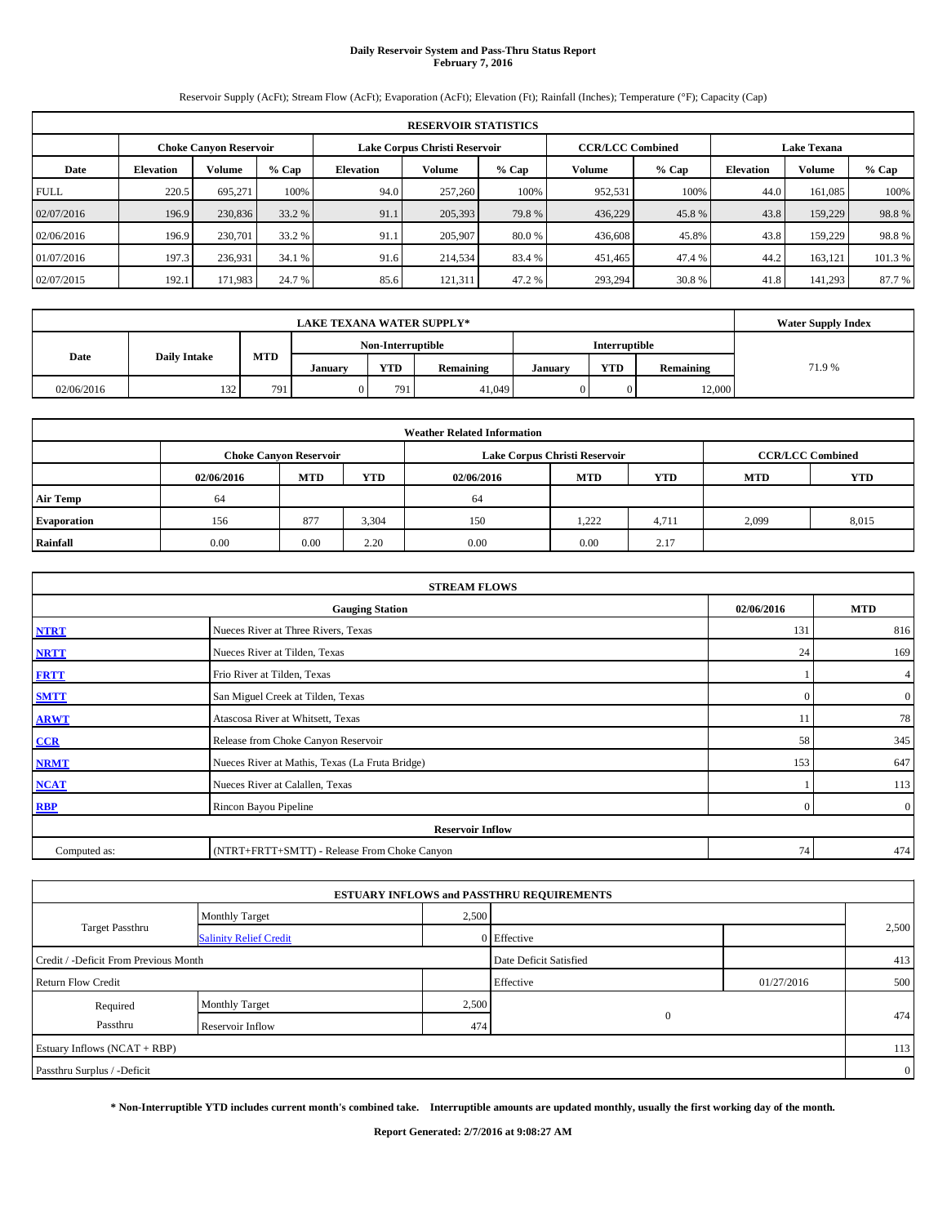# **Daily Reservoir System and Pass-Thru Status Report February 7, 2016**

Reservoir Supply (AcFt); Stream Flow (AcFt); Evaporation (AcFt); Elevation (Ft); Rainfall (Inches); Temperature (°F); Capacity (Cap)

|             | <b>RESERVOIR STATISTICS</b> |                               |         |                  |                               |         |         |                         |                    |               |         |  |
|-------------|-----------------------------|-------------------------------|---------|------------------|-------------------------------|---------|---------|-------------------------|--------------------|---------------|---------|--|
|             |                             | <b>Choke Canyon Reservoir</b> |         |                  | Lake Corpus Christi Reservoir |         |         | <b>CCR/LCC Combined</b> | <b>Lake Texana</b> |               |         |  |
| Date        | <b>Elevation</b>            | Volume                        | $%$ Cap | <b>Elevation</b> | Volume                        | $%$ Cap | Volume  | $%$ Cap                 | <b>Elevation</b>   | <b>Volume</b> | $%$ Cap |  |
| <b>FULL</b> | 220.5                       | 695.271                       | 100%    | 94.0             | 257,260                       | 100%    | 952,531 | 100%                    | 44.0               | 161,085       | 100%    |  |
| 02/07/2016  | 196.9                       | 230,836                       | 33.2 %  | 91.1             | 205,393                       | 79.8%   | 436,229 | 45.8%                   | 43.8               | 159,229       | 98.8%   |  |
| 02/06/2016  | 196.9                       | 230,701                       | 33.2 %  | 91.1             | 205,907                       | 80.0 %  | 436,608 | 45.8%                   | 43.8               | 159,229       | 98.8%   |  |
| 01/07/2016  | 197.3                       | 236,931                       | 34.1 %  | 91.6             | 214,534                       | 83.4 %  | 451,465 | 47.4 %                  | 44.2               | 163,121       | 101.3%  |  |
| 02/07/2015  | 192.1                       | 171,983                       | 24.7 %  | 85.6             | 121,311                       | 47.2 %  | 293,294 | 30.8%                   | 41.8               | 141,293       | 87.7 %  |  |

|            | <b>Water Supply Index</b>                 |            |         |            |           |         |            |           |       |
|------------|-------------------------------------------|------------|---------|------------|-----------|---------|------------|-----------|-------|
|            | <b>Interruptible</b><br>Non-Interruptible |            |         |            |           |         |            |           |       |
| Date       | <b>Daily Intake</b>                       | <b>MTD</b> | Januarv | <b>YTD</b> | Remaining | January | <b>YTD</b> | Remaining | 71.9% |
| 02/06/2016 | 132                                       | 791        |         | 791        | 41.049    |         |            | 12,000    |       |

| <b>Weather Related Information</b> |            |                               |            |            |                               |                         |            |       |  |  |
|------------------------------------|------------|-------------------------------|------------|------------|-------------------------------|-------------------------|------------|-------|--|--|
|                                    |            | <b>Choke Canyon Reservoir</b> |            |            | Lake Corpus Christi Reservoir | <b>CCR/LCC Combined</b> |            |       |  |  |
|                                    | 02/06/2016 | <b>MTD</b>                    | <b>YTD</b> | 02/06/2016 | <b>MTD</b>                    | <b>MTD</b>              | <b>YTD</b> |       |  |  |
| <b>Air Temp</b>                    | -64        |                               |            | 64         |                               |                         |            |       |  |  |
| <b>Evaporation</b>                 | 156        | 877                           | 3,304      | 150        | 1.222                         | 4,711                   | 2.099      | 8,015 |  |  |
| Rainfall                           | 0.00       | 0.00                          | 2.20       | 0.00       | 0.00                          | 2.17                    |            |       |  |  |

|              | <b>STREAM FLOWS</b>                             |            |                  |  |  |  |  |  |  |  |
|--------------|-------------------------------------------------|------------|------------------|--|--|--|--|--|--|--|
|              | 02/06/2016                                      | <b>MTD</b> |                  |  |  |  |  |  |  |  |
| <b>NTRT</b>  | Nueces River at Three Rivers, Texas             | 131        | 816              |  |  |  |  |  |  |  |
| <b>NRTT</b>  | Nueces River at Tilden, Texas                   | 24         | 169              |  |  |  |  |  |  |  |
| <b>FRTT</b>  | Frio River at Tilden, Texas                     |            | 4                |  |  |  |  |  |  |  |
| <b>SMTT</b>  | San Miguel Creek at Tilden, Texas               | $\Omega$   | $\boldsymbol{0}$ |  |  |  |  |  |  |  |
| <b>ARWT</b>  | Atascosa River at Whitsett, Texas               | 11         | 78               |  |  |  |  |  |  |  |
| CCR          | Release from Choke Canyon Reservoir             | 58         | 345              |  |  |  |  |  |  |  |
| <b>NRMT</b>  | Nueces River at Mathis, Texas (La Fruta Bridge) | 153        | 647              |  |  |  |  |  |  |  |
| <b>NCAT</b>  | Nueces River at Calallen, Texas                 |            | 113              |  |  |  |  |  |  |  |
| <b>RBP</b>   | Rincon Bayou Pipeline                           | $\Omega$   | $\overline{0}$   |  |  |  |  |  |  |  |
|              | <b>Reservoir Inflow</b>                         |            |                  |  |  |  |  |  |  |  |
| Computed as: | (NTRT+FRTT+SMTT) - Release From Choke Canyon    | 74         | 474              |  |  |  |  |  |  |  |

|                                       |                               |       | <b>ESTUARY INFLOWS and PASSTHRU REQUIREMENTS</b> |            |                |
|---------------------------------------|-------------------------------|-------|--------------------------------------------------|------------|----------------|
|                                       | <b>Monthly Target</b>         | 2,500 |                                                  |            |                |
| <b>Target Passthru</b>                | <b>Salinity Relief Credit</b> |       | 0 Effective                                      |            | 2,500          |
| Credit / -Deficit From Previous Month |                               |       | Date Deficit Satisfied                           |            | 413            |
| <b>Return Flow Credit</b>             |                               |       | Effective                                        | 01/27/2016 | 500            |
| Required                              | <b>Monthly Target</b>         | 2,500 |                                                  |            |                |
| Passthru                              | Reservoir Inflow              | 474   | $\mathbf{0}$                                     |            | 474            |
| Estuary Inflows (NCAT + RBP)          |                               |       |                                                  |            | 113            |
| Passthru Surplus / -Deficit           |                               |       |                                                  |            | $\overline{0}$ |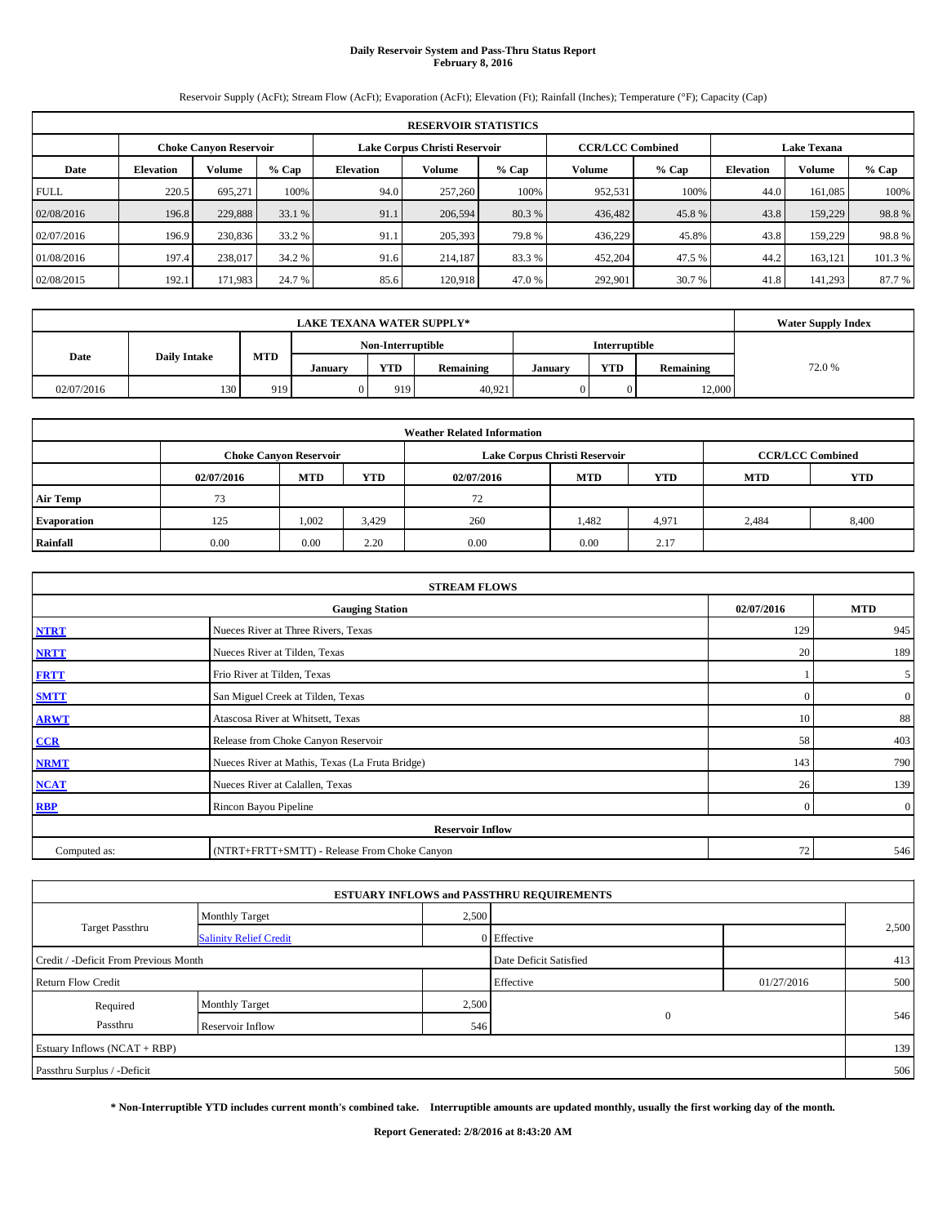# **Daily Reservoir System and Pass-Thru Status Report February 8, 2016**

Reservoir Supply (AcFt); Stream Flow (AcFt); Evaporation (AcFt); Elevation (Ft); Rainfall (Inches); Temperature (°F); Capacity (Cap)

|             | <b>RESERVOIR STATISTICS</b> |                               |         |                  |                               |         |                         |         |                  |                    |         |  |
|-------------|-----------------------------|-------------------------------|---------|------------------|-------------------------------|---------|-------------------------|---------|------------------|--------------------|---------|--|
|             |                             | <b>Choke Canvon Reservoir</b> |         |                  | Lake Corpus Christi Reservoir |         | <b>CCR/LCC Combined</b> |         |                  | <b>Lake Texana</b> |         |  |
| Date        | <b>Elevation</b>            | Volume                        | $%$ Cap | <b>Elevation</b> | Volume                        | $%$ Cap | Volume                  | $%$ Cap | <b>Elevation</b> | <b>Volume</b>      | $%$ Cap |  |
| <b>FULL</b> | 220.5                       | 695.271                       | 100%    | 94.0             | 257,260                       | 100%    | 952,531                 | 100%    | 44.0             | 161,085            | 100%    |  |
| 02/08/2016  | 196.8                       | 229,888                       | 33.1 %  | 91.1             | 206,594                       | 80.3 %  | 436,482                 | 45.8%   | 43.8             | 159,229            | 98.8%   |  |
| 02/07/2016  | 196.9                       | 230,836                       | 33.2 %  | 91.1             | 205,393                       | 79.8%   | 436,229                 | 45.8%   | 43.8             | 159,229            | 98.8%   |  |
| 01/08/2016  | 197.4                       | 238,017                       | 34.2 %  | 91.6             | 214,187                       | 83.3 %  | 452,204                 | 47.5 %  | 44.2             | 163,121            | 101.3%  |  |
| 02/08/2015  | 192.1                       | 171,983                       | 24.7 %  | 85.6             | 120.918                       | 47.0 %  | 292,901                 | 30.7 %  | 41.8             | 141,293            | 87.7%   |  |

|            | <b>LAKE TEXANA WATER SUPPLY*</b> |            |         |            |           |         |            |           |        |  |  |
|------------|----------------------------------|------------|---------|------------|-----------|---------|------------|-----------|--------|--|--|
|            |                                  |            |         |            |           |         |            |           |        |  |  |
| Date       | <b>Daily Intake</b>              | <b>MTD</b> | Januarv | <b>YTD</b> | Remaining | January | <b>YTD</b> | Remaining | 72.0 % |  |  |
| 02/07/2016 | 130                              | 919        |         | 919        | 40,921    |         |            | 12,000    |        |  |  |

|                    |                                                                                           |            |            | <b>Weather Related Information</b> |            |            |            |            |  |  |  |  |
|--------------------|-------------------------------------------------------------------------------------------|------------|------------|------------------------------------|------------|------------|------------|------------|--|--|--|--|
|                    | Lake Corpus Christi Reservoir<br><b>CCR/LCC Combined</b><br><b>Choke Canyon Reservoir</b> |            |            |                                    |            |            |            |            |  |  |  |  |
|                    | 02/07/2016                                                                                | <b>MTD</b> | <b>YTD</b> | 02/07/2016                         | <b>MTD</b> | <b>YTD</b> | <b>MTD</b> | <b>YTD</b> |  |  |  |  |
| <b>Air Temp</b>    | 73                                                                                        |            |            | 72                                 |            |            |            |            |  |  |  |  |
| <b>Evaporation</b> | 125                                                                                       | 1,002      | 3,429      | 260                                | 1,482      | 4,971      | 2.484      | 8,400      |  |  |  |  |
| Rainfall           | 0.00                                                                                      | 0.00       | 2.20       | 0.00                               | 0.00       | 2.17       |            |            |  |  |  |  |

|              | <b>STREAM FLOWS</b>                             |                |                  |  |  |  |  |  |  |  |  |
|--------------|-------------------------------------------------|----------------|------------------|--|--|--|--|--|--|--|--|
|              | <b>Gauging Station</b>                          | 02/07/2016     | <b>MTD</b>       |  |  |  |  |  |  |  |  |
| <b>NTRT</b>  | Nueces River at Three Rivers, Texas             | 129            | 945              |  |  |  |  |  |  |  |  |
| <b>NRTT</b>  | Nueces River at Tilden, Texas                   | 20             | 189              |  |  |  |  |  |  |  |  |
| <b>FRTT</b>  | Frio River at Tilden, Texas                     |                | 5                |  |  |  |  |  |  |  |  |
| <b>SMTT</b>  | San Miguel Creek at Tilden, Texas               | $\Omega$       | $\boldsymbol{0}$ |  |  |  |  |  |  |  |  |
| <b>ARWT</b>  | Atascosa River at Whitsett, Texas               | 10             | 88               |  |  |  |  |  |  |  |  |
| CCR          | Release from Choke Canyon Reservoir             | 58             | 403              |  |  |  |  |  |  |  |  |
| <b>NRMT</b>  | Nueces River at Mathis, Texas (La Fruta Bridge) | 143            | 790              |  |  |  |  |  |  |  |  |
| <b>NCAT</b>  | Nueces River at Calallen, Texas                 | 26             | 139              |  |  |  |  |  |  |  |  |
| <b>RBP</b>   | Rincon Bayou Pipeline                           | $\overline{0}$ | $\overline{0}$   |  |  |  |  |  |  |  |  |
|              | <b>Reservoir Inflow</b>                         |                |                  |  |  |  |  |  |  |  |  |
| Computed as: | (NTRT+FRTT+SMTT) - Release From Choke Canyon    | 72             | 546              |  |  |  |  |  |  |  |  |

|                                       |                               |       | <b>ESTUARY INFLOWS and PASSTHRU REQUIREMENTS</b> |            |       |
|---------------------------------------|-------------------------------|-------|--------------------------------------------------|------------|-------|
|                                       | <b>Monthly Target</b>         | 2,500 |                                                  |            |       |
| <b>Target Passthru</b>                | <b>Salinity Relief Credit</b> |       | 0 Effective                                      |            | 2,500 |
| Credit / -Deficit From Previous Month |                               |       | Date Deficit Satisfied                           |            | 413   |
| <b>Return Flow Credit</b>             |                               |       | Effective                                        | 01/27/2016 | 500   |
| Required                              | <b>Monthly Target</b>         | 2,500 |                                                  |            |       |
| Passthru                              | Reservoir Inflow              | 546   | $\mathbf{0}$                                     |            | 546   |
| Estuary Inflows (NCAT + RBP)          |                               |       |                                                  |            | 139   |
| Passthru Surplus / -Deficit           |                               |       |                                                  |            | 506   |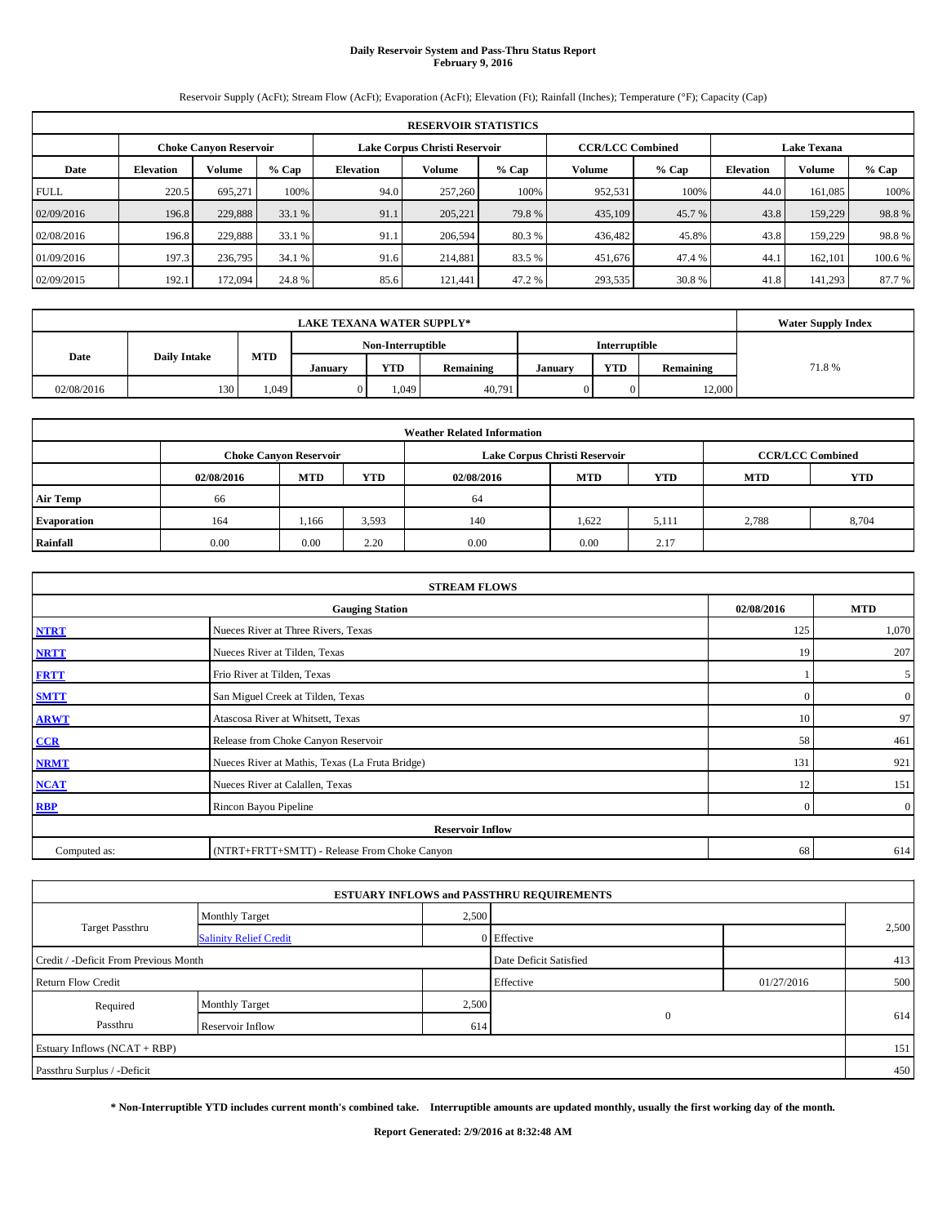# **Daily Reservoir System and Pass-Thru Status Report February 9, 2016**

Reservoir Supply (AcFt); Stream Flow (AcFt); Evaporation (AcFt); Elevation (Ft); Rainfall (Inches); Temperature (°F); Capacity (Cap)

|             | <b>RESERVOIR STATISTICS</b>                                                                                     |         |         |                  |         |        |         |         |                  |               |         |  |  |  |  |
|-------------|-----------------------------------------------------------------------------------------------------------------|---------|---------|------------------|---------|--------|---------|---------|------------------|---------------|---------|--|--|--|--|
|             | Lake Corpus Christi Reservoir<br><b>CCR/LCC Combined</b><br><b>Lake Texana</b><br><b>Choke Canyon Reservoir</b> |         |         |                  |         |        |         |         |                  |               |         |  |  |  |  |
| Date        | <b>Elevation</b>                                                                                                | Volume  | $%$ Cap | <b>Elevation</b> | Volume  | % Cap  | Volume  | $%$ Cap | <b>Elevation</b> | <b>Volume</b> | $%$ Cap |  |  |  |  |
| <b>FULL</b> | 220.5                                                                                                           | 695.271 | 100%    | 94.0             | 257,260 | 100%   | 952,531 | 100%    | 44.0             | 161.085       | 100%    |  |  |  |  |
| 02/09/2016  | 196.8                                                                                                           | 229,888 | 33.1 %  | 91.1             | 205,221 | 79.8%  | 435,109 | 45.7 %  | 43.8             | 159,229       | 98.8%   |  |  |  |  |
| 02/08/2016  | 196.8                                                                                                           | 229.888 | 33.1 %  | 91.1             | 206.594 | 80.3 % | 436.482 | 45.8%   | 43.8             | 159,229       | 98.8%   |  |  |  |  |
| 01/09/2016  | 197.3                                                                                                           | 236,795 | 34.1 %  | 91.6             | 214,881 | 83.5 % | 451,676 | 47.4 %  | 44.              | 162,101       | 100.6 % |  |  |  |  |
| 02/09/2015  | 192.1                                                                                                           | 172,094 | 24.8 %  | 85.6             | 121.441 | 47.2 % | 293,535 | 30.8 %  | 41.8             | 141.293       | 87.7 %  |  |  |  |  |

|            | <b>LAKE TEXANA WATER SUPPLY*</b> |            |         |            |           |               |            |           |       |  |  |
|------------|----------------------------------|------------|---------|------------|-----------|---------------|------------|-----------|-------|--|--|
|            |                                  |            |         |            |           |               |            |           |       |  |  |
| Date       | <b>Daily Intake</b>              | <b>MTD</b> | Januarv | <b>YTD</b> | Remaining | <b>Januar</b> | <b>YTD</b> | Remaining | 71.8% |  |  |
| 02/08/2016 | 130                              | .049       |         | 1.049      | 40,791    |               |            | 12.000    |       |  |  |

|                    |            |                               |            | <b>Weather Related Information</b> |                               |                         |            |            |
|--------------------|------------|-------------------------------|------------|------------------------------------|-------------------------------|-------------------------|------------|------------|
|                    |            | <b>Choke Canyon Reservoir</b> |            |                                    | Lake Corpus Christi Reservoir | <b>CCR/LCC Combined</b> |            |            |
|                    | 02/08/2016 | <b>MTD</b>                    | <b>YTD</b> | 02/08/2016                         | <b>MTD</b>                    | <b>YTD</b>              | <b>MTD</b> | <b>YTD</b> |
| <b>Air Temp</b>    | 66         |                               |            | 64                                 |                               |                         |            |            |
| <b>Evaporation</b> | 164        | 1,166                         | 3,593      | 140                                | 1.622                         | 5,111                   | 2,788      | 8,704      |
| Rainfall           | 0.00       | 0.00                          | 2.20       | 0.00                               | 0.00                          | 2.17                    |            |            |

|              | <b>STREAM FLOWS</b>                             |                |                  |  |  |  |  |  |  |  |  |
|--------------|-------------------------------------------------|----------------|------------------|--|--|--|--|--|--|--|--|
|              | <b>Gauging Station</b>                          | 02/08/2016     | <b>MTD</b>       |  |  |  |  |  |  |  |  |
| <b>NTRT</b>  | Nueces River at Three Rivers, Texas             | 125            | 1,070            |  |  |  |  |  |  |  |  |
| <b>NRTT</b>  | Nueces River at Tilden, Texas                   | 19             | 207              |  |  |  |  |  |  |  |  |
| <b>FRTT</b>  | Frio River at Tilden, Texas                     |                | 5                |  |  |  |  |  |  |  |  |
| <b>SMTT</b>  | San Miguel Creek at Tilden, Texas               | $\Omega$       | $\boldsymbol{0}$ |  |  |  |  |  |  |  |  |
| <b>ARWT</b>  | Atascosa River at Whitsett, Texas               | 10             | 97               |  |  |  |  |  |  |  |  |
| CCR          | Release from Choke Canyon Reservoir             | 58             | 461              |  |  |  |  |  |  |  |  |
| <b>NRMT</b>  | Nueces River at Mathis, Texas (La Fruta Bridge) | 131            | 921              |  |  |  |  |  |  |  |  |
| <b>NCAT</b>  | Nueces River at Calallen, Texas                 | 12             | 151              |  |  |  |  |  |  |  |  |
| <b>RBP</b>   | Rincon Bayou Pipeline                           | $\overline{0}$ | $\overline{0}$   |  |  |  |  |  |  |  |  |
|              | <b>Reservoir Inflow</b>                         |                |                  |  |  |  |  |  |  |  |  |
| Computed as: | (NTRT+FRTT+SMTT) - Release From Choke Canyon    | 68             | 614              |  |  |  |  |  |  |  |  |

|                                       |                               |       | <b>ESTUARY INFLOWS and PASSTHRU REQUIREMENTS</b> |            |       |
|---------------------------------------|-------------------------------|-------|--------------------------------------------------|------------|-------|
|                                       | <b>Monthly Target</b>         | 2,500 |                                                  |            |       |
| Target Passthru                       | <b>Salinity Relief Credit</b> |       | 0 Effective                                      |            | 2,500 |
| Credit / -Deficit From Previous Month |                               |       | Date Deficit Satisfied                           |            | 413   |
| <b>Return Flow Credit</b>             |                               |       | Effective                                        | 01/27/2016 | 500   |
| Required                              | <b>Monthly Target</b>         | 2,500 |                                                  |            |       |
| Passthru                              | Reservoir Inflow              | 614   | $\mathbf{0}$                                     |            | 614   |
| Estuary Inflows (NCAT + RBP)          |                               |       |                                                  |            | 151   |
| Passthru Surplus / -Deficit           |                               |       |                                                  |            | 450   |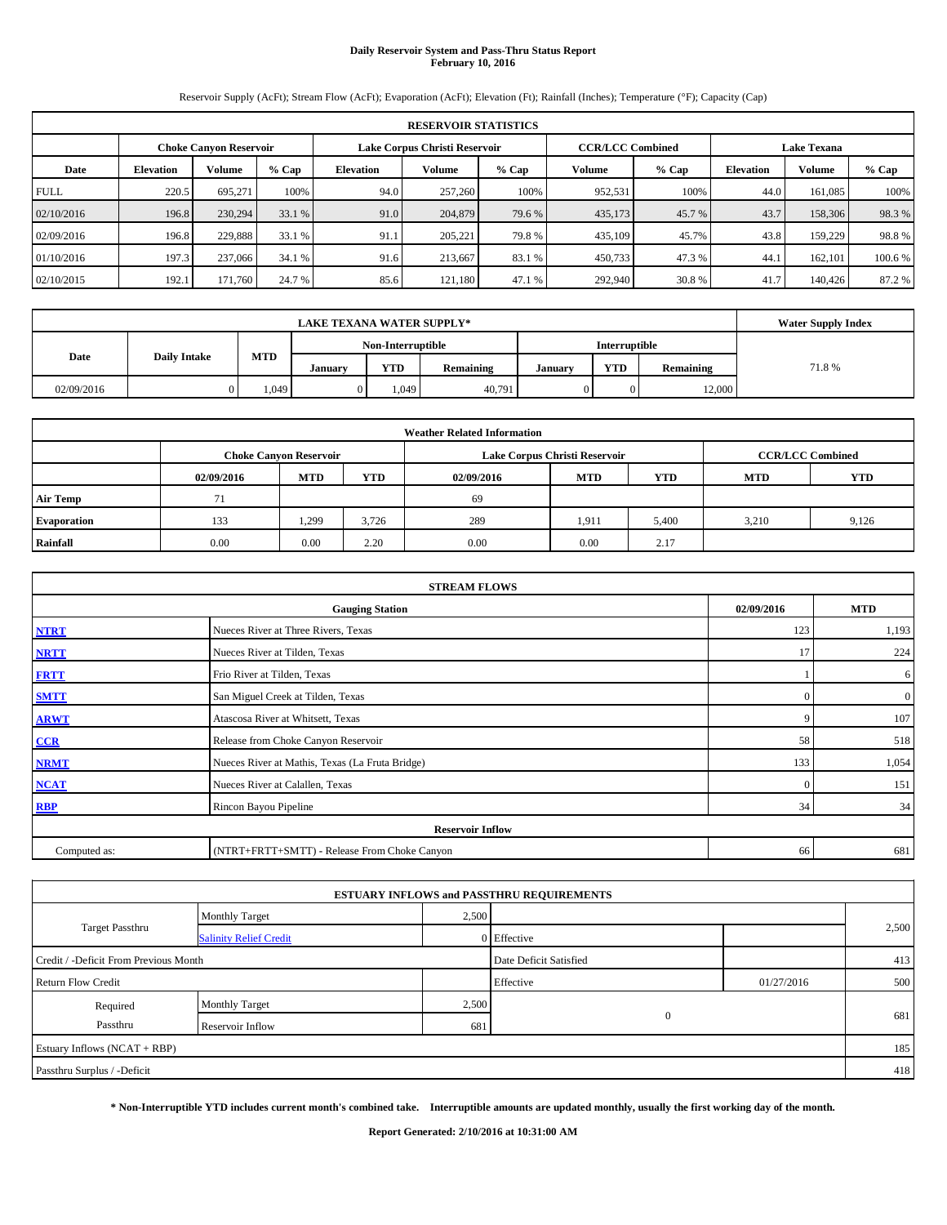## **Daily Reservoir System and Pass-Thru Status Report February 10, 2016**

Reservoir Supply (AcFt); Stream Flow (AcFt); Evaporation (AcFt); Elevation (Ft); Rainfall (Inches); Temperature (°F); Capacity (Cap)

|             | <b>RESERVOIR STATISTICS</b>                                                                                     |         |         |                  |               |         |         |         |                  |               |        |  |  |  |  |
|-------------|-----------------------------------------------------------------------------------------------------------------|---------|---------|------------------|---------------|---------|---------|---------|------------------|---------------|--------|--|--|--|--|
|             | <b>CCR/LCC Combined</b><br>Lake Corpus Christi Reservoir<br><b>Lake Texana</b><br><b>Choke Canyon Reservoir</b> |         |         |                  |               |         |         |         |                  |               |        |  |  |  |  |
| Date        | <b>Elevation</b>                                                                                                | Volume  | $%$ Cap | <b>Elevation</b> | <b>Volume</b> | $%$ Cap | Volume  | $%$ Cap | <b>Elevation</b> | <b>Volume</b> | % Cap  |  |  |  |  |
| <b>FULL</b> | 220.5                                                                                                           | 695.271 | 100%    | 94.0             | 257,260       | 100%    | 952,531 | 100%    | 44.0             | 161,085       | 100%   |  |  |  |  |
| 02/10/2016  | 196.8                                                                                                           | 230,294 | 33.1 %  | 91.0             | 204,879       | 79.6 %  | 435,173 | 45.7%   | 43.7             | 158,306       | 98.3 % |  |  |  |  |
| 02/09/2016  | 196.8                                                                                                           | 229.888 | 33.1 %  | 91.1             | 205,221       | 79.8%   | 435,109 | 45.7%   | 43.8             | 159,229       | 98.8%  |  |  |  |  |
| 01/10/2016  | 197.3                                                                                                           | 237,066 | 34.1 %  | 91.6             | 213,667       | 83.1 %  | 450,733 | 47.3%   | 44.1             | 162,101       | 100.6% |  |  |  |  |
| 02/10/2015  | 192.1                                                                                                           | 171.760 | 24.7 %  | 85.6             | 121.180       | 47.1 %  | 292,940 | 30.8 %  | 41.7             | 140,426       | 87.2 % |  |  |  |  |

|                             | <b>LAKE TEXANA WATER SUPPLY*</b> |            |         |       |           |         |            |               |       |  |  |
|-----------------------------|----------------------------------|------------|---------|-------|-----------|---------|------------|---------------|-------|--|--|
| Non-Interruptible           |                                  |            |         |       |           |         |            | Interruptible |       |  |  |
| Date<br><b>Daily Intake</b> |                                  | <b>MTD</b> | Januarv | YTD   | Remaining | Januarv | <b>YTD</b> | Remaining     | 71.8% |  |  |
| 02/09/2016                  |                                  | 1,049      |         | 1.049 | 40,791    |         |            | 12,000        |       |  |  |

|                    |            |                               |            | <b>Weather Related Information</b> |                               |                         |            |            |
|--------------------|------------|-------------------------------|------------|------------------------------------|-------------------------------|-------------------------|------------|------------|
|                    |            | <b>Choke Canyon Reservoir</b> |            |                                    | Lake Corpus Christi Reservoir | <b>CCR/LCC Combined</b> |            |            |
|                    | 02/09/2016 | <b>MTD</b>                    | <b>YTD</b> | 02/09/2016                         | <b>MTD</b>                    | <b>YTD</b>              | <b>MTD</b> | <b>YTD</b> |
| <b>Air Temp</b>    | 71         |                               |            | 69                                 |                               |                         |            |            |
| <b>Evaporation</b> | 133        | 1,299                         | 3.726      | 289                                | 1,911                         | 5,400                   | 3.210      | 9,126      |
| Rainfall           | 0.00       | 0.00                          | 2.20       | 0.00                               | 0.00                          | 2.17                    |            |            |

|              | <b>STREAM FLOWS</b>                             |            |                  |  |  |  |  |  |  |  |  |
|--------------|-------------------------------------------------|------------|------------------|--|--|--|--|--|--|--|--|
|              | <b>Gauging Station</b>                          | 02/09/2016 | <b>MTD</b>       |  |  |  |  |  |  |  |  |
| <b>NTRT</b>  | Nueces River at Three Rivers, Texas             | 123        | 1,193            |  |  |  |  |  |  |  |  |
| <b>NRTT</b>  | Nueces River at Tilden, Texas                   | 17         | 224              |  |  |  |  |  |  |  |  |
| <b>FRTT</b>  | Frio River at Tilden, Texas                     |            | 6                |  |  |  |  |  |  |  |  |
| <b>SMTT</b>  | San Miguel Creek at Tilden, Texas               | $\Omega$   | $\boldsymbol{0}$ |  |  |  |  |  |  |  |  |
| <b>ARWT</b>  | Atascosa River at Whitsett, Texas               | 9          | 107              |  |  |  |  |  |  |  |  |
| CCR          | Release from Choke Canyon Reservoir             | 58         | 518              |  |  |  |  |  |  |  |  |
| <b>NRMT</b>  | Nueces River at Mathis, Texas (La Fruta Bridge) | 133        | 1,054            |  |  |  |  |  |  |  |  |
| <b>NCAT</b>  | Nueces River at Calallen, Texas                 | $\Omega$   | 151              |  |  |  |  |  |  |  |  |
| <b>RBP</b>   | Rincon Bayou Pipeline                           | 34         | 34               |  |  |  |  |  |  |  |  |
|              | <b>Reservoir Inflow</b>                         |            |                  |  |  |  |  |  |  |  |  |
| Computed as: | (NTRT+FRTT+SMTT) - Release From Choke Canyon    | 66         | 681              |  |  |  |  |  |  |  |  |

| <b>ESTUARY INFLOWS and PASSTHRU REQUIREMENTS</b> |                               |       |                        |            |       |  |  |  |  |  |
|--------------------------------------------------|-------------------------------|-------|------------------------|------------|-------|--|--|--|--|--|
|                                                  | <b>Monthly Target</b>         | 2,500 |                        |            |       |  |  |  |  |  |
| Target Passthru                                  | <b>Salinity Relief Credit</b> |       | 0 Effective            |            | 2,500 |  |  |  |  |  |
| Credit / -Deficit From Previous Month            |                               |       | Date Deficit Satisfied |            | 413   |  |  |  |  |  |
| <b>Return Flow Credit</b>                        |                               |       | Effective              | 01/27/2016 | 500   |  |  |  |  |  |
| Required                                         | <b>Monthly Target</b>         | 2,500 |                        |            |       |  |  |  |  |  |
| Passthru                                         | Reservoir Inflow              | 681   | $\mathbf{0}$           |            | 681   |  |  |  |  |  |
| Estuary Inflows (NCAT + RBP)                     |                               |       |                        |            | 185   |  |  |  |  |  |
| Passthru Surplus / -Deficit                      |                               |       |                        |            | 418   |  |  |  |  |  |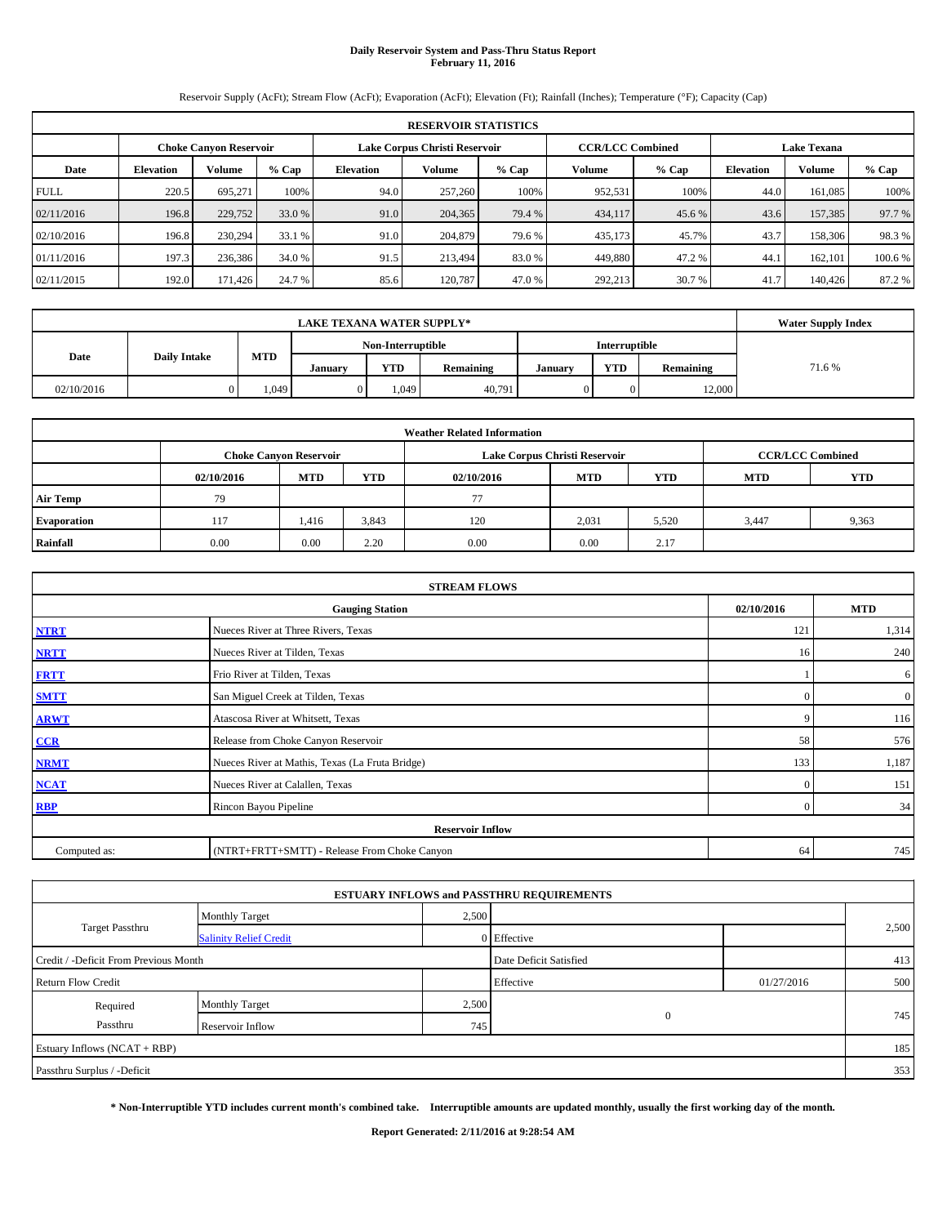# **Daily Reservoir System and Pass-Thru Status Report February 11, 2016**

Reservoir Supply (AcFt); Stream Flow (AcFt); Evaporation (AcFt); Elevation (Ft); Rainfall (Inches); Temperature (°F); Capacity (Cap)

|             | <b>RESERVOIR STATISTICS</b> |                               |         |                  |                               |         |                         |         |                    |               |         |  |  |
|-------------|-----------------------------|-------------------------------|---------|------------------|-------------------------------|---------|-------------------------|---------|--------------------|---------------|---------|--|--|
|             |                             | <b>Choke Canvon Reservoir</b> |         |                  | Lake Corpus Christi Reservoir |         | <b>CCR/LCC Combined</b> |         | <b>Lake Texana</b> |               |         |  |  |
| Date        | <b>Elevation</b>            | Volume                        | $%$ Cap | <b>Elevation</b> | Volume                        | $%$ Cap | Volume                  | $%$ Cap | <b>Elevation</b>   | <b>Volume</b> | % Cap   |  |  |
| <b>FULL</b> | 220.5                       | 695.271                       | 100%    | 94.0             | 257,260                       | 100%    | 952,531                 | 100%    | 44.0               | 161,085       | 100%    |  |  |
| 02/11/2016  | 196.8                       | 229,752                       | 33.0 %  | 91.0             | 204,365                       | 79.4 %  | 434,117                 | 45.6 %  | 43.6               | 157,385       | 97.7 %  |  |  |
| 02/10/2016  | 196.8                       | 230,294                       | 33.1 %  | 91.0             | 204,879                       | 79.6 %  | 435,173                 | 45.7%   | 43.7               | 158,306       | 98.3%   |  |  |
| 01/11/2016  | 197.3                       | 236,386                       | 34.0 %  | 91.5             | 213,494                       | 83.0 %  | 449,880                 | 47.2%   | 44.1               | 162,101       | 100.6 % |  |  |
| 02/11/2015  | 192.0                       | 171,426                       | 24.7 %  | 85.6             | 120.787                       | 47.0 %  | 292,213                 | 30.7 %  | 41.7               | 140,426       | 87.2 %  |  |  |

| <b>LAKE TEXANA WATER SUPPLY*</b> |                     |            |         |                   |           |               |            |           | <b>Water Supply Index</b> |
|----------------------------------|---------------------|------------|---------|-------------------|-----------|---------------|------------|-----------|---------------------------|
|                                  |                     |            |         | Non-Interruptible |           | Interruptible |            |           |                           |
| Date                             | <b>Daily Intake</b> | <b>MTD</b> | Januarv | YTD               | Remaining | Januarv       | <b>YTD</b> | Remaining | 71.6 %                    |
| 02/10/2016                       |                     | 1,049      |         | 1.049             | 40,791    |               |            | 12,000    |                           |

| <b>Weather Related Information</b> |            |                               |            |            |                               |                         |            |            |  |  |  |
|------------------------------------|------------|-------------------------------|------------|------------|-------------------------------|-------------------------|------------|------------|--|--|--|
|                                    |            | <b>Choke Canyon Reservoir</b> |            |            | Lake Corpus Christi Reservoir | <b>CCR/LCC Combined</b> |            |            |  |  |  |
|                                    | 02/10/2016 | <b>MTD</b>                    | <b>YTD</b> | 02/10/2016 | <b>MTD</b>                    | <b>YTD</b>              | <b>MTD</b> | <b>YTD</b> |  |  |  |
| <b>Air Temp</b>                    | 79         |                               |            | 77         |                               |                         |            |            |  |  |  |
| <b>Evaporation</b>                 | 117        | 1,416                         | 3,843      | 120        | 2,031                         | 5,520                   | 3.447      | 9,363      |  |  |  |
| Rainfall                           | 0.00       | 0.00                          | 2.20       | 0.00       | 0.00                          | 2.17                    |            |            |  |  |  |

|              | <b>STREAM FLOWS</b>                             |                |                  |  |  |  |  |  |  |  |  |
|--------------|-------------------------------------------------|----------------|------------------|--|--|--|--|--|--|--|--|
|              | <b>Gauging Station</b>                          | 02/10/2016     | <b>MTD</b>       |  |  |  |  |  |  |  |  |
| <b>NTRT</b>  | Nueces River at Three Rivers, Texas             | 121            | 1,314            |  |  |  |  |  |  |  |  |
| <b>NRTT</b>  | Nueces River at Tilden, Texas                   | 16             | 240              |  |  |  |  |  |  |  |  |
| <b>FRTT</b>  | Frio River at Tilden, Texas                     |                | 6                |  |  |  |  |  |  |  |  |
| <b>SMTT</b>  | San Miguel Creek at Tilden, Texas               | $\Omega$       | $\boldsymbol{0}$ |  |  |  |  |  |  |  |  |
| <b>ARWT</b>  | Atascosa River at Whitsett, Texas               | 9              | 116              |  |  |  |  |  |  |  |  |
| CCR          | Release from Choke Canyon Reservoir             | 58             | 576              |  |  |  |  |  |  |  |  |
| <b>NRMT</b>  | Nueces River at Mathis, Texas (La Fruta Bridge) | 133            | 1,187            |  |  |  |  |  |  |  |  |
| <b>NCAT</b>  | Nueces River at Calallen, Texas                 | $\mathbf{0}$   | 151              |  |  |  |  |  |  |  |  |
| <b>RBP</b>   | Rincon Bayou Pipeline                           | $\overline{0}$ | 34               |  |  |  |  |  |  |  |  |
|              | <b>Reservoir Inflow</b>                         |                |                  |  |  |  |  |  |  |  |  |
| Computed as: | (NTRT+FRTT+SMTT) - Release From Choke Canyon    | 64             | 745              |  |  |  |  |  |  |  |  |

| <b>ESTUARY INFLOWS and PASSTHRU REQUIREMENTS</b> |                               |       |                        |            |       |  |  |  |  |  |
|--------------------------------------------------|-------------------------------|-------|------------------------|------------|-------|--|--|--|--|--|
|                                                  | <b>Monthly Target</b>         | 2,500 |                        |            |       |  |  |  |  |  |
| Target Passthru                                  | <b>Salinity Relief Credit</b> |       | 0 Effective            |            | 2,500 |  |  |  |  |  |
| Credit / -Deficit From Previous Month            |                               |       | Date Deficit Satisfied |            | 413   |  |  |  |  |  |
| <b>Return Flow Credit</b>                        |                               |       | Effective              | 01/27/2016 | 500   |  |  |  |  |  |
| Required                                         | <b>Monthly Target</b>         | 2,500 |                        |            |       |  |  |  |  |  |
| Passthru                                         | Reservoir Inflow              | 745   | $\mathbf{0}$           |            | 745   |  |  |  |  |  |
| Estuary Inflows (NCAT + RBP)                     |                               |       |                        |            | 185   |  |  |  |  |  |
| Passthru Surplus / -Deficit                      |                               |       |                        |            | 353   |  |  |  |  |  |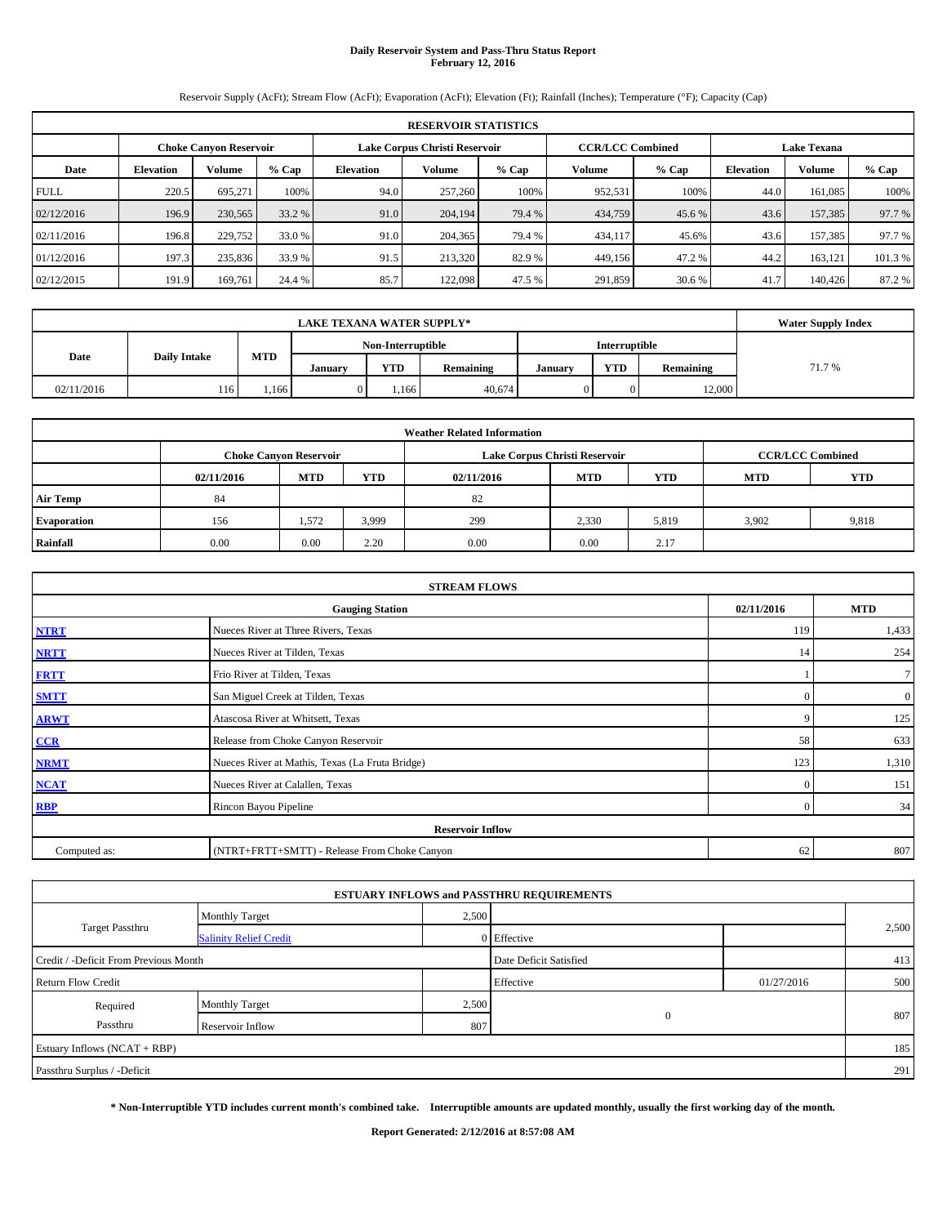# **Daily Reservoir System and Pass-Thru Status Report February 12, 2016**

Reservoir Supply (AcFt); Stream Flow (AcFt); Evaporation (AcFt); Elevation (Ft); Rainfall (Inches); Temperature (°F); Capacity (Cap)

|             | <b>RESERVOIR STATISTICS</b>   |         |         |                  |                               |         |         |                         |                  |                    |         |  |
|-------------|-------------------------------|---------|---------|------------------|-------------------------------|---------|---------|-------------------------|------------------|--------------------|---------|--|
|             | <b>Choke Canyon Reservoir</b> |         |         |                  | Lake Corpus Christi Reservoir |         |         | <b>CCR/LCC Combined</b> |                  | <b>Lake Texana</b> |         |  |
| Date        | <b>Elevation</b>              | Volume  | $%$ Cap | <b>Elevation</b> | <b>Volume</b>                 | $%$ Cap | Volume  | $%$ Cap                 | <b>Elevation</b> | Volume             | % Cap   |  |
| <b>FULL</b> | 220.5                         | 695.271 | 100%    | 94.0             | 257,260                       | 100%    | 952,531 | 100%                    | 44.0             | 161,085            | 100%    |  |
| 02/12/2016  | 196.9                         | 230,565 | 33.2 %  | 91.0             | 204,194                       | 79.4 %  | 434,759 | 45.6 %                  | 43.6             | 157,385            | 97.7 %  |  |
| 02/11/2016  | 196.8                         | 229,752 | 33.0 %  | 91.0             | 204,365                       | 79.4 %  | 434,117 | 45.6%                   | 43.6             | 157,385            | 97.7 %  |  |
| 01/12/2016  | 197.3                         | 235,836 | 33.9 %  | 91.5             | 213,320                       | 82.9 %  | 449,156 | 47.2 %                  | 44.2             | 163,121            | 101.3 % |  |
| 02/12/2015  | 191.9                         | 169.761 | 24.4 %  | 85.7             | 122,098                       | 47.5 %  | 291,859 | 30.6 %                  | 41.7             | 140,426            | 87.2 %  |  |

| <b>LAKE TEXANA WATER SUPPLY*</b> |                     |            |         |                   |           |               |               |           | <b>Water Supply Index</b> |
|----------------------------------|---------------------|------------|---------|-------------------|-----------|---------------|---------------|-----------|---------------------------|
|                                  |                     |            |         | Non-Interruptible |           |               | Interruptible |           |                           |
| Date                             | <b>Daily Intake</b> | <b>MTD</b> | Januarv | <b>YTD</b>        | Remaining | <b>Januar</b> | <b>YTD</b>    | Remaining | 71.7%                     |
| 02/11/2016                       | 116                 | .166       |         | .166              | 40.674    |               |               | 12.000    |                           |

| <b>Weather Related Information</b> |            |                               |            |            |                               |                         |            |            |  |  |  |
|------------------------------------|------------|-------------------------------|------------|------------|-------------------------------|-------------------------|------------|------------|--|--|--|
|                                    |            | <b>Choke Canyon Reservoir</b> |            |            | Lake Corpus Christi Reservoir | <b>CCR/LCC Combined</b> |            |            |  |  |  |
|                                    | 02/11/2016 | <b>MTD</b>                    | <b>YTD</b> | 02/11/2016 | <b>MTD</b>                    | <b>YTD</b>              | <b>MTD</b> | <b>YTD</b> |  |  |  |
| <b>Air Temp</b>                    | 84         |                               |            | 82         |                               |                         |            |            |  |  |  |
| <b>Evaporation</b>                 | 156        | 1,572                         | 3,999      | 299        | 2,330                         | 5,819                   | 3.902      | 9,818      |  |  |  |
| Rainfall                           | 0.00       | 0.00                          | 2.20       | 0.00       | 0.00                          | 2.17                    |            |            |  |  |  |

|              | <b>STREAM FLOWS</b>                             |                |                  |  |  |  |  |  |  |  |  |
|--------------|-------------------------------------------------|----------------|------------------|--|--|--|--|--|--|--|--|
|              | <b>Gauging Station</b>                          | 02/11/2016     | <b>MTD</b>       |  |  |  |  |  |  |  |  |
| <b>NTRT</b>  | Nueces River at Three Rivers, Texas             | 119            | 1,433            |  |  |  |  |  |  |  |  |
| <b>NRTT</b>  | Nueces River at Tilden, Texas                   | 14             | 254              |  |  |  |  |  |  |  |  |
| <b>FRTT</b>  | Frio River at Tilden, Texas                     |                | $\tau$           |  |  |  |  |  |  |  |  |
| <b>SMTT</b>  | San Miguel Creek at Tilden, Texas               | $\Omega$       | $\boldsymbol{0}$ |  |  |  |  |  |  |  |  |
| <b>ARWT</b>  | Atascosa River at Whitsett, Texas               | 9              | 125              |  |  |  |  |  |  |  |  |
| CCR          | Release from Choke Canyon Reservoir             | 58             | 633              |  |  |  |  |  |  |  |  |
| <b>NRMT</b>  | Nueces River at Mathis, Texas (La Fruta Bridge) | 123            | 1,310            |  |  |  |  |  |  |  |  |
| <b>NCAT</b>  | Nueces River at Calallen, Texas                 | $\Omega$       | 151              |  |  |  |  |  |  |  |  |
| <b>RBP</b>   | Rincon Bayou Pipeline                           | $\overline{0}$ | 34               |  |  |  |  |  |  |  |  |
|              | <b>Reservoir Inflow</b>                         |                |                  |  |  |  |  |  |  |  |  |
| Computed as: | (NTRT+FRTT+SMTT) - Release From Choke Canyon    | 62             | 807              |  |  |  |  |  |  |  |  |

|                                       |                               |       | <b>ESTUARY INFLOWS and PASSTHRU REQUIREMENTS</b> |            |       |  |
|---------------------------------------|-------------------------------|-------|--------------------------------------------------|------------|-------|--|
|                                       | <b>Monthly Target</b>         | 2,500 |                                                  |            |       |  |
| <b>Target Passthru</b>                | <b>Salinity Relief Credit</b> |       | 0 Effective                                      |            | 2,500 |  |
| Credit / -Deficit From Previous Month |                               |       | Date Deficit Satisfied                           |            | 413   |  |
| <b>Return Flow Credit</b>             |                               |       | Effective                                        | 01/27/2016 | 500   |  |
| Required                              | <b>Monthly Target</b>         | 2,500 |                                                  |            |       |  |
| Passthru                              | Reservoir Inflow              | 807   | $\mathbf{0}$                                     |            | 807   |  |
| Estuary Inflows (NCAT + RBP)          |                               |       |                                                  |            | 185   |  |
| Passthru Surplus / -Deficit           |                               |       |                                                  |            | 291   |  |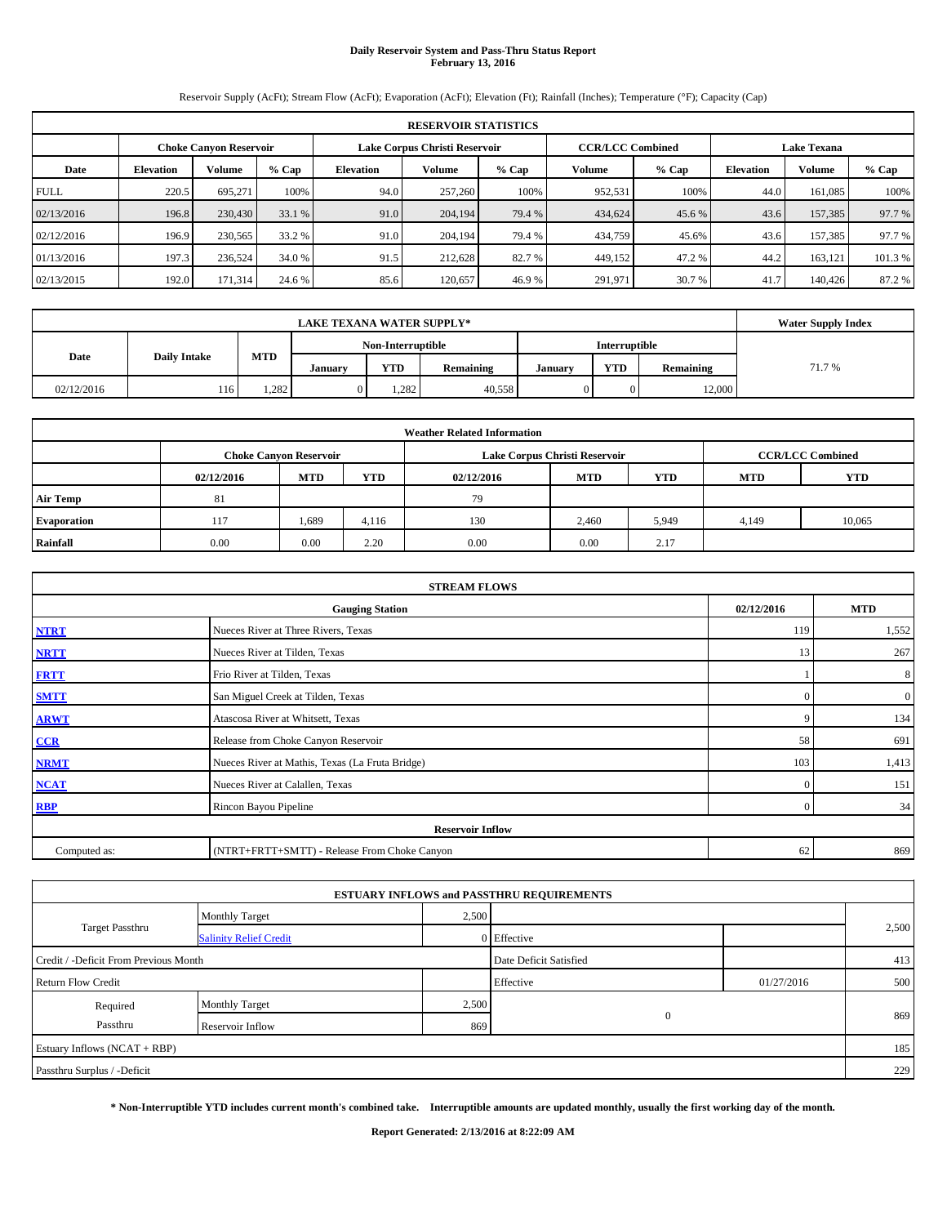# **Daily Reservoir System and Pass-Thru Status Report February 13, 2016**

Reservoir Supply (AcFt); Stream Flow (AcFt); Evaporation (AcFt); Elevation (Ft); Rainfall (Inches); Temperature (°F); Capacity (Cap)

| <b>RESERVOIR STATISTICS</b> |                                                                                                                 |         |         |                  |         |         |         |         |                  |         |         |  |
|-----------------------------|-----------------------------------------------------------------------------------------------------------------|---------|---------|------------------|---------|---------|---------|---------|------------------|---------|---------|--|
|                             | <b>CCR/LCC Combined</b><br>Lake Corpus Christi Reservoir<br><b>Lake Texana</b><br><b>Choke Canyon Reservoir</b> |         |         |                  |         |         |         |         |                  |         |         |  |
| Date                        | <b>Elevation</b>                                                                                                | Volume  | $%$ Cap | <b>Elevation</b> | Volume  | $%$ Cap | Volume  | $%$ Cap | <b>Elevation</b> | Volume  | % Cap   |  |
| <b>FULL</b>                 | 220.5                                                                                                           | 695.271 | 100%    | 94.0             | 257,260 | 100%    | 952,531 | 100%    | 44.0             | 161,085 | 100%    |  |
| 02/13/2016                  | 196.8                                                                                                           | 230,430 | 33.1 %  | 91.0             | 204,194 | 79.4 %  | 434,624 | 45.6 %  | 43.6             | 157,385 | 97.7 %  |  |
| 02/12/2016                  | 196.9                                                                                                           | 230,565 | 33.2 %  | 91.0             | 204.194 | 79.4 %  | 434,759 | 45.6%   | 43.6             | 157,385 | 97.7 %  |  |
| 01/13/2016                  | 197.3                                                                                                           | 236,524 | 34.0 %  | 91.5             | 212.628 | 82.7 %  | 449,152 | 47.2 %  | 44.2             | 163,121 | 101.3 % |  |
| 02/13/2015                  | 192.0                                                                                                           | 171,314 | 24.6 %  | 85.6             | 120.657 | 46.9%   | 291,971 | 30.7 %  | 41.7             | 140,426 | 87.2 %  |  |

|                                           | <b>LAKE TEXANA WATER SUPPLY*</b> |       |         |                   |           |         |               |           |        |  |  |
|-------------------------------------------|----------------------------------|-------|---------|-------------------|-----------|---------|---------------|-----------|--------|--|--|
|                                           |                                  |       |         | Non-Interruptible |           |         | Interruptible |           |        |  |  |
| <b>MTD</b><br>Date<br><b>Daily Intake</b> |                                  |       | Januarv | YTD               | Remaining | Januarv | <b>YTD</b>    | Remaining | 71.7 % |  |  |
| 02/12/2016                                | 116                              | 1,282 |         | 1.282             | 40,558    |         |               | 12,000    |        |  |  |

| <b>Weather Related Information</b> |                                                                                                |                               |       |      |                               |                         |       |        |  |  |  |
|------------------------------------|------------------------------------------------------------------------------------------------|-------------------------------|-------|------|-------------------------------|-------------------------|-------|--------|--|--|--|
|                                    |                                                                                                | <b>Choke Canvon Reservoir</b> |       |      | Lake Corpus Christi Reservoir | <b>CCR/LCC Combined</b> |       |        |  |  |  |
|                                    | <b>YTD</b><br><b>YTD</b><br><b>MTD</b><br><b>MTD</b><br>02/12/2016<br>02/12/2016<br><b>MTD</b> |                               |       |      |                               |                         |       |        |  |  |  |
| <b>Air Temp</b>                    | 81                                                                                             |                               |       | 79   |                               |                         |       |        |  |  |  |
| <b>Evaporation</b>                 | 117                                                                                            | 1,689                         | 4,116 | 130  | 2.460                         | 5,949                   | 4,149 | 10,065 |  |  |  |
| Rainfall                           | 0.00                                                                                           | 0.00                          | 2.20  | 0.00 | 0.00                          | 2.17                    |       |        |  |  |  |

| <b>STREAM FLOWS</b> |                                                    |              |                  |  |  |  |  |  |  |  |
|---------------------|----------------------------------------------------|--------------|------------------|--|--|--|--|--|--|--|
|                     | <b>MTD</b><br>02/12/2016<br><b>Gauging Station</b> |              |                  |  |  |  |  |  |  |  |
| <b>NTRT</b>         | Nueces River at Three Rivers, Texas                | 119          | 1,552            |  |  |  |  |  |  |  |
| <b>NRTT</b>         | Nueces River at Tilden, Texas                      | 13           | 267              |  |  |  |  |  |  |  |
| <b>FRTT</b>         | Frio River at Tilden, Texas                        |              | 8                |  |  |  |  |  |  |  |
| <b>SMTT</b>         | San Miguel Creek at Tilden, Texas                  | $\mathbf{0}$ | $\boldsymbol{0}$ |  |  |  |  |  |  |  |
| <b>ARWT</b>         | Atascosa River at Whitsett, Texas                  | 9            | 134              |  |  |  |  |  |  |  |
| CCR                 | Release from Choke Canyon Reservoir                | 58           | 691              |  |  |  |  |  |  |  |
| <b>NRMT</b>         | Nueces River at Mathis, Texas (La Fruta Bridge)    | 103          | 1,413            |  |  |  |  |  |  |  |
| <b>NCAT</b>         | Nueces River at Calallen, Texas                    | $\Omega$     | 151              |  |  |  |  |  |  |  |
| <b>RBP</b>          | Rincon Bayou Pipeline                              | $\Omega$     | 34               |  |  |  |  |  |  |  |
|                     | <b>Reservoir Inflow</b>                            |              |                  |  |  |  |  |  |  |  |
| Computed as:        | (NTRT+FRTT+SMTT) - Release From Choke Canyon       | 62           | 869              |  |  |  |  |  |  |  |

|                                       |                               |       | <b>ESTUARY INFLOWS and PASSTHRU REQUIREMENTS</b> |            |       |
|---------------------------------------|-------------------------------|-------|--------------------------------------------------|------------|-------|
|                                       | <b>Monthly Target</b>         | 2,500 |                                                  |            |       |
| <b>Target Passthru</b>                | <b>Salinity Relief Credit</b> |       | 0 Effective                                      |            | 2,500 |
| Credit / -Deficit From Previous Month |                               |       | Date Deficit Satisfied                           |            | 413   |
| <b>Return Flow Credit</b>             |                               |       | Effective                                        | 01/27/2016 | 500   |
| Required                              | <b>Monthly Target</b>         | 2,500 |                                                  |            |       |
| Passthru                              | Reservoir Inflow              | 869   | $\mathbf{0}$                                     |            | 869   |
| Estuary Inflows (NCAT + RBP)          |                               |       |                                                  |            | 185   |
| Passthru Surplus / -Deficit           |                               |       |                                                  |            | 229   |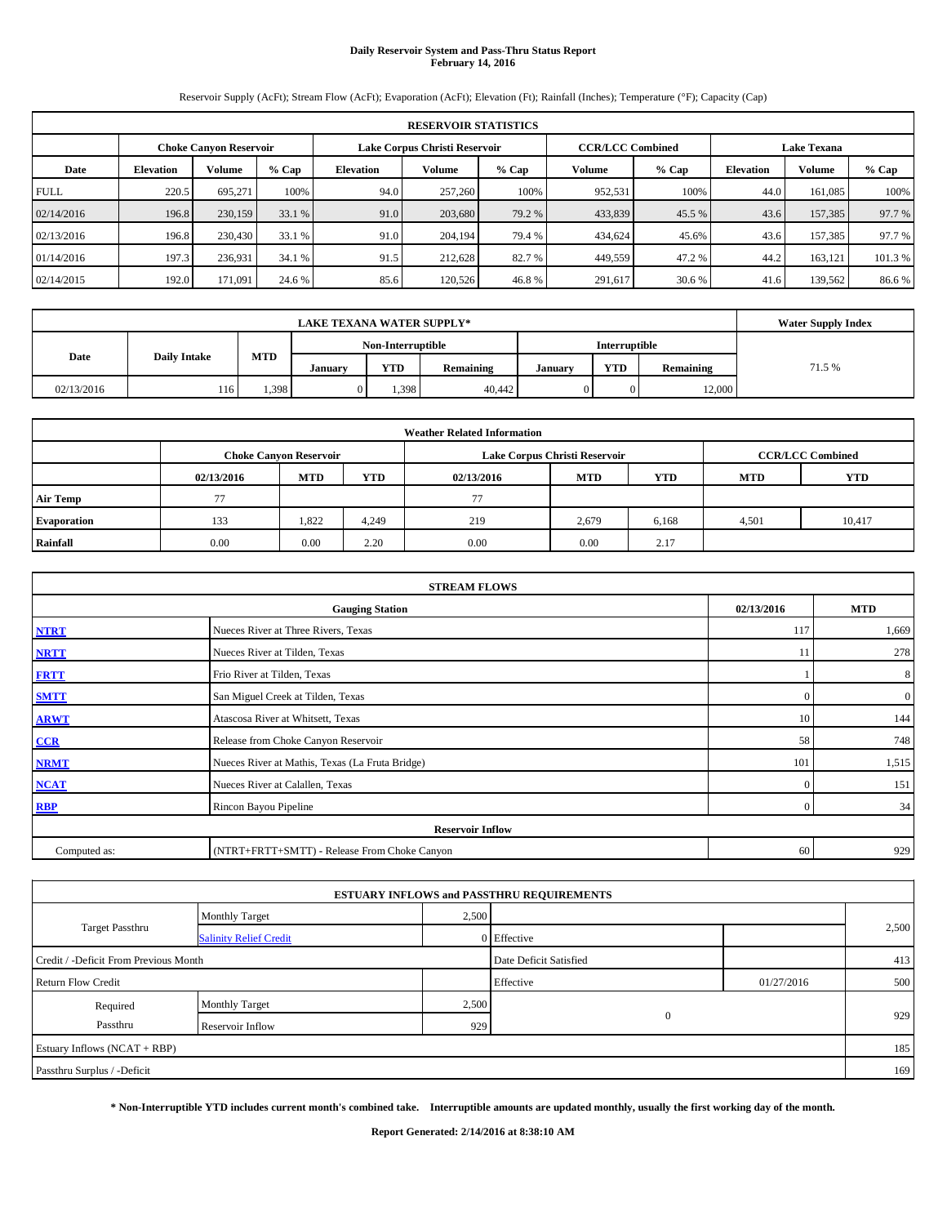# **Daily Reservoir System and Pass-Thru Status Report February 14, 2016**

Reservoir Supply (AcFt); Stream Flow (AcFt); Evaporation (AcFt); Elevation (Ft); Rainfall (Inches); Temperature (°F); Capacity (Cap)

| <b>RESERVOIR STATISTICS</b> |                                                                                                                 |         |         |                  |         |         |         |         |                  |         |         |  |
|-----------------------------|-----------------------------------------------------------------------------------------------------------------|---------|---------|------------------|---------|---------|---------|---------|------------------|---------|---------|--|
|                             | Lake Corpus Christi Reservoir<br><b>CCR/LCC Combined</b><br><b>Lake Texana</b><br><b>Choke Canyon Reservoir</b> |         |         |                  |         |         |         |         |                  |         |         |  |
| Date                        | <b>Elevation</b>                                                                                                | Volume  | $%$ Cap | <b>Elevation</b> | Volume  | $%$ Cap | Volume  | $%$ Cap | <b>Elevation</b> | Volume  | % Cap   |  |
| <b>FULL</b>                 | 220.5                                                                                                           | 695.271 | 100%    | 94.0             | 257,260 | 100%    | 952,531 | 100%    | 44.0             | 161,085 | 100%    |  |
| 02/14/2016                  | 196.8                                                                                                           | 230,159 | 33.1 %  | 91.0             | 203,680 | 79.2 %  | 433,839 | 45.5 %  | 43.6             | 157,385 | 97.7 %  |  |
| 02/13/2016                  | 196.8                                                                                                           | 230,430 | 33.1 %  | 91.0             | 204.194 | 79.4 %  | 434,624 | 45.6%   | 43.6             | 157,385 | 97.7 %  |  |
| 01/14/2016                  | 197.3                                                                                                           | 236,931 | 34.1 %  | 91.5             | 212,628 | 82.7 %  | 449,559 | 47.2 %  | 44.2             | 163,121 | 101.3 % |  |
| 02/14/2015                  | 192.0                                                                                                           | 171.091 | 24.6 %  | 85.6             | 120,526 | 46.8%   | 291,617 | 30.6 %  | 41.6             | 139,562 | 86.6%   |  |

|                                           | <b>LAKE TEXANA WATER SUPPLY*</b> |       |         |                   |           |         |               |           |        |  |  |
|-------------------------------------------|----------------------------------|-------|---------|-------------------|-----------|---------|---------------|-----------|--------|--|--|
|                                           |                                  |       |         | Non-Interruptible |           |         | Interruptible |           |        |  |  |
| <b>MTD</b><br>Date<br><b>Daily Intake</b> |                                  |       | Januarv | YTD               | Remaining | Januarv | <b>YTD</b>    | Remaining | 71.5 % |  |  |
| 02/13/2016                                | 116                              | 1,398 |         | 1.398             | 40.442    |         |               | 12,000    |        |  |  |

| <b>Weather Related Information</b> |                                                                                  |                               |       |      |                               |                         |       |            |  |  |  |
|------------------------------------|----------------------------------------------------------------------------------|-------------------------------|-------|------|-------------------------------|-------------------------|-------|------------|--|--|--|
|                                    |                                                                                  | <b>Choke Canvon Reservoir</b> |       |      | Lake Corpus Christi Reservoir | <b>CCR/LCC Combined</b> |       |            |  |  |  |
|                                    | <b>YTD</b><br><b>YTD</b><br><b>MTD</b><br><b>MTD</b><br>02/13/2016<br>02/13/2016 |                               |       |      |                               |                         |       | <b>YTD</b> |  |  |  |
| <b>Air Temp</b>                    | 77                                                                               |                               |       | 77   |                               |                         |       |            |  |  |  |
| <b>Evaporation</b>                 | 133                                                                              | 1,822                         | 4,249 | 219  | 2,679                         | 6.168                   | 4,501 | 10,417     |  |  |  |
| Rainfall                           | 0.00                                                                             | 0.00                          | 2.20  | 0.00 | 0.00                          | 2.17                    |       |            |  |  |  |

| <b>STREAM FLOWS</b> |                                                    |              |              |  |  |  |  |  |  |
|---------------------|----------------------------------------------------|--------------|--------------|--|--|--|--|--|--|
|                     | <b>MTD</b><br>02/13/2016<br><b>Gauging Station</b> |              |              |  |  |  |  |  |  |
| <b>NTRT</b>         | Nueces River at Three Rivers, Texas                | 117          | 1,669        |  |  |  |  |  |  |
| <b>NRTT</b>         | Nueces River at Tilden, Texas                      | 11           | 278          |  |  |  |  |  |  |
| <b>FRTT</b>         | Frio River at Tilden, Texas                        |              | 8            |  |  |  |  |  |  |
| <b>SMTT</b>         | San Miguel Creek at Tilden, Texas                  | $\mathbf{0}$ | $\mathbf{0}$ |  |  |  |  |  |  |
| <b>ARWT</b>         | Atascosa River at Whitsett, Texas                  | 10           | 144          |  |  |  |  |  |  |
| CCR                 | Release from Choke Canyon Reservoir                | 58           | 748          |  |  |  |  |  |  |
| <b>NRMT</b>         | Nueces River at Mathis, Texas (La Fruta Bridge)    | 101          | 1,515        |  |  |  |  |  |  |
| <b>NCAT</b>         | Nueces River at Calallen, Texas                    | $\Omega$     | 151          |  |  |  |  |  |  |
| <b>RBP</b>          | Rincon Bayou Pipeline                              | $\Omega$     | 34           |  |  |  |  |  |  |
|                     | <b>Reservoir Inflow</b>                            |              |              |  |  |  |  |  |  |
| Computed as:        | (NTRT+FRTT+SMTT) - Release From Choke Canyon       | 60           | 929          |  |  |  |  |  |  |

|                                       |                               |       | <b>ESTUARY INFLOWS and PASSTHRU REQUIREMENTS</b> |            |       |
|---------------------------------------|-------------------------------|-------|--------------------------------------------------|------------|-------|
|                                       | <b>Monthly Target</b>         | 2,500 |                                                  |            |       |
| <b>Target Passthru</b>                | <b>Salinity Relief Credit</b> |       | 0 Effective                                      |            | 2,500 |
| Credit / -Deficit From Previous Month |                               |       | Date Deficit Satisfied                           |            | 413   |
| <b>Return Flow Credit</b>             |                               |       | Effective                                        | 01/27/2016 | 500   |
| Required                              | <b>Monthly Target</b>         | 2,500 |                                                  |            |       |
| Passthru                              | Reservoir Inflow              | 929   | $\mathbf{0}$                                     |            | 929   |
| Estuary Inflows (NCAT + RBP)          |                               |       |                                                  |            | 185   |
| Passthru Surplus / -Deficit           |                               |       |                                                  |            | 169   |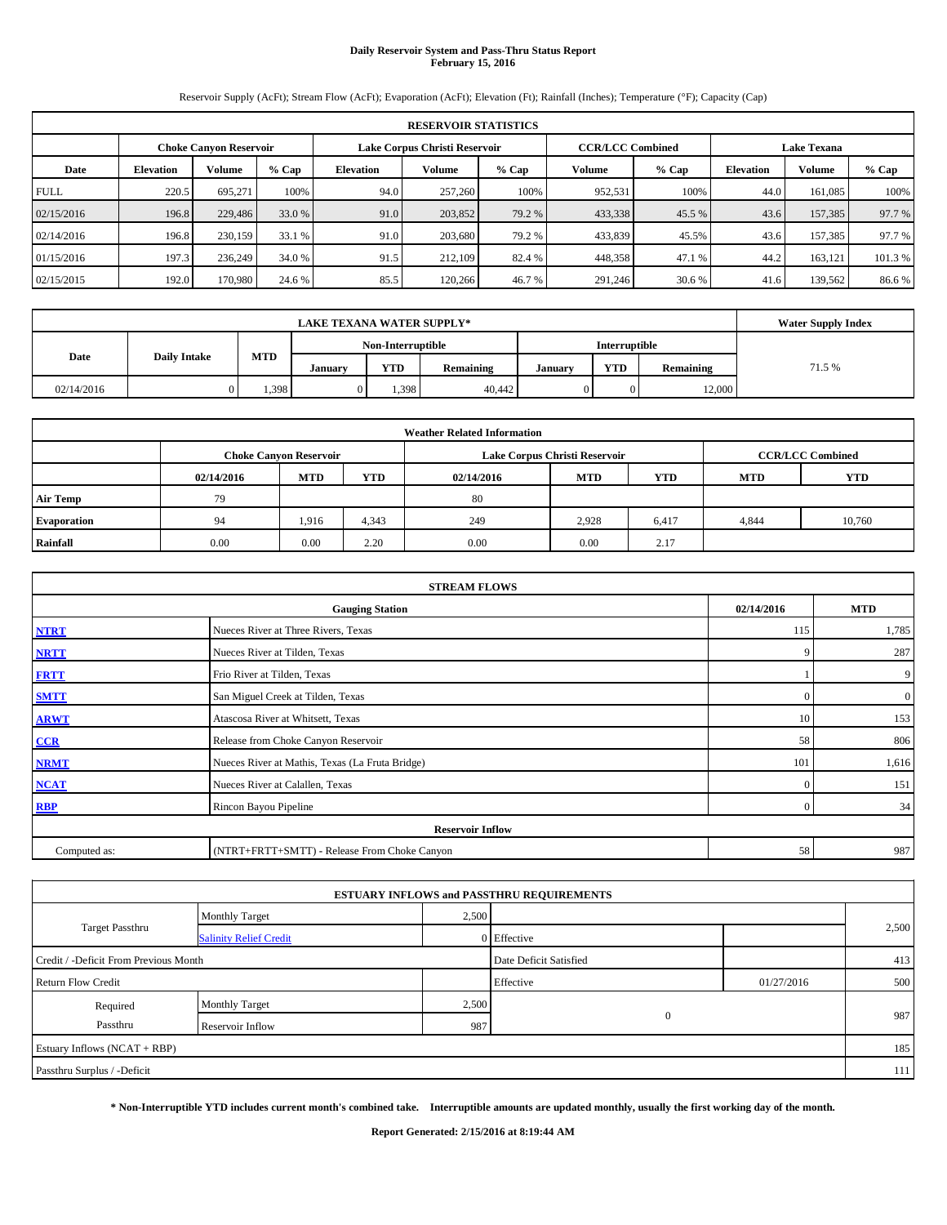# **Daily Reservoir System and Pass-Thru Status Report February 15, 2016**

Reservoir Supply (AcFt); Stream Flow (AcFt); Evaporation (AcFt); Elevation (Ft); Rainfall (Inches); Temperature (°F); Capacity (Cap)

| <b>RESERVOIR STATISTICS</b> |                                                                                                                 |         |         |                  |         |         |         |         |                  |         |         |  |
|-----------------------------|-----------------------------------------------------------------------------------------------------------------|---------|---------|------------------|---------|---------|---------|---------|------------------|---------|---------|--|
|                             | Lake Corpus Christi Reservoir<br><b>CCR/LCC Combined</b><br><b>Lake Texana</b><br><b>Choke Canyon Reservoir</b> |         |         |                  |         |         |         |         |                  |         |         |  |
| Date                        | <b>Elevation</b>                                                                                                | Volume  | $%$ Cap | <b>Elevation</b> | Volume  | $%$ Cap | Volume  | $%$ Cap | <b>Elevation</b> | Volume  | % Cap   |  |
| <b>FULL</b>                 | 220.5                                                                                                           | 695.271 | 100%    | 94.0             | 257,260 | 100%    | 952,531 | 100%    | 44.0             | 161,085 | 100%    |  |
| 02/15/2016                  | 196.8                                                                                                           | 229,486 | 33.0 %  | 91.0             | 203,852 | 79.2 %  | 433,338 | 45.5 %  | 43.6             | 157,385 | 97.7 %  |  |
| 02/14/2016                  | 196.8                                                                                                           | 230,159 | 33.1 %  | 91.0             | 203,680 | 79.2 %  | 433,839 | 45.5%   | 43.6             | 157,385 | 97.7 %  |  |
| 01/15/2016                  | 197.3                                                                                                           | 236,249 | 34.0 %  | 91.5             | 212,109 | 82.4 %  | 448,358 | 47.1 %  | 44.2             | 163,121 | 101.3 % |  |
| 02/15/2015                  | 192.0                                                                                                           | 170,980 | 24.6 %  | 85.5             | 120,266 | 46.7 %  | 291,246 | 30.6 %  | 41.6             | 139,562 | 86.6%   |  |

|                                           | <b>LAKE TEXANA WATER SUPPLY*</b> |       |                   |            |           |               |            |           |        |  |  |  |
|-------------------------------------------|----------------------------------|-------|-------------------|------------|-----------|---------------|------------|-----------|--------|--|--|--|
|                                           |                                  |       | Non-Interruptible |            |           | Interruptible |            |           |        |  |  |  |
| <b>MTD</b><br>Date<br><b>Daily Intake</b> |                                  |       | Januarv           | <b>YTD</b> | Remaining | <b>Januar</b> | <b>YTD</b> | Remaining | 71.5 % |  |  |  |
| 02/14/2016                                |                                  | 1,398 |                   | .398       | 40,442    |               |            | 12.000    |        |  |  |  |

| <b>Weather Related Information</b> |            |                               |            |            |                               |                         |            |            |  |  |
|------------------------------------|------------|-------------------------------|------------|------------|-------------------------------|-------------------------|------------|------------|--|--|
|                                    |            | <b>Choke Canvon Reservoir</b> |            |            | Lake Corpus Christi Reservoir | <b>CCR/LCC Combined</b> |            |            |  |  |
|                                    | 02/14/2016 | <b>MTD</b>                    | <b>YTD</b> | 02/14/2016 | <b>MTD</b>                    | <b>YTD</b>              | <b>MTD</b> | <b>YTD</b> |  |  |
| <b>Air Temp</b>                    | 79         |                               |            | 80         |                               |                         |            |            |  |  |
| <b>Evaporation</b>                 | 94         | 1,916                         | 4,343      | 249        | 2.928                         | 6,417                   | 4,844      | 10,760     |  |  |
| Rainfall                           | 0.00       | 0.00                          | 2.20       | 0.00       | 0.00                          | 2.17                    |            |            |  |  |

| <b>STREAM FLOWS</b> |                                                 |                |                  |  |  |  |  |  |  |
|---------------------|-------------------------------------------------|----------------|------------------|--|--|--|--|--|--|
|                     | 02/14/2016                                      | <b>MTD</b>     |                  |  |  |  |  |  |  |
| <b>NTRT</b>         | Nueces River at Three Rivers, Texas             | 115            | 1,785            |  |  |  |  |  |  |
| <b>NRTT</b>         | Nueces River at Tilden, Texas                   | 9              | 287              |  |  |  |  |  |  |
| <b>FRTT</b>         | Frio River at Tilden, Texas                     |                | 9                |  |  |  |  |  |  |
| <b>SMTT</b>         | San Miguel Creek at Tilden, Texas               | $\Omega$       | $\boldsymbol{0}$ |  |  |  |  |  |  |
| <b>ARWT</b>         | Atascosa River at Whitsett, Texas               | 10             | 153              |  |  |  |  |  |  |
| CCR                 | Release from Choke Canyon Reservoir             | 58             | 806              |  |  |  |  |  |  |
| <b>NRMT</b>         | Nueces River at Mathis, Texas (La Fruta Bridge) | 101            | 1,616            |  |  |  |  |  |  |
| <b>NCAT</b>         | Nueces River at Calallen, Texas                 | $\Omega$       | 151              |  |  |  |  |  |  |
| <b>RBP</b>          | Rincon Bayou Pipeline                           | $\overline{0}$ | 34               |  |  |  |  |  |  |
|                     | <b>Reservoir Inflow</b>                         |                |                  |  |  |  |  |  |  |
| Computed as:        | (NTRT+FRTT+SMTT) - Release From Choke Canyon    | 58             | 987              |  |  |  |  |  |  |

|                                       |                               |       | <b>ESTUARY INFLOWS and PASSTHRU REQUIREMENTS</b> |            |       |
|---------------------------------------|-------------------------------|-------|--------------------------------------------------|------------|-------|
|                                       | <b>Monthly Target</b>         | 2,500 |                                                  |            |       |
| Target Passthru                       | <b>Salinity Relief Credit</b> |       | 0 Effective                                      |            | 2,500 |
| Credit / -Deficit From Previous Month |                               |       | Date Deficit Satisfied                           |            | 413   |
| <b>Return Flow Credit</b>             |                               |       | Effective                                        | 01/27/2016 | 500   |
| Required                              | <b>Monthly Target</b>         | 2,500 |                                                  |            |       |
| Passthru                              | Reservoir Inflow              | 987   | $\mathbf{0}$                                     |            | 987   |
| Estuary Inflows (NCAT + RBP)          |                               |       |                                                  |            | 185   |
| Passthru Surplus / -Deficit           |                               |       |                                                  |            | 111   |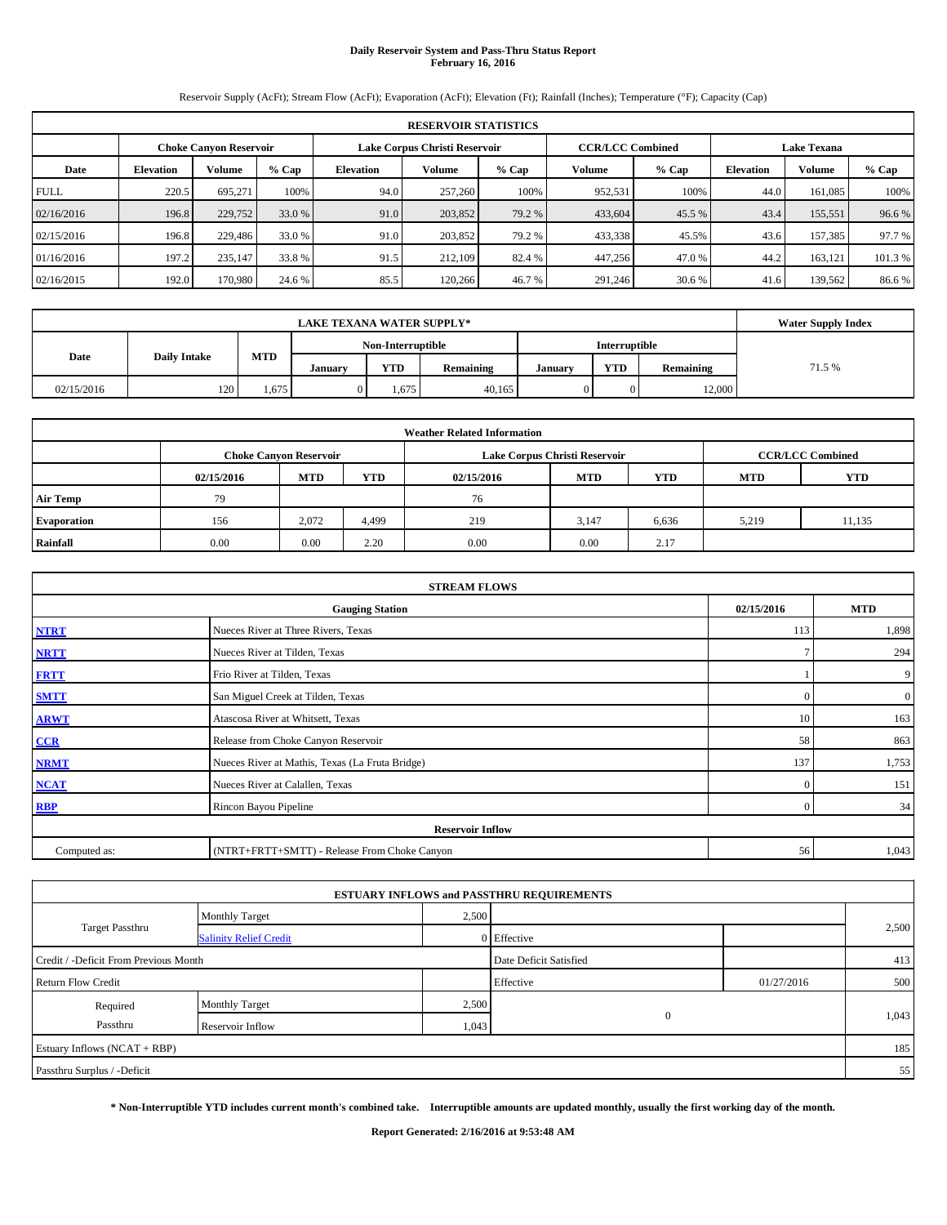# **Daily Reservoir System and Pass-Thru Status Report February 16, 2016**

Reservoir Supply (AcFt); Stream Flow (AcFt); Evaporation (AcFt); Elevation (Ft); Rainfall (Inches); Temperature (°F); Capacity (Cap)

| <b>RESERVOIR STATISTICS</b> |                  |                               |         |                  |                               |         |                         |         |                    |               |         |
|-----------------------------|------------------|-------------------------------|---------|------------------|-------------------------------|---------|-------------------------|---------|--------------------|---------------|---------|
|                             |                  | <b>Choke Canyon Reservoir</b> |         |                  | Lake Corpus Christi Reservoir |         | <b>CCR/LCC Combined</b> |         | <b>Lake Texana</b> |               |         |
| Date                        | <b>Elevation</b> | Volume                        | $%$ Cap | <b>Elevation</b> | Volume                        | $%$ Cap | Volume                  | $%$ Cap | <b>Elevation</b>   | <b>Volume</b> | % Cap   |
| <b>FULL</b>                 | 220.5            | 695.271                       | 100%    | 94.0             | 257,260                       | 100%    | 952,531                 | 100%    | 44.0               | 161,085       | 100%    |
| 02/16/2016                  | 196.8            | 229,752                       | 33.0 %  | 91.0             | 203,852                       | 79.2 %  | 433,604                 | 45.5 %  | 43.4               | 155,551       | 96.6 %  |
| 02/15/2016                  | 196.8            | 229,486                       | 33.0 %  | 91.0             | 203,852                       | 79.2 %  | 433,338                 | 45.5%   | 43.6               | 157,385       | 97.7 %  |
| 01/16/2016                  | 197.2            | 235,147                       | 33.8 %  | 91.5             | 212,109                       | 82.4 %  | 447,256                 | 47.0 %  | 44.2               | 163,121       | 101.3 % |
| 02/16/2015                  | 192.0            | 170,980                       | 24.6 %  | 85.5             | 120,266                       | 46.7 %  | 291,246                 | 30.6 %  | 41.6               | 139,562       | 86.6%   |

|            | <b>Water Supply Index</b> |            |                |                   |           |                |               |           |        |
|------------|---------------------------|------------|----------------|-------------------|-----------|----------------|---------------|-----------|--------|
|            |                           |            |                | Non-Interruptible |           |                | Interruptible |           |        |
| Date       | <b>Daily Intake</b>       | <b>MTD</b> | <b>January</b> | <b>YTD</b>        | Remaining | <b>January</b> | <b>YTD</b>    | Remaining | 71.5 % |
| 02/15/2016 | 120                       | 1,675      |                | 1.675             | 40,165    |                |               | 12.000    |        |

| <b>Weather Related Information</b> |            |                               |            |            |                               |                         |            |            |  |  |
|------------------------------------|------------|-------------------------------|------------|------------|-------------------------------|-------------------------|------------|------------|--|--|
|                                    |            | <b>Choke Canvon Reservoir</b> |            |            | Lake Corpus Christi Reservoir | <b>CCR/LCC Combined</b> |            |            |  |  |
|                                    | 02/15/2016 | <b>MTD</b>                    | <b>YTD</b> | 02/15/2016 | <b>MTD</b>                    | <b>YTD</b>              | <b>MTD</b> | <b>YTD</b> |  |  |
| <b>Air Temp</b>                    | 79         |                               |            | 76         |                               |                         |            |            |  |  |
| <b>Evaporation</b>                 | 156        | 2.072                         | 4,499      | 219        | 3.147                         | 6,636                   | 5,219      | 11,135     |  |  |
| Rainfall                           | 0.00       | 0.00                          | 2.20       | 0.00       | 0.00                          | 2.17                    |            |            |  |  |

| <b>STREAM FLOWS</b> |                                                 |                |                  |  |  |  |  |  |  |
|---------------------|-------------------------------------------------|----------------|------------------|--|--|--|--|--|--|
|                     | <b>Gauging Station</b>                          |                |                  |  |  |  |  |  |  |
| <b>NTRT</b>         | Nueces River at Three Rivers, Texas             | 113            | 1,898            |  |  |  |  |  |  |
| <b>NRTT</b>         | Nueces River at Tilden, Texas                   | $\tau$         | 294              |  |  |  |  |  |  |
| <b>FRTT</b>         | Frio River at Tilden, Texas                     |                | 9                |  |  |  |  |  |  |
| <b>SMTT</b>         | San Miguel Creek at Tilden, Texas               | $\Omega$       | $\boldsymbol{0}$ |  |  |  |  |  |  |
| <b>ARWT</b>         | Atascosa River at Whitsett, Texas               | 10             | 163              |  |  |  |  |  |  |
| CCR                 | Release from Choke Canyon Reservoir             | 58             | 863              |  |  |  |  |  |  |
| <b>NRMT</b>         | Nueces River at Mathis, Texas (La Fruta Bridge) | 137            | 1,753            |  |  |  |  |  |  |
| <b>NCAT</b>         | Nueces River at Calallen, Texas                 | $\mathbf{0}$   | 151              |  |  |  |  |  |  |
| <b>RBP</b>          | Rincon Bayou Pipeline                           | $\overline{0}$ | 34               |  |  |  |  |  |  |
|                     | <b>Reservoir Inflow</b>                         |                |                  |  |  |  |  |  |  |
| Computed as:        | (NTRT+FRTT+SMTT) - Release From Choke Canyon    | 56             | 1,043            |  |  |  |  |  |  |

|                                       |                               |       | <b>ESTUARY INFLOWS and PASSTHRU REQUIREMENTS</b> |            |       |
|---------------------------------------|-------------------------------|-------|--------------------------------------------------|------------|-------|
|                                       | <b>Monthly Target</b>         | 2,500 |                                                  |            |       |
| <b>Target Passthru</b>                | <b>Salinity Relief Credit</b> |       | 0 Effective                                      |            | 2,500 |
| Credit / -Deficit From Previous Month |                               |       | Date Deficit Satisfied                           |            | 413   |
| <b>Return Flow Credit</b>             |                               |       | Effective                                        | 01/27/2016 | 500   |
| Required                              | <b>Monthly Target</b>         | 2,500 |                                                  |            |       |
| Passthru                              | Reservoir Inflow              | 1,043 | $\mathbf{0}$                                     |            | 1,043 |
| Estuary Inflows (NCAT + RBP)          |                               |       |                                                  |            | 185   |
| Passthru Surplus / -Deficit           |                               |       |                                                  |            | 55    |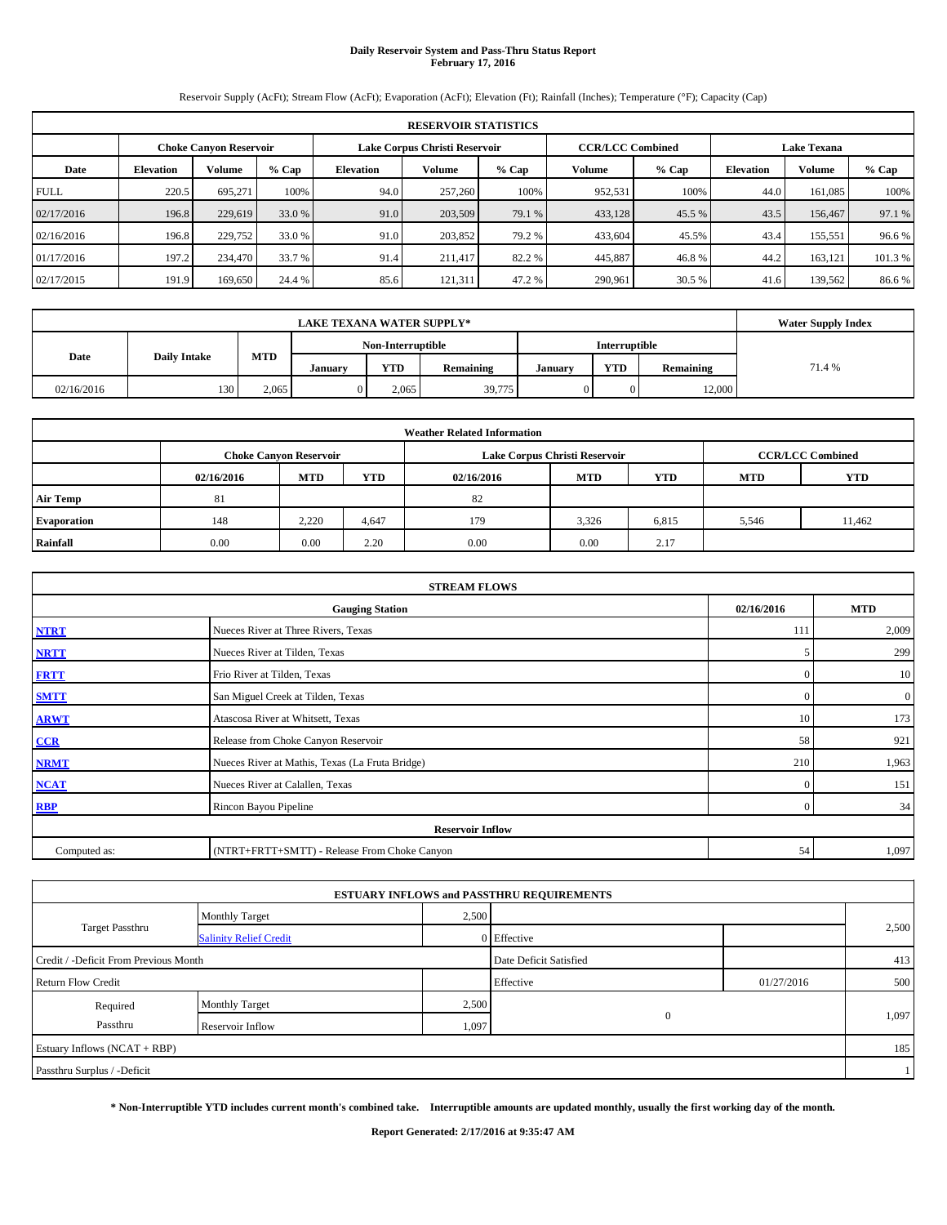# **Daily Reservoir System and Pass-Thru Status Report February 17, 2016**

Reservoir Supply (AcFt); Stream Flow (AcFt); Evaporation (AcFt); Elevation (Ft); Rainfall (Inches); Temperature (°F); Capacity (Cap)

|             | <b>RESERVOIR STATISTICS</b> |                               |         |                  |         |                                                          |         |         |                    |         |         |  |
|-------------|-----------------------------|-------------------------------|---------|------------------|---------|----------------------------------------------------------|---------|---------|--------------------|---------|---------|--|
|             |                             | <b>Choke Canyon Reservoir</b> |         |                  |         | Lake Corpus Christi Reservoir<br><b>CCR/LCC Combined</b> |         |         | <b>Lake Texana</b> |         |         |  |
| Date        | <b>Elevation</b>            | Volume                        | $%$ Cap | <b>Elevation</b> | Volume  | $%$ Cap                                                  | Volume  | $%$ Cap | <b>Elevation</b>   | Volume  | % Cap   |  |
| <b>FULL</b> | 220.5                       | 695.271                       | 100%    | 94.0             | 257,260 | 100%                                                     | 952,531 | 100%    | 44.0               | 161,085 | 100%    |  |
| 02/17/2016  | 196.8                       | 229,619                       | 33.0 %  | 91.0             | 203,509 | 79.1 %                                                   | 433,128 | 45.5 %  | 43.5               | 156,467 | 97.1 %  |  |
| 02/16/2016  | 196.8                       | 229,752                       | 33.0 %  | 91.0             | 203.852 | 79.2 %                                                   | 433,604 | 45.5%   | 43.4               | 155,551 | 96.6%   |  |
| 01/17/2016  | 197.2                       | 234,470                       | 33.7 %  | 91.4             | 211.417 | 82.2 %                                                   | 445,887 | 46.8%   | 44.2               | 163,121 | 101.3 % |  |
| 02/17/2015  | 191.9                       | 169,650                       | 24.4 %  | 85.6             | 121.311 | 47.2 %                                                   | 290,961 | 30.5 %  | 41.6               | 139,562 | 86.6%   |  |

|            | <b>Water Supply Index</b> |            |         |                   |           |               |            |           |        |
|------------|---------------------------|------------|---------|-------------------|-----------|---------------|------------|-----------|--------|
|            |                           |            |         | Non-Interruptible |           | Interruptible |            |           |        |
| Date       | <b>Daily Intake</b>       | <b>MTD</b> | Januarv | YTD               | Remaining | Januarv       | <b>YTD</b> | Remaining | 71.4 % |
| 02/16/2016 | 130                       | 2,065      |         | 2.065             | 39,775    |               |            | 12,000    |        |

| <b>Weather Related Information</b> |            |                               |            |            |                               |                         |            |            |  |  |
|------------------------------------|------------|-------------------------------|------------|------------|-------------------------------|-------------------------|------------|------------|--|--|
|                                    |            | <b>Choke Canvon Reservoir</b> |            |            | Lake Corpus Christi Reservoir | <b>CCR/LCC Combined</b> |            |            |  |  |
|                                    | 02/16/2016 | <b>MTD</b>                    | <b>YTD</b> | 02/16/2016 | <b>MTD</b>                    | <b>YTD</b>              | <b>MTD</b> | <b>YTD</b> |  |  |
| <b>Air Temp</b>                    | 81         |                               |            | 82         |                               |                         |            |            |  |  |
| <b>Evaporation</b>                 | 148        | 2.220                         | 4,647      | 179        | 3.326                         | 6,815                   | 5,546      | 11,462     |  |  |
| Rainfall                           | 0.00       | 0.00                          | 2.20       | 0.00       | 0.00                          | 2.17                    |            |            |  |  |

| <b>STREAM FLOWS</b> |                                                 |                |                  |  |  |  |  |  |  |
|---------------------|-------------------------------------------------|----------------|------------------|--|--|--|--|--|--|
|                     | <b>Gauging Station</b>                          |                |                  |  |  |  |  |  |  |
| <b>NTRT</b>         | Nueces River at Three Rivers, Texas             | 111            | 2,009            |  |  |  |  |  |  |
| <b>NRTT</b>         | Nueces River at Tilden, Texas                   | 5              | 299              |  |  |  |  |  |  |
| <b>FRTT</b>         | Frio River at Tilden, Texas                     | $\mathbf{0}$   | 10               |  |  |  |  |  |  |
| <b>SMTT</b>         | San Miguel Creek at Tilden, Texas               | $\Omega$       | $\boldsymbol{0}$ |  |  |  |  |  |  |
| <b>ARWT</b>         | Atascosa River at Whitsett, Texas               | 10             | 173              |  |  |  |  |  |  |
| CCR                 | Release from Choke Canyon Reservoir             | 58             | 921              |  |  |  |  |  |  |
| <b>NRMT</b>         | Nueces River at Mathis, Texas (La Fruta Bridge) | 210            | 1,963            |  |  |  |  |  |  |
| <b>NCAT</b>         | Nueces River at Calallen, Texas                 | $\Omega$       | 151              |  |  |  |  |  |  |
| <b>RBP</b>          | Rincon Bayou Pipeline                           | $\overline{0}$ | 34               |  |  |  |  |  |  |
|                     | <b>Reservoir Inflow</b>                         |                |                  |  |  |  |  |  |  |
| Computed as:        | (NTRT+FRTT+SMTT) - Release From Choke Canyon    | 54             | 1,097            |  |  |  |  |  |  |

|                                       |                               |       | <b>ESTUARY INFLOWS and PASSTHRU REQUIREMENTS</b> |            |       |
|---------------------------------------|-------------------------------|-------|--------------------------------------------------|------------|-------|
|                                       | <b>Monthly Target</b>         | 2,500 |                                                  |            |       |
| <b>Target Passthru</b>                | <b>Salinity Relief Credit</b> |       | 0 Effective                                      |            | 2,500 |
| Credit / -Deficit From Previous Month |                               |       | Date Deficit Satisfied                           |            | 413   |
| <b>Return Flow Credit</b>             |                               |       | Effective                                        | 01/27/2016 | 500   |
| Required                              | <b>Monthly Target</b>         | 2,500 |                                                  |            |       |
| Passthru                              | Reservoir Inflow              | 1,097 | $\mathbf{0}$                                     |            | 1,097 |
| Estuary Inflows (NCAT + RBP)          |                               |       |                                                  |            | 185   |
| Passthru Surplus / -Deficit           |                               |       |                                                  |            |       |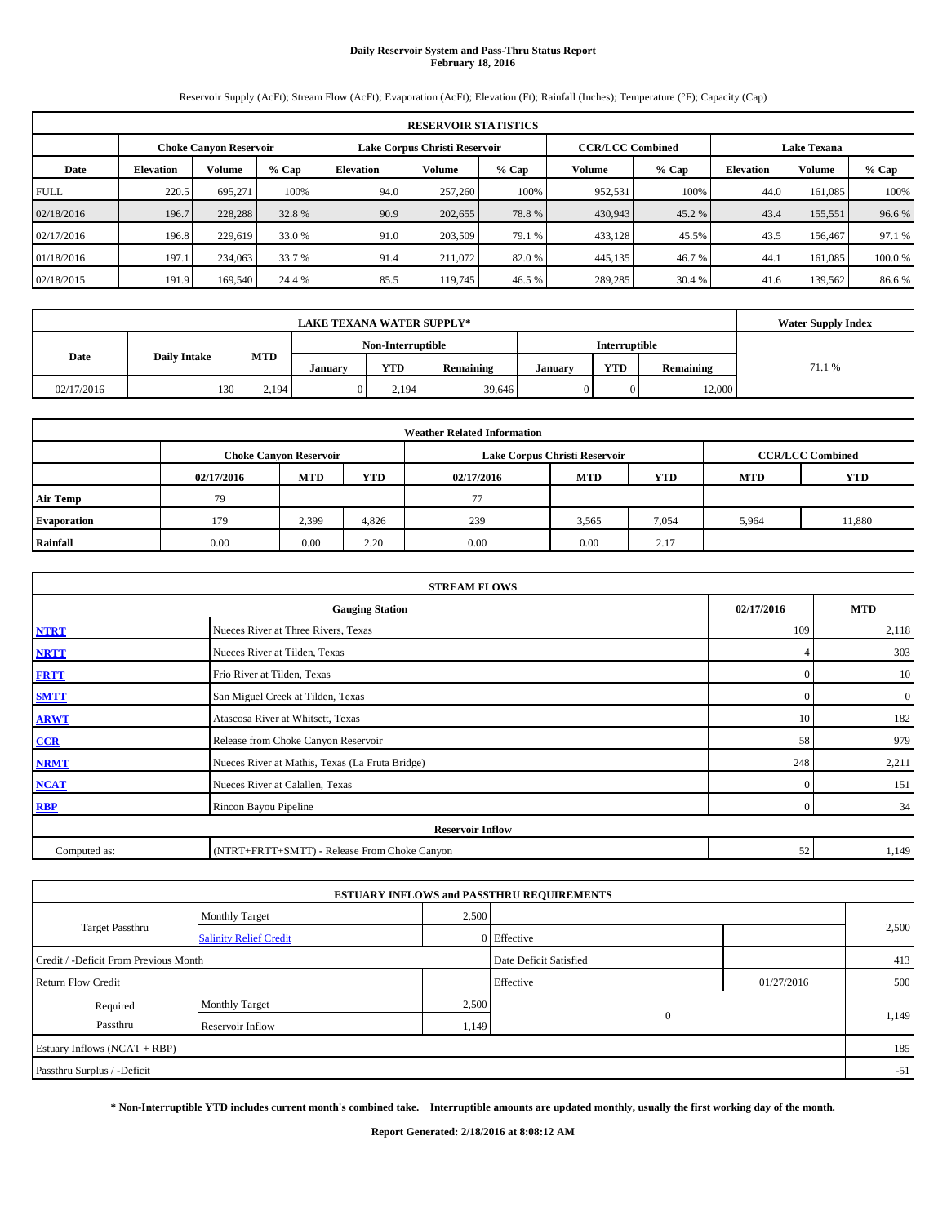# **Daily Reservoir System and Pass-Thru Status Report February 18, 2016**

Reservoir Supply (AcFt); Stream Flow (AcFt); Evaporation (AcFt); Elevation (Ft); Rainfall (Inches); Temperature (°F); Capacity (Cap)

|             | <b>RESERVOIR STATISTICS</b> |                               |         |                  |                               |         |                                               |         |                  |         |        |  |
|-------------|-----------------------------|-------------------------------|---------|------------------|-------------------------------|---------|-----------------------------------------------|---------|------------------|---------|--------|--|
|             |                             | <b>Choke Canyon Reservoir</b> |         |                  | Lake Corpus Christi Reservoir |         | <b>CCR/LCC Combined</b><br><b>Lake Texana</b> |         |                  |         |        |  |
| Date        | <b>Elevation</b>            | Volume                        | $%$ Cap | <b>Elevation</b> | Volume                        | $%$ Cap | Volume                                        | $%$ Cap | <b>Elevation</b> | Volume  | % Cap  |  |
| <b>FULL</b> | 220.5                       | 695.271                       | 100%    | 94.0             | 257,260                       | 100%    | 952,531                                       | 100%    | 44.0             | 161,085 | 100%   |  |
| 02/18/2016  | 196.7                       | 228,288                       | 32.8 %  | 90.9             | 202,655                       | 78.8%   | 430,943                                       | 45.2 %  | 43.4             | 155,551 | 96.6 % |  |
| 02/17/2016  | 196.8                       | 229,619                       | 33.0 %  | 91.0             | 203,509                       | 79.1 %  | 433,128                                       | 45.5%   | 43.5             | 156,467 | 97.1 % |  |
| 01/18/2016  | 197.1                       | 234,063                       | 33.7 %  | 91.4             | 211.072                       | 82.0 %  | 445,135                                       | 46.7%   | 44.1             | 161,085 | 100.0% |  |
| 02/18/2015  | 191.9                       | 169,540                       | 24.4 %  | 85.5             | 119,745                       | 46.5 %  | 289,285                                       | 30.4 %  | 41.6             | 139,562 | 86.6%  |  |

|            | <b>Water Supply Index</b> |            |         |                   |           |               |               |           |        |
|------------|---------------------------|------------|---------|-------------------|-----------|---------------|---------------|-----------|--------|
|            |                           |            |         | Non-Interruptible |           |               | Interruptible |           |        |
| Date       | <b>Daily Intake</b>       | <b>MTD</b> | Januarv | <b>YTD</b>        | Remaining | <b>Januar</b> | <b>YTD</b>    | Remaining | 71.1 % |
| 02/17/2016 | 130                       | 2.194      |         | 2.194             | 39,646    |               |               | 12.000    |        |

|                    |            |                               |            | <b>Weather Related Information</b> |                               |                         |       |        |
|--------------------|------------|-------------------------------|------------|------------------------------------|-------------------------------|-------------------------|-------|--------|
|                    |            | <b>Choke Canvon Reservoir</b> |            |                                    | Lake Corpus Christi Reservoir | <b>CCR/LCC Combined</b> |       |        |
|                    | 02/17/2016 | <b>MTD</b>                    | <b>YTD</b> | 02/17/2016                         | <b>MTD</b>                    | <b>YTD</b>              |       |        |
| <b>Air Temp</b>    | 79         |                               |            | 77                                 |                               |                         |       |        |
| <b>Evaporation</b> | 179        | 2,399                         | 4,826      | 239                                | 3,565                         | 7,054                   | 5,964 | 11,880 |
| Rainfall           | 0.00       | 0.00                          | 2.20       | 0.00                               | 0.00                          | 2.17                    |       |        |

|              | <b>STREAM FLOWS</b>                             |                |                  |  |  |  |  |  |
|--------------|-------------------------------------------------|----------------|------------------|--|--|--|--|--|
|              | <b>Gauging Station</b>                          |                |                  |  |  |  |  |  |
| <b>NTRT</b>  | Nueces River at Three Rivers, Texas             | 109            | 2,118            |  |  |  |  |  |
| <b>NRTT</b>  | Nueces River at Tilden, Texas                   |                | 303              |  |  |  |  |  |
| <b>FRTT</b>  | Frio River at Tilden, Texas                     | $\mathbf{0}$   | 10               |  |  |  |  |  |
| <b>SMTT</b>  | San Miguel Creek at Tilden, Texas               | $\Omega$       | $\boldsymbol{0}$ |  |  |  |  |  |
| <b>ARWT</b>  | Atascosa River at Whitsett, Texas               | 10             | 182              |  |  |  |  |  |
| CCR          | Release from Choke Canyon Reservoir             | 58             | 979              |  |  |  |  |  |
| <b>NRMT</b>  | Nueces River at Mathis, Texas (La Fruta Bridge) | 248            | 2,211            |  |  |  |  |  |
| <b>NCAT</b>  | Nueces River at Calallen, Texas                 | $\Omega$       | 151              |  |  |  |  |  |
| <b>RBP</b>   | Rincon Bayou Pipeline                           | $\overline{0}$ | 34               |  |  |  |  |  |
|              | <b>Reservoir Inflow</b>                         |                |                  |  |  |  |  |  |
| Computed as: | (NTRT+FRTT+SMTT) - Release From Choke Canyon    | 52             | 1,149            |  |  |  |  |  |

|                                       |                               |       | <b>ESTUARY INFLOWS and PASSTHRU REQUIREMENTS</b> |            |       |
|---------------------------------------|-------------------------------|-------|--------------------------------------------------|------------|-------|
|                                       | <b>Monthly Target</b>         | 2,500 |                                                  |            |       |
| Target Passthru                       | <b>Salinity Relief Credit</b> |       | 0 Effective                                      |            | 2,500 |
| Credit / -Deficit From Previous Month |                               |       | Date Deficit Satisfied                           |            | 413   |
| <b>Return Flow Credit</b>             |                               |       | Effective                                        | 01/27/2016 | 500   |
| Required                              | <b>Monthly Target</b>         | 2,500 |                                                  |            |       |
| Passthru                              | Reservoir Inflow              | 1,149 | $\mathbf{0}$                                     |            | 1,149 |
| Estuary Inflows (NCAT + RBP)          |                               |       |                                                  |            | 185   |
| Passthru Surplus / -Deficit           |                               |       |                                                  |            | $-51$ |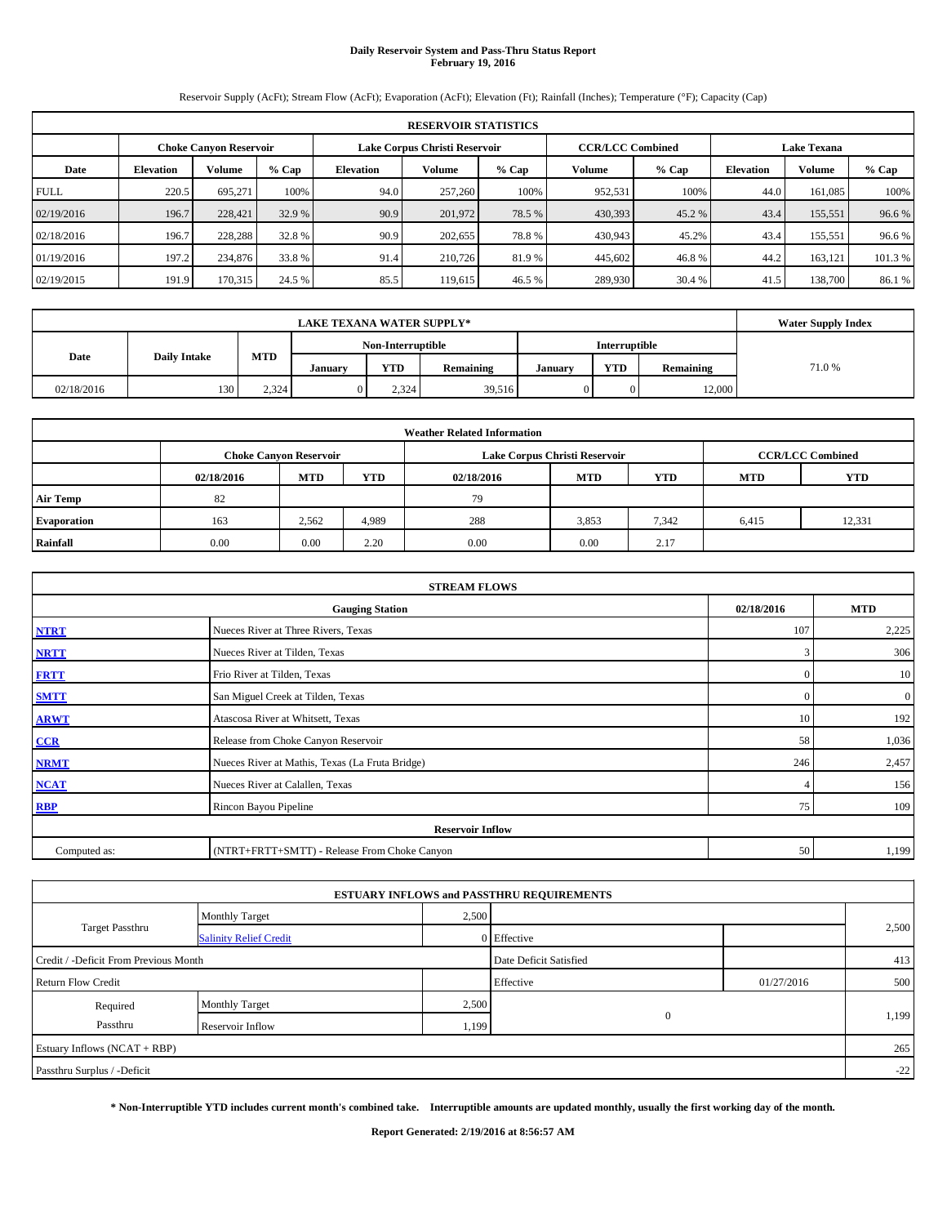# **Daily Reservoir System and Pass-Thru Status Report February 19, 2016**

Reservoir Supply (AcFt); Stream Flow (AcFt); Evaporation (AcFt); Elevation (Ft); Rainfall (Inches); Temperature (°F); Capacity (Cap)

|             | <b>RESERVOIR STATISTICS</b> |                               |         |                  |                               |         |                         |         |                  |                    |         |  |
|-------------|-----------------------------|-------------------------------|---------|------------------|-------------------------------|---------|-------------------------|---------|------------------|--------------------|---------|--|
|             |                             | <b>Choke Canyon Reservoir</b> |         |                  | Lake Corpus Christi Reservoir |         | <b>CCR/LCC Combined</b> |         |                  | <b>Lake Texana</b> |         |  |
| Date        | <b>Elevation</b>            | Volume                        | $%$ Cap | <b>Elevation</b> | Volume                        | $%$ Cap | Volume                  | $%$ Cap | <b>Elevation</b> | Volume             | % Cap   |  |
| <b>FULL</b> | 220.5                       | 695.271                       | 100%    | 94.0             | 257,260                       | 100%    | 952,531                 | 100%    | 44.0             | 161,085            | 100%    |  |
| 02/19/2016  | 196.7                       | 228,421                       | 32.9 %  | 90.9             | 201,972                       | 78.5 %  | 430,393                 | 45.2 %  | 43.4             | 155,551            | 96.6 %  |  |
| 02/18/2016  | 196.7                       | 228.288                       | 32.8 %  | 90.9             | 202,655                       | 78.8%   | 430,943                 | 45.2%   | 43.4             | 155,551            | 96.6%   |  |
| 01/19/2016  | 197.2                       | 234,876                       | 33.8 %  | 91.4             | 210,726                       | 81.9 %  | 445,602                 | 46.8%   | 44.2             | 163,121            | 101.3 % |  |
| 02/19/2015  | 191.9                       | 170,315                       | 24.5 %  | 85.5             | 119.615                       | 46.5 %  | 289,930                 | 30.4 %  | 41.5             | 138,700            | 86.1%   |  |

|            | <b>Water Supply Index</b>          |            |         |       |           |         |            |           |       |
|------------|------------------------------------|------------|---------|-------|-----------|---------|------------|-----------|-------|
|            | Non-Interruptible<br>Interruptible |            |         |       |           |         |            |           |       |
| Date       | <b>Daily Intake</b>                | <b>MTD</b> | Januarv | YTD   | Remaining | Januarv | <b>YTD</b> | Remaining | 71.0% |
| 02/18/2016 | 130                                | 2,324      |         | 2.324 | 39,516    |         |            | 12,000    |       |

|                    |            |                               |            | <b>Weather Related Information</b> |                               |                         |       |        |
|--------------------|------------|-------------------------------|------------|------------------------------------|-------------------------------|-------------------------|-------|--------|
|                    |            | <b>Choke Canvon Reservoir</b> |            |                                    | Lake Corpus Christi Reservoir | <b>CCR/LCC Combined</b> |       |        |
|                    | 02/18/2016 | <b>MTD</b>                    | <b>YTD</b> | 02/18/2016                         | <b>MTD</b>                    | <b>YTD</b>              |       |        |
| <b>Air Temp</b>    | 82         |                               |            | 79                                 |                               |                         |       |        |
| <b>Evaporation</b> | 163        | 2,562                         | 4,989      | 288                                | 3,853                         | 7,342                   | 6,415 | 12,331 |
| Rainfall           | 0.00       | 0.00                          | 2.20       | 0.00                               | 0.00                          | 2.17                    |       |        |

|              | <b>STREAM FLOWS</b>                             |              |                  |  |  |  |  |  |
|--------------|-------------------------------------------------|--------------|------------------|--|--|--|--|--|
|              | <b>Gauging Station</b>                          |              |                  |  |  |  |  |  |
| <b>NTRT</b>  | Nueces River at Three Rivers, Texas             | 107          | 2,225            |  |  |  |  |  |
| <b>NRTT</b>  | Nueces River at Tilden, Texas                   | 3            | 306              |  |  |  |  |  |
| <b>FRTT</b>  | Frio River at Tilden, Texas                     | $\mathbf{0}$ | 10               |  |  |  |  |  |
| <b>SMTT</b>  | San Miguel Creek at Tilden, Texas               | $\Omega$     | $\boldsymbol{0}$ |  |  |  |  |  |
| <b>ARWT</b>  | Atascosa River at Whitsett, Texas               | 10           | 192              |  |  |  |  |  |
| CCR          | Release from Choke Canyon Reservoir             | 58           | 1,036            |  |  |  |  |  |
| <b>NRMT</b>  | Nueces River at Mathis, Texas (La Fruta Bridge) | 246          | 2,457            |  |  |  |  |  |
| <b>NCAT</b>  | Nueces River at Calallen, Texas                 |              | 156              |  |  |  |  |  |
| <b>RBP</b>   | Rincon Bayou Pipeline                           | 75           | 109              |  |  |  |  |  |
|              | <b>Reservoir Inflow</b>                         |              |                  |  |  |  |  |  |
| Computed as: | (NTRT+FRTT+SMTT) - Release From Choke Canyon    | 50           | 1,199            |  |  |  |  |  |

|                                       |                               |       | <b>ESTUARY INFLOWS and PASSTHRU REQUIREMENTS</b> |            |       |
|---------------------------------------|-------------------------------|-------|--------------------------------------------------|------------|-------|
|                                       | <b>Monthly Target</b>         | 2,500 |                                                  |            |       |
| <b>Target Passthru</b>                | <b>Salinity Relief Credit</b> |       | 0 Effective                                      |            | 2,500 |
| Credit / -Deficit From Previous Month |                               |       | Date Deficit Satisfied                           |            | 413   |
| <b>Return Flow Credit</b>             |                               |       | Effective                                        | 01/27/2016 | 500   |
| Required                              | <b>Monthly Target</b>         | 2,500 |                                                  |            |       |
| Passthru                              | Reservoir Inflow              | 1,199 | $\mathbf{0}$                                     |            | 1,199 |
| Estuary Inflows (NCAT + RBP)          |                               |       |                                                  |            | 265   |
| Passthru Surplus / -Deficit           |                               |       |                                                  |            | $-22$ |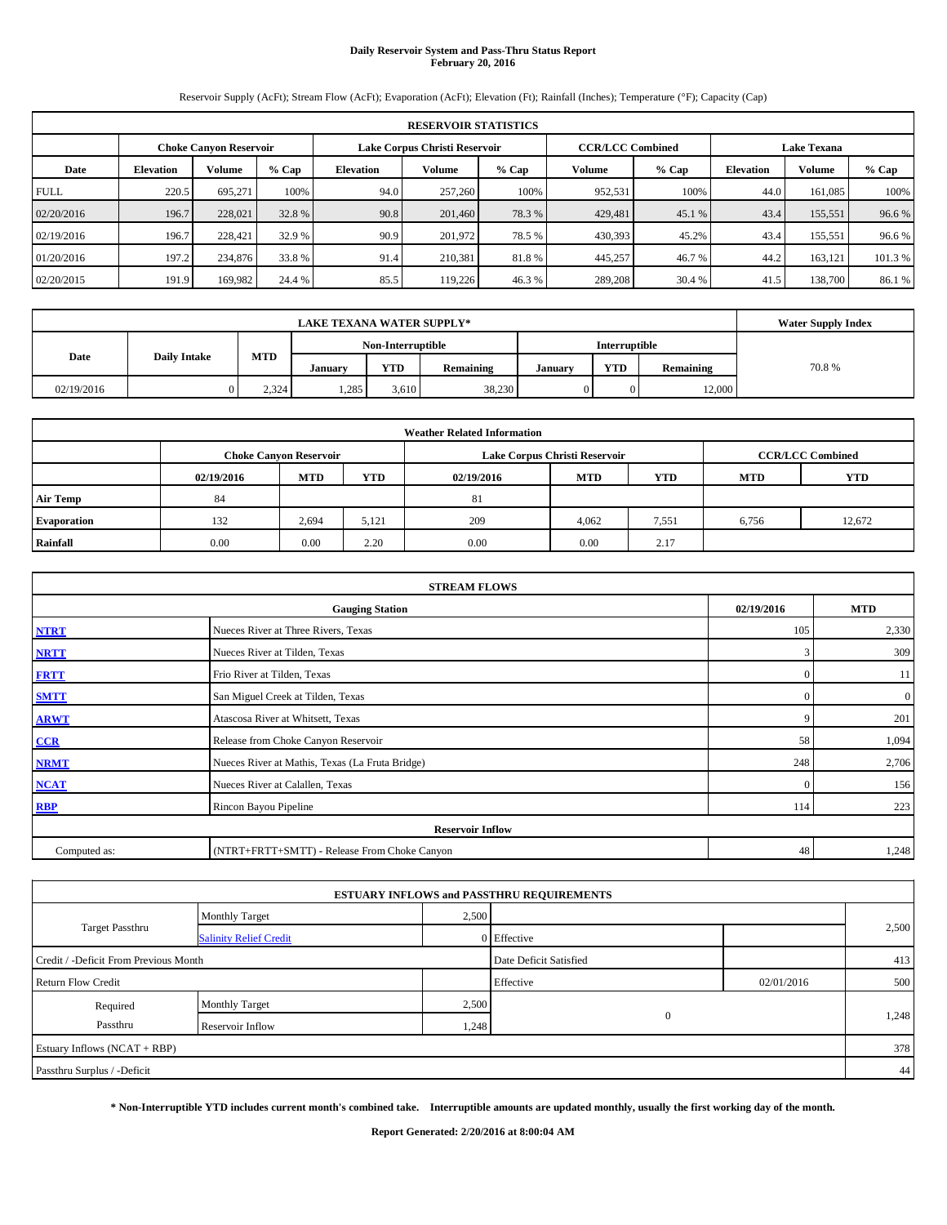## **Daily Reservoir System and Pass-Thru Status Report February 20, 2016**

Reservoir Supply (AcFt); Stream Flow (AcFt); Evaporation (AcFt); Elevation (Ft); Rainfall (Inches); Temperature (°F); Capacity (Cap)

|             | <b>RESERVOIR STATISTICS</b> |                               |         |                               |         |         |                         |         |                    |               |        |  |
|-------------|-----------------------------|-------------------------------|---------|-------------------------------|---------|---------|-------------------------|---------|--------------------|---------------|--------|--|
|             |                             | <b>Choke Canyon Reservoir</b> |         | Lake Corpus Christi Reservoir |         |         | <b>CCR/LCC Combined</b> |         | <b>Lake Texana</b> |               |        |  |
| Date        | <b>Elevation</b>            | Volume                        | $%$ Cap | <b>Elevation</b>              | Volume  | $%$ Cap | Volume                  | $%$ Cap | <b>Elevation</b>   | <b>Volume</b> | % Cap  |  |
| <b>FULL</b> | 220.5                       | 695.271                       | 100%    | 94.0                          | 257,260 | 100%    | 952,531                 | 100%    | 44.0               | 161,085       | 100%   |  |
| 02/20/2016  | 196.7                       | 228,021                       | 32.8%   | 90.8                          | 201,460 | 78.3 %  | 429,481                 | 45.1 %  | 43.4               | 155,551       | 96.6 % |  |
| 02/19/2016  | 196.7                       | 228,421                       | 32.9 %  | 90.9                          | 201.972 | 78.5 %  | 430,393                 | 45.2%   | 43.4               | 155.551       | 96.6 % |  |
| 01/20/2016  | 197.2                       | 234,876                       | 33.8 %  | 91.4                          | 210.381 | 81.8%   | 445,257                 | 46.7 %  | 44.2               | 163,121       | 101.3% |  |
| 02/20/2015  | 191.9                       | 169.982                       | 24.4 %  | 85.5                          | 119.226 | 46.3%   | 289,208                 | 30.4 %  | 41.5               | 138,700       | 86.1 % |  |

|            | <b>LAKE TEXANA WATER SUPPLY*</b> |            |         |       |           |         |            |           |       |  |  |
|------------|----------------------------------|------------|---------|-------|-----------|---------|------------|-----------|-------|--|--|
|            |                                  |            |         |       |           |         |            |           |       |  |  |
| Date       | <b>Daily Intake</b>              | <b>MTD</b> | Januarv | YTD   | Remaining | Januarv | <b>YTD</b> | Remaining | 70.8% |  |  |
| 02/19/2016 |                                  | 2,324      | 1,285   | 3.610 | 38,230    |         |            | 12,000    |       |  |  |

|                    |                                                                                           |            |            | <b>Weather Related Information</b> |            |            |            |            |  |  |  |  |
|--------------------|-------------------------------------------------------------------------------------------|------------|------------|------------------------------------|------------|------------|------------|------------|--|--|--|--|
|                    | <b>CCR/LCC Combined</b><br>Lake Corpus Christi Reservoir<br><b>Choke Canvon Reservoir</b> |            |            |                                    |            |            |            |            |  |  |  |  |
|                    | 02/19/2016                                                                                | <b>MTD</b> | <b>YTD</b> | 02/19/2016                         | <b>MTD</b> | <b>YTD</b> | <b>MTD</b> | <b>YTD</b> |  |  |  |  |
| <b>Air Temp</b>    | 84                                                                                        |            |            | 81                                 |            |            |            |            |  |  |  |  |
| <b>Evaporation</b> | 132                                                                                       | 2.694      | 5,121      | 209                                | 4.062      | 7,551      | 6,756      | 12,672     |  |  |  |  |
| Rainfall           | 0.00                                                                                      | 0.00       | 2.20       | 0.00                               | 0.00       | 2.17       |            |            |  |  |  |  |

|              | <b>STREAM FLOWS</b>                                |              |                  |  |  |  |  |  |  |  |
|--------------|----------------------------------------------------|--------------|------------------|--|--|--|--|--|--|--|
|              | 02/19/2016<br><b>MTD</b><br><b>Gauging Station</b> |              |                  |  |  |  |  |  |  |  |
| <b>NTRT</b>  | Nueces River at Three Rivers, Texas                | 105          | 2,330            |  |  |  |  |  |  |  |
| <b>NRTT</b>  | Nueces River at Tilden, Texas                      | 3            | 309              |  |  |  |  |  |  |  |
| <b>FRTT</b>  | Frio River at Tilden, Texas                        | $\mathbf{0}$ | 11               |  |  |  |  |  |  |  |
| <b>SMTT</b>  | San Miguel Creek at Tilden, Texas                  | $\mathbf{0}$ | $\boldsymbol{0}$ |  |  |  |  |  |  |  |
| <b>ARWT</b>  | Atascosa River at Whitsett, Texas                  | 9            | 201              |  |  |  |  |  |  |  |
| CCR          | Release from Choke Canyon Reservoir                | 58           | 1,094            |  |  |  |  |  |  |  |
| <b>NRMT</b>  | Nueces River at Mathis, Texas (La Fruta Bridge)    | 248          | 2,706            |  |  |  |  |  |  |  |
| <b>NCAT</b>  | Nueces River at Calallen, Texas                    | $\Omega$     | 156              |  |  |  |  |  |  |  |
| <b>RBP</b>   | Rincon Bayou Pipeline                              | 114          | 223              |  |  |  |  |  |  |  |
|              | <b>Reservoir Inflow</b>                            |              |                  |  |  |  |  |  |  |  |
| Computed as: | (NTRT+FRTT+SMTT) - Release From Choke Canyon       | 48           | 1,248            |  |  |  |  |  |  |  |

|                                       |                               |       | <b>ESTUARY INFLOWS and PASSTHRU REQUIREMENTS</b> |            |       |
|---------------------------------------|-------------------------------|-------|--------------------------------------------------|------------|-------|
|                                       | <b>Monthly Target</b>         | 2,500 |                                                  |            |       |
| <b>Target Passthru</b>                | <b>Salinity Relief Credit</b> |       | 0 Effective                                      |            | 2,500 |
| Credit / -Deficit From Previous Month |                               |       | Date Deficit Satisfied                           |            | 413   |
| <b>Return Flow Credit</b>             |                               |       | Effective                                        | 02/01/2016 | 500   |
| Required                              | <b>Monthly Target</b>         | 2,500 |                                                  |            |       |
| Passthru                              | Reservoir Inflow              | 1,248 | $\mathbf{0}$                                     |            | 1,248 |
| Estuary Inflows (NCAT + RBP)          |                               |       |                                                  |            | 378   |
| Passthru Surplus / -Deficit           |                               |       |                                                  |            | 44    |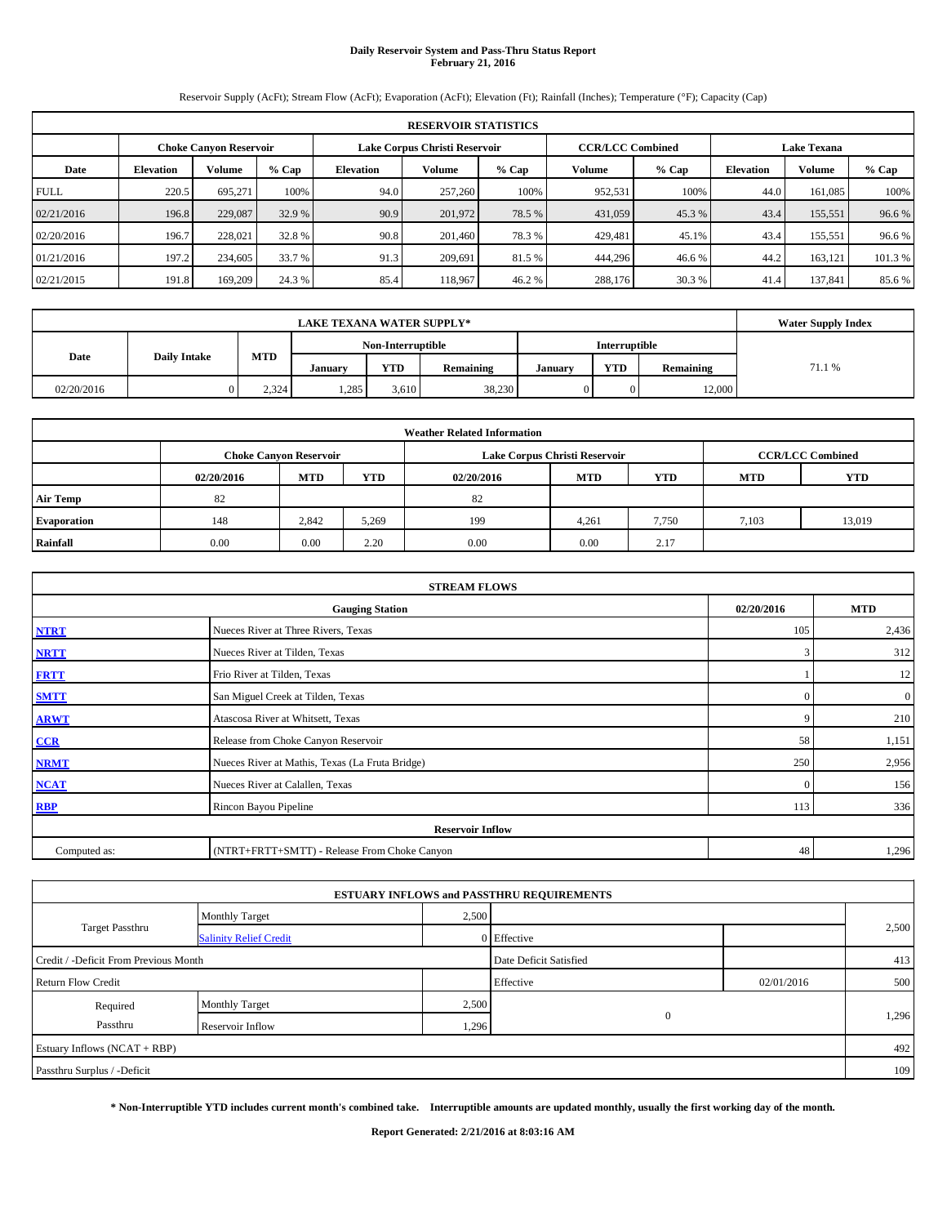# **Daily Reservoir System and Pass-Thru Status Report February 21, 2016**

Reservoir Supply (AcFt); Stream Flow (AcFt); Evaporation (AcFt); Elevation (Ft); Rainfall (Inches); Temperature (°F); Capacity (Cap)

|             | <b>RESERVOIR STATISTICS</b>                                                                                     |         |         |                  |         |         |         |         |                  |         |         |  |  |  |  |
|-------------|-----------------------------------------------------------------------------------------------------------------|---------|---------|------------------|---------|---------|---------|---------|------------------|---------|---------|--|--|--|--|
|             | Lake Corpus Christi Reservoir<br><b>CCR/LCC Combined</b><br><b>Lake Texana</b><br><b>Choke Canyon Reservoir</b> |         |         |                  |         |         |         |         |                  |         |         |  |  |  |  |
| Date        | <b>Elevation</b>                                                                                                | Volume  | $%$ Cap | <b>Elevation</b> | Volume  | $%$ Cap | Volume  | $%$ Cap | <b>Elevation</b> | Volume  | % Cap   |  |  |  |  |
| <b>FULL</b> | 220.5                                                                                                           | 695.271 | 100%    | 94.0             | 257,260 | 100%    | 952,531 | 100%    | 44.0             | 161,085 | 100%    |  |  |  |  |
| 02/21/2016  | 196.8                                                                                                           | 229,087 | 32.9 %  | 90.9             | 201,972 | 78.5 %  | 431,059 | 45.3 %  | 43.4             | 155,551 | 96.6 %  |  |  |  |  |
| 02/20/2016  | 196.7                                                                                                           | 228,021 | 32.8 %  | 90.8             | 201.460 | 78.3 %  | 429,481 | 45.1%   | 43.4             | 155,551 | 96.6%   |  |  |  |  |
| 01/21/2016  | 197.2                                                                                                           | 234,605 | 33.7 %  | 91.3             | 209,691 | 81.5 %  | 444,296 | 46.6%   | 44.2             | 163,121 | 101.3 % |  |  |  |  |
| 02/21/2015  | 191.8                                                                                                           | 169,209 | 24.3 %  | 85.4             | 118.967 | 46.2 %  | 288,176 | 30.3 %  | 41.4             | 137,841 | 85.6%   |  |  |  |  |

|            | <b>LAKE TEXANA WATER SUPPLY*</b> |            |         |       |           |         |            |           |        |  |  |
|------------|----------------------------------|------------|---------|-------|-----------|---------|------------|-----------|--------|--|--|
|            |                                  |            |         |       |           |         |            |           |        |  |  |
| Date       | <b>Daily Intake</b>              | <b>MTD</b> | Januarv | YTD   | Remaining | Januarv | <b>YTD</b> | Remaining | 71.1 % |  |  |
| 02/20/2016 |                                  | 2,324      | 1,285   | 3.610 | 38,230    |         |            | 12,000    |        |  |  |

|                    |                                                                                           |            |            | <b>Weather Related Information</b> |            |            |            |            |  |  |  |  |
|--------------------|-------------------------------------------------------------------------------------------|------------|------------|------------------------------------|------------|------------|------------|------------|--|--|--|--|
|                    | <b>CCR/LCC Combined</b><br>Lake Corpus Christi Reservoir<br><b>Choke Canvon Reservoir</b> |            |            |                                    |            |            |            |            |  |  |  |  |
|                    | 02/20/2016                                                                                | <b>MTD</b> | <b>YTD</b> | 02/20/2016                         | <b>MTD</b> | <b>YTD</b> | <b>MTD</b> | <b>YTD</b> |  |  |  |  |
| <b>Air Temp</b>    | 82                                                                                        |            |            | 82                                 |            |            |            |            |  |  |  |  |
| <b>Evaporation</b> | 148                                                                                       | 2.842      | 5,269      | 199                                | 4,261      | 7,750      | 7,103      | 13,019     |  |  |  |  |
| Rainfall           | 0.00                                                                                      | 0.00       | 2.20       | 0.00                               | 0.00       | 2.17       |            |            |  |  |  |  |

|              | <b>STREAM FLOWS</b>                             |              |              |
|--------------|-------------------------------------------------|--------------|--------------|
|              | <b>Gauging Station</b>                          | 02/20/2016   | <b>MTD</b>   |
| <b>NTRT</b>  | Nueces River at Three Rivers, Texas             | 105          | 2,436        |
| <b>NRTT</b>  | Nueces River at Tilden, Texas                   | 3            | 312          |
| <b>FRTT</b>  | Frio River at Tilden, Texas                     |              | 12           |
| <b>SMTT</b>  | San Miguel Creek at Tilden, Texas               | $\mathbf{0}$ | $\mathbf{0}$ |
| <b>ARWT</b>  | Atascosa River at Whitsett, Texas               | 9            | 210          |
| CCR          | Release from Choke Canyon Reservoir             | 58           | 1,151        |
| <b>NRMT</b>  | Nueces River at Mathis, Texas (La Fruta Bridge) | 250          | 2,956        |
| <b>NCAT</b>  | Nueces River at Calallen, Texas                 | $\Omega$     | 156          |
| <b>RBP</b>   | Rincon Bayou Pipeline                           | 113          | 336          |
|              | <b>Reservoir Inflow</b>                         |              |              |
| Computed as: | (NTRT+FRTT+SMTT) - Release From Choke Canyon    | 48           | 1,296        |

|                                       |                               |       | <b>ESTUARY INFLOWS and PASSTHRU REQUIREMENTS</b> |            |       |
|---------------------------------------|-------------------------------|-------|--------------------------------------------------|------------|-------|
|                                       | <b>Monthly Target</b>         | 2,500 |                                                  |            |       |
| <b>Target Passthru</b>                | <b>Salinity Relief Credit</b> |       | 0 Effective                                      |            | 2,500 |
| Credit / -Deficit From Previous Month |                               |       | Date Deficit Satisfied                           |            | 413   |
| <b>Return Flow Credit</b>             |                               |       | Effective                                        | 02/01/2016 | 500   |
| Required                              | <b>Monthly Target</b>         | 2,500 |                                                  |            |       |
| Passthru                              | Reservoir Inflow              | 1,296 | $\mathbf{0}$                                     |            | 1,296 |
| Estuary Inflows (NCAT + RBP)          |                               |       |                                                  |            | 492   |
| Passthru Surplus / -Deficit           |                               |       |                                                  |            | 109   |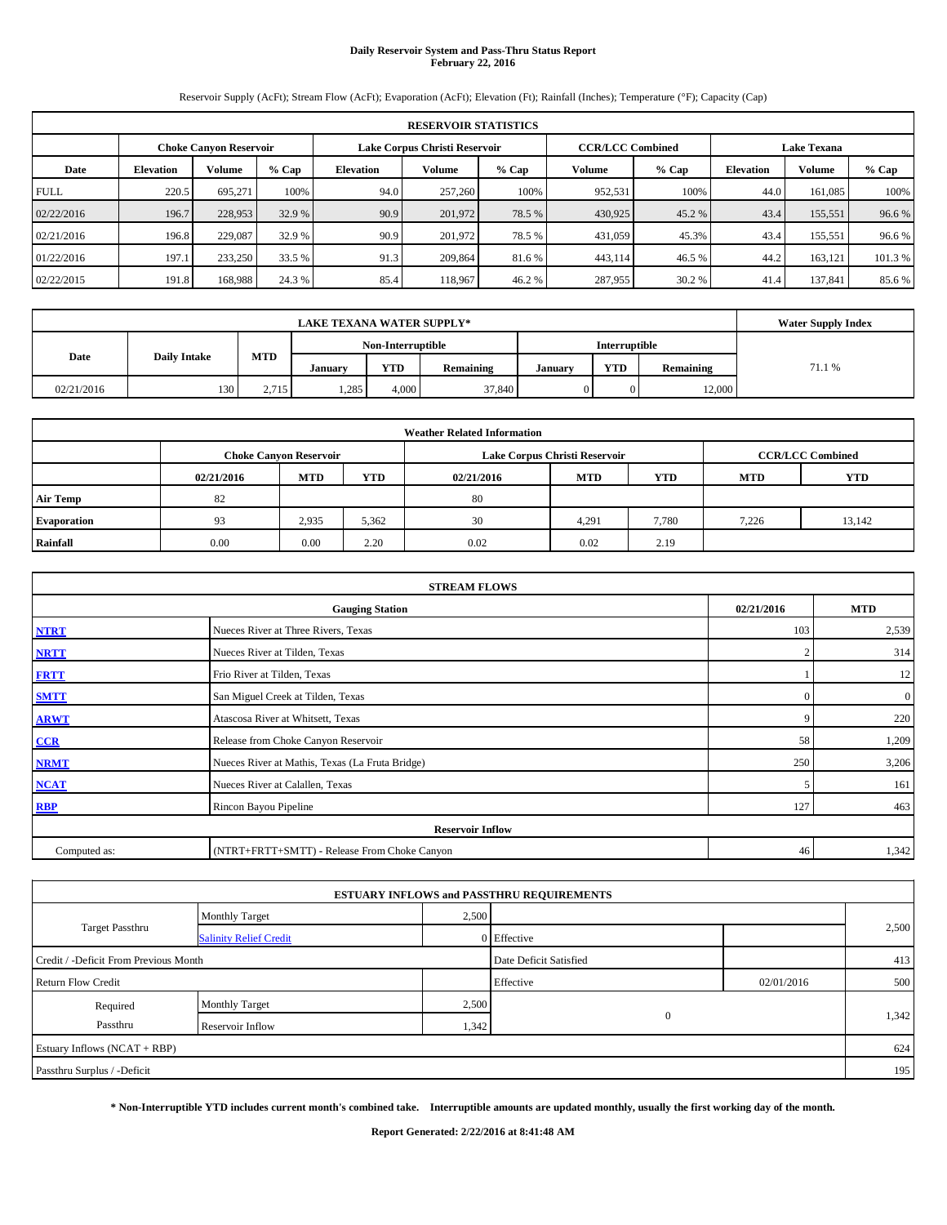# **Daily Reservoir System and Pass-Thru Status Report February 22, 2016**

Reservoir Supply (AcFt); Stream Flow (AcFt); Evaporation (AcFt); Elevation (Ft); Rainfall (Inches); Temperature (°F); Capacity (Cap)

|             | <b>RESERVOIR STATISTICS</b>                                                                                     |         |         |                  |         |         |         |         |                  |               |        |  |  |  |  |
|-------------|-----------------------------------------------------------------------------------------------------------------|---------|---------|------------------|---------|---------|---------|---------|------------------|---------------|--------|--|--|--|--|
|             | Lake Corpus Christi Reservoir<br><b>CCR/LCC Combined</b><br><b>Lake Texana</b><br><b>Choke Canyon Reservoir</b> |         |         |                  |         |         |         |         |                  |               |        |  |  |  |  |
| Date        | <b>Elevation</b>                                                                                                | Volume  | $%$ Cap | <b>Elevation</b> | Volume  | $%$ Cap | Volume  | $%$ Cap | <b>Elevation</b> | <b>Volume</b> | % Cap  |  |  |  |  |
| <b>FULL</b> | 220.5                                                                                                           | 695.271 | 100%    | 94.0             | 257,260 | 100%    | 952,531 | 100%    | 44.0             | 161,085       | 100%   |  |  |  |  |
| 02/22/2016  | 196.7                                                                                                           | 228,953 | 32.9 %  | 90.9             | 201,972 | 78.5 %  | 430,925 | 45.2 %  | 43.4             | 155,551       | 96.6 % |  |  |  |  |
| 02/21/2016  | 196.8                                                                                                           | 229,087 | 32.9 %  | 90.9             | 201.972 | 78.5 %  | 431,059 | 45.3%   | 43.4             | 155.551       | 96.6 % |  |  |  |  |
| 01/22/2016  | 197.1                                                                                                           | 233,250 | 33.5 %  | 91.3             | 209,864 | 81.6 %  | 443,114 | 46.5 %  | 44.2             | 163,121       | 101.3% |  |  |  |  |
| 02/22/2015  | 191.8                                                                                                           | 168,988 | 24.3 %  | 85.4             | 118.967 | 46.2 %  | 287,955 | 30.2 %  | 41.4             | 137,841       | 85.6 % |  |  |  |  |

|            | <b>LAKE TEXANA WATER SUPPLY*</b> |            |         |       |           |         |            |           |        |  |  |
|------------|----------------------------------|------------|---------|-------|-----------|---------|------------|-----------|--------|--|--|
|            |                                  |            |         |       |           |         |            |           |        |  |  |
| Date       | <b>Daily Intake</b>              | <b>MTD</b> | Januarv | YTD   | Remaining | Januarv | <b>YTD</b> | Remaining | 71.1 % |  |  |
| 02/21/2016 | 130                              | 2,715      | 1,285   | 4,000 | 37,840    |         |            | 12,000    |        |  |  |

|                    |                                                                                           |            |            | <b>Weather Related Information</b> |            |            |            |            |  |  |  |  |
|--------------------|-------------------------------------------------------------------------------------------|------------|------------|------------------------------------|------------|------------|------------|------------|--|--|--|--|
|                    | <b>CCR/LCC Combined</b><br>Lake Corpus Christi Reservoir<br><b>Choke Canvon Reservoir</b> |            |            |                                    |            |            |            |            |  |  |  |  |
|                    | 02/21/2016                                                                                | <b>MTD</b> | <b>YTD</b> | 02/21/2016                         | <b>MTD</b> | <b>YTD</b> | <b>MTD</b> | <b>YTD</b> |  |  |  |  |
| <b>Air Temp</b>    | 82                                                                                        |            |            | 80                                 |            |            |            |            |  |  |  |  |
| <b>Evaporation</b> | 93                                                                                        | 2,935      | 5,362      | 30                                 | 4,291      | 7,780      | 7,226      | 13,142     |  |  |  |  |
| Rainfall           | 0.00                                                                                      | 0.00       | 2.20       | 0.02                               | 0.02       | 2.19       |            |            |  |  |  |  |

| <b>STREAM FLOWS</b> |                                                 |            |                |  |  |  |  |  |  |  |
|---------------------|-------------------------------------------------|------------|----------------|--|--|--|--|--|--|--|
|                     | <b>Gauging Station</b>                          | 02/21/2016 | <b>MTD</b>     |  |  |  |  |  |  |  |
| <b>NTRT</b>         | Nueces River at Three Rivers, Texas             | 103        | 2,539          |  |  |  |  |  |  |  |
| <b>NRTT</b>         | Nueces River at Tilden, Texas                   | 2          | 314            |  |  |  |  |  |  |  |
| <b>FRTT</b>         | Frio River at Tilden, Texas                     |            | 12             |  |  |  |  |  |  |  |
| <b>SMTT</b>         | San Miguel Creek at Tilden, Texas               | $\Omega$   | $\overline{0}$ |  |  |  |  |  |  |  |
| <b>ARWT</b>         | 9                                               | 220        |                |  |  |  |  |  |  |  |
| CCR                 | Release from Choke Canyon Reservoir             | 58         | 1,209          |  |  |  |  |  |  |  |
| <b>NRMT</b>         | Nueces River at Mathis, Texas (La Fruta Bridge) | 250        | 3,206          |  |  |  |  |  |  |  |
| <b>NCAT</b>         | Nueces River at Calallen, Texas                 |            | 161            |  |  |  |  |  |  |  |
| RBP                 | Rincon Bayou Pipeline                           | 127        | 463            |  |  |  |  |  |  |  |
|                     | <b>Reservoir Inflow</b>                         |            |                |  |  |  |  |  |  |  |
| Computed as:        | (NTRT+FRTT+SMTT) - Release From Choke Canyon    |            |                |  |  |  |  |  |  |  |

|                                       |                               |       | <b>ESTUARY INFLOWS and PASSTHRU REQUIREMENTS</b> |            |       |
|---------------------------------------|-------------------------------|-------|--------------------------------------------------|------------|-------|
|                                       | <b>Monthly Target</b>         | 2,500 |                                                  |            | 2,500 |
| <b>Target Passthru</b>                | <b>Salinity Relief Credit</b> |       | 0 Effective                                      |            |       |
| Credit / -Deficit From Previous Month |                               |       | Date Deficit Satisfied                           |            | 413   |
| <b>Return Flow Credit</b>             |                               |       | Effective                                        | 02/01/2016 | 500   |
| Required                              | <b>Monthly Target</b>         | 2,500 |                                                  |            |       |
| Passthru                              | Reservoir Inflow              | 1,342 | $\mathbf{0}$                                     |            | 1,342 |
| Estuary Inflows (NCAT + RBP)          |                               |       |                                                  |            | 624   |
| Passthru Surplus / -Deficit           |                               |       |                                                  |            | 195   |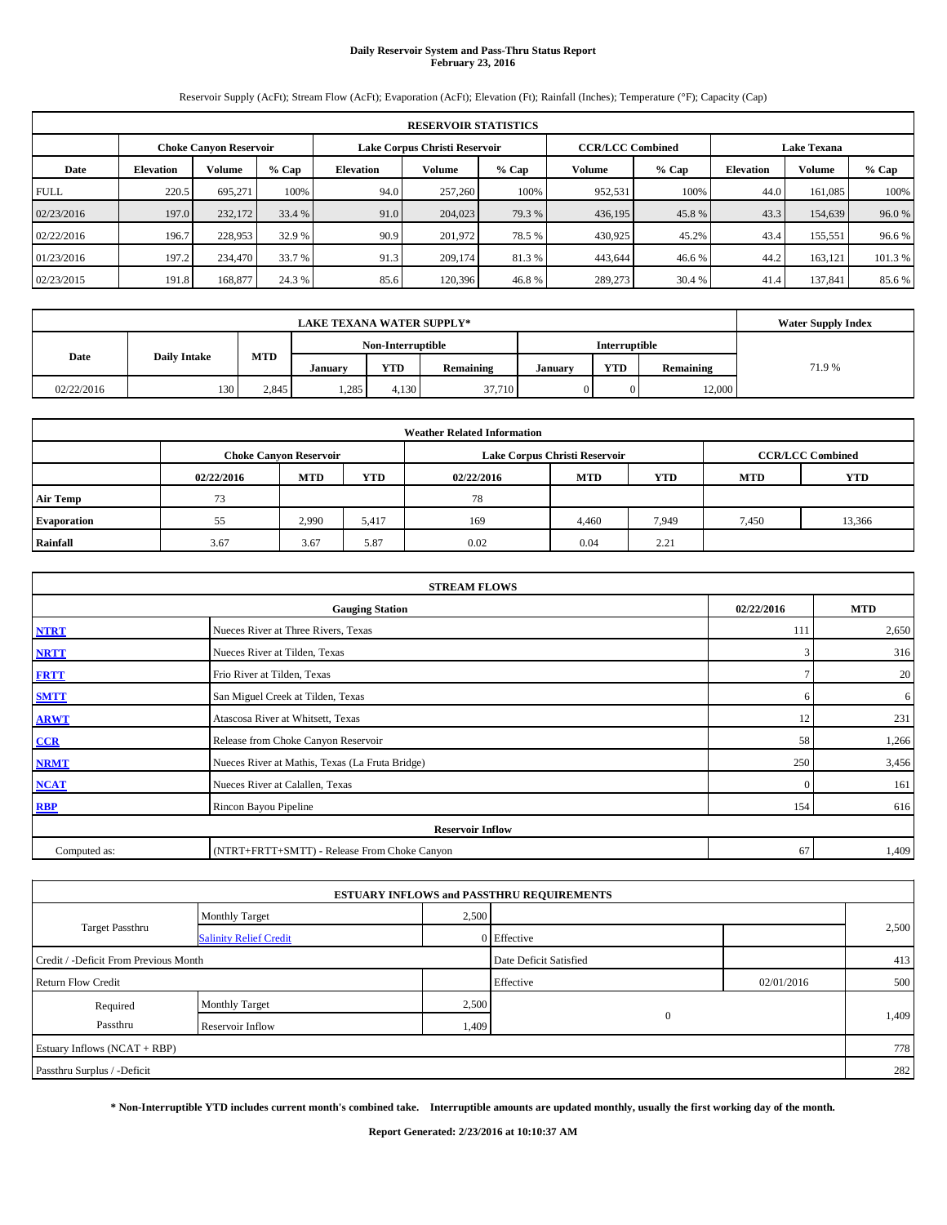# **Daily Reservoir System and Pass-Thru Status Report February 23, 2016**

Reservoir Supply (AcFt); Stream Flow (AcFt); Evaporation (AcFt); Elevation (Ft); Rainfall (Inches); Temperature (°F); Capacity (Cap)

|             | <b>RESERVOIR STATISTICS</b>                                    |         |         |                  |                         |         |         |                    |                  |         |         |  |
|-------------|----------------------------------------------------------------|---------|---------|------------------|-------------------------|---------|---------|--------------------|------------------|---------|---------|--|
|             | Lake Corpus Christi Reservoir<br><b>Choke Canvon Reservoir</b> |         |         |                  | <b>CCR/LCC Combined</b> |         |         | <b>Lake Texana</b> |                  |         |         |  |
| Date        | <b>Elevation</b>                                               | Volume  | $%$ Cap | <b>Elevation</b> | Volume                  | $%$ Cap | Volume  | $%$ Cap            | <b>Elevation</b> | Volume  | % Cap   |  |
| <b>FULL</b> | 220.5                                                          | 695,271 | 100%    | 94.0             | 257,260                 | 100%    | 952,531 | 100%               | 44.0             | 161,085 | 100%    |  |
| 02/23/2016  | 197.0                                                          | 232,172 | 33.4 %  | 91.0             | 204,023                 | 79.3 %  | 436,195 | 45.8%              | 43.3             | 154,639 | 96.0%   |  |
| 02/22/2016  | 196.7                                                          | 228,953 | 32.9 %  | 90.9             | 201,972                 | 78.5 %  | 430,925 | 45.2%              | 43.4             | 155,551 | 96.6%   |  |
| 01/23/2016  | 197.2                                                          | 234,470 | 33.7 %  | 91.3             | 209,174                 | 81.3%   | 443,644 | 46.6%              | 44.2             | 163,121 | 101.3 % |  |
| 02/23/2015  | 191.8                                                          | 168,877 | 24.3 %  | 85.6             | 120.396                 | 46.8%   | 289,273 | 30.4 %             | 41.4             | 137,841 | 85.6%   |  |

|            | <b>Water Supply Index</b> |            |         |                   |           |         |               |           |        |
|------------|---------------------------|------------|---------|-------------------|-----------|---------|---------------|-----------|--------|
|            |                           |            |         | Non-Interruptible |           |         | Interruptible |           |        |
| Date       | <b>Daily Intake</b>       | <b>MTD</b> | Januarv | YTD               | Remaining | Januarv | <b>YTD</b>    | Remaining | 71.9 % |
| 02/22/2016 | 130                       | 2,845      | 1,285   | 4.130             | 37,710    |         |               | 12,000    |        |

|                    | <b>Weather Related Information</b> |                               |            |            |                               |                         |            |            |  |  |  |  |
|--------------------|------------------------------------|-------------------------------|------------|------------|-------------------------------|-------------------------|------------|------------|--|--|--|--|
|                    |                                    | <b>Choke Canvon Reservoir</b> |            |            | Lake Corpus Christi Reservoir | <b>CCR/LCC Combined</b> |            |            |  |  |  |  |
|                    | 02/22/2016                         | <b>MTD</b>                    | <b>YTD</b> | 02/22/2016 | <b>MTD</b>                    | <b>YTD</b>              | <b>MTD</b> | <b>YTD</b> |  |  |  |  |
| <b>Air Temp</b>    | 73                                 |                               |            | 78         |                               |                         |            |            |  |  |  |  |
| <b>Evaporation</b> | 55                                 | 2.990                         | 5,417      | 169        | 4,460                         | 7.949                   | 7,450      | 13,366     |  |  |  |  |
| Rainfall           | 3.67                               | 3.67                          | 5.87       | 0.02       | 0.04                          | 2.21                    |            |            |  |  |  |  |

| <b>STREAM FLOWS</b> |                                                 |            |            |  |  |  |  |  |  |  |
|---------------------|-------------------------------------------------|------------|------------|--|--|--|--|--|--|--|
|                     | <b>Gauging Station</b>                          | 02/22/2016 | <b>MTD</b> |  |  |  |  |  |  |  |
| <b>NTRT</b>         | Nueces River at Three Rivers, Texas             | 111        | 2,650      |  |  |  |  |  |  |  |
| <b>NRTT</b>         | Nueces River at Tilden, Texas                   | 3          | 316        |  |  |  |  |  |  |  |
| <b>FRTT</b>         | Frio River at Tilden, Texas                     |            | 20         |  |  |  |  |  |  |  |
| <b>SMTT</b>         | San Miguel Creek at Tilden, Texas               | 6          | 6          |  |  |  |  |  |  |  |
| <b>ARWT</b>         | Atascosa River at Whitsett, Texas               | 12         | 231        |  |  |  |  |  |  |  |
| CCR                 | Release from Choke Canyon Reservoir             | 58         | 1,266      |  |  |  |  |  |  |  |
| <b>NRMT</b>         | Nueces River at Mathis, Texas (La Fruta Bridge) | 250        | 3,456      |  |  |  |  |  |  |  |
| <b>NCAT</b>         | Nueces River at Calallen, Texas                 | $\Omega$   | 161        |  |  |  |  |  |  |  |
| <b>RBP</b>          | Rincon Bayou Pipeline                           | 154        | 616        |  |  |  |  |  |  |  |
|                     | <b>Reservoir Inflow</b>                         |            |            |  |  |  |  |  |  |  |
| Computed as:        | (NTRT+FRTT+SMTT) - Release From Choke Canyon    |            |            |  |  |  |  |  |  |  |

|                                       |                               |                        | <b>ESTUARY INFLOWS and PASSTHRU REQUIREMENTS</b> |            |       |
|---------------------------------------|-------------------------------|------------------------|--------------------------------------------------|------------|-------|
|                                       | <b>Monthly Target</b>         | 2,500                  |                                                  |            |       |
| Target Passthru                       | <b>Salinity Relief Credit</b> |                        | 0 Effective                                      |            | 2,500 |
| Credit / -Deficit From Previous Month |                               | Date Deficit Satisfied |                                                  | 413        |       |
| <b>Return Flow Credit</b>             |                               |                        | Effective                                        | 02/01/2016 | 500   |
| Required                              | <b>Monthly Target</b>         | 2,500                  |                                                  |            |       |
| Passthru                              | Reservoir Inflow              | 1,409                  | $\mathbf{0}$                                     |            | 1,409 |
| Estuary Inflows (NCAT + RBP)          |                               |                        |                                                  |            | 778   |
| Passthru Surplus / -Deficit           |                               |                        |                                                  |            | 282   |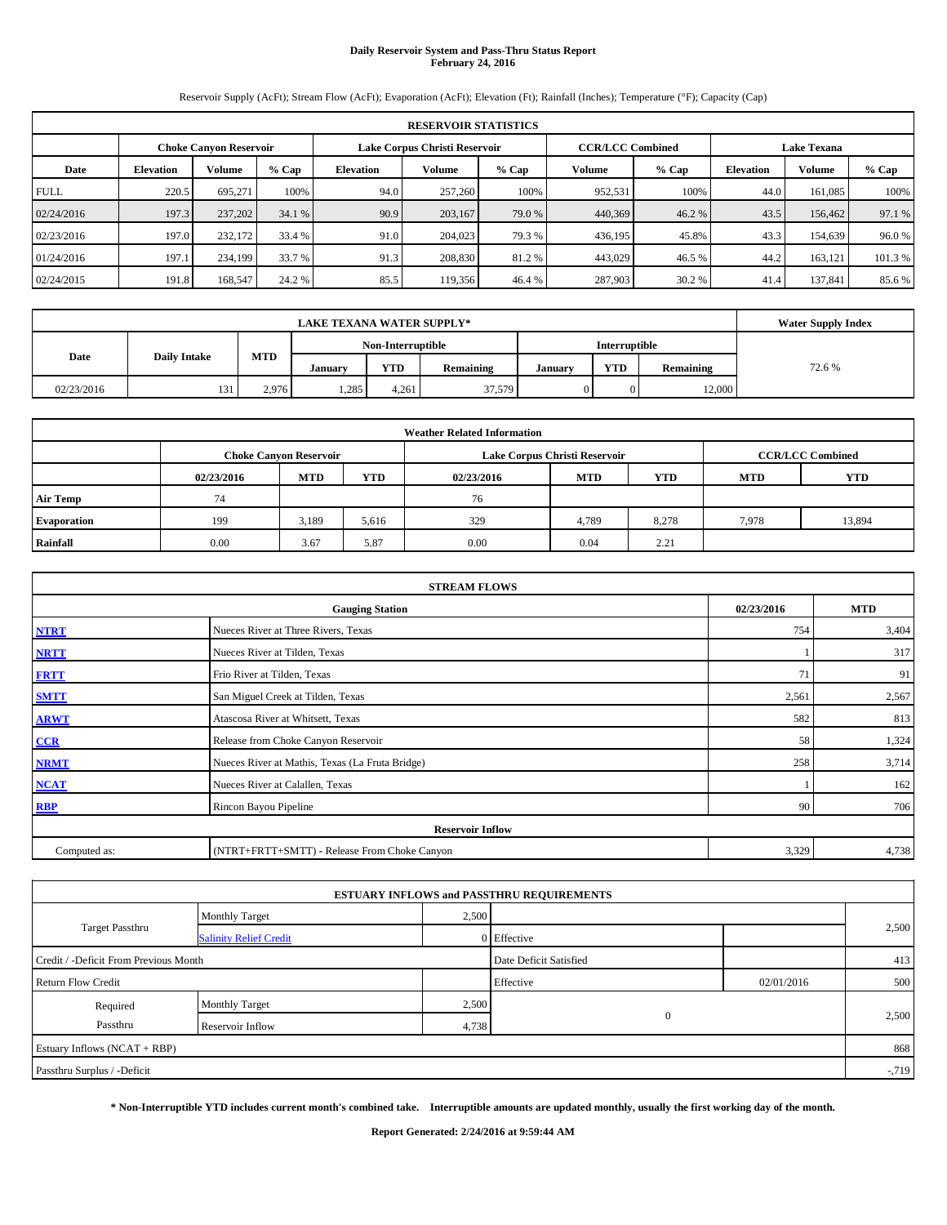# **Daily Reservoir System and Pass-Thru Status Report February 24, 2016**

Reservoir Supply (AcFt); Stream Flow (AcFt); Evaporation (AcFt); Elevation (Ft); Rainfall (Inches); Temperature (°F); Capacity (Cap)

|             | <b>RESERVOIR STATISTICS</b> |                               |         |                  |                               |         |                         |         |                    |         |         |  |
|-------------|-----------------------------|-------------------------------|---------|------------------|-------------------------------|---------|-------------------------|---------|--------------------|---------|---------|--|
|             |                             | <b>Choke Canyon Reservoir</b> |         |                  | Lake Corpus Christi Reservoir |         | <b>CCR/LCC Combined</b> |         | <b>Lake Texana</b> |         |         |  |
| Date        | <b>Elevation</b>            | Volume                        | $%$ Cap | <b>Elevation</b> | Volume                        | $%$ Cap | Volume                  | $%$ Cap | <b>Elevation</b>   | Volume  | % Cap   |  |
| <b>FULL</b> | 220.5                       | 695.271                       | 100%    | 94.0             | 257,260                       | 100%    | 952,531                 | 100%    | 44.0               | 161,085 | 100%    |  |
| 02/24/2016  | 197.3                       | 237,202                       | 34.1 %  | 90.9             | 203,167                       | 79.0 %  | 440,369                 | 46.2 %  | 43.5               | 156,462 | 97.1 %  |  |
| 02/23/2016  | 197.0                       | 232,172                       | 33.4 %  | 91.0             | 204,023                       | 79.3 %  | 436,195                 | 45.8%   | 43.3               | 154,639 | 96.0%   |  |
| 01/24/2016  | 197.1                       | 234,199                       | 33.7 %  | 91.3             | 208,830                       | 81.2%   | 443,029                 | 46.5 %  | 44.2               | 163,121 | 101.3 % |  |
| 02/24/2015  | 191.8                       | 168,547                       | 24.2 %  | 85.5             | 119.356                       | 46.4 %  | 287,903                 | 30.2%   | 41.4               | 137,841 | 85.6%   |  |

|            | <b>Water Supply Index</b>          |            |         |       |           |         |            |           |        |
|------------|------------------------------------|------------|---------|-------|-----------|---------|------------|-----------|--------|
|            | Non-Interruptible<br>Interruptible |            |         |       |           |         |            |           |        |
| Date       | <b>Daily Intake</b>                | <b>MTD</b> | Januarv | YTD   | Remaining | Januarv | <b>YTD</b> | Remaining | 72.6 % |
| 02/23/2016 | 131                                | 2,976      | 1,285   | 4.261 | 37,579    |         |            | 12,000    |        |

| <b>Weather Related Information</b> |            |                               |            |            |                               |                         |            |            |  |  |
|------------------------------------|------------|-------------------------------|------------|------------|-------------------------------|-------------------------|------------|------------|--|--|
|                                    |            | <b>Choke Canvon Reservoir</b> |            |            | Lake Corpus Christi Reservoir | <b>CCR/LCC Combined</b> |            |            |  |  |
|                                    | 02/23/2016 | <b>MTD</b>                    | <b>YTD</b> | 02/23/2016 | <b>MTD</b>                    | <b>YTD</b>              | <b>MTD</b> | <b>YTD</b> |  |  |
| <b>Air Temp</b>                    | 74         |                               |            | 76         |                               |                         |            |            |  |  |
| <b>Evaporation</b>                 | 199        | 3,189                         | 5,616      | 329        | 4,789                         | 8.278                   | 7,978      | 13,894     |  |  |
| Rainfall                           | 0.00       | 3.67                          | 5.87       | 0.00       | 0.04                          | 2.21                    |            |            |  |  |

| <b>STREAM FLOWS</b> |                                                 |            |            |  |  |  |  |  |  |  |
|---------------------|-------------------------------------------------|------------|------------|--|--|--|--|--|--|--|
|                     | <b>Gauging Station</b>                          | 02/23/2016 | <b>MTD</b> |  |  |  |  |  |  |  |
| <b>NTRT</b>         | Nueces River at Three Rivers, Texas             | 754        | 3,404      |  |  |  |  |  |  |  |
| <b>NRTT</b>         | Nueces River at Tilden, Texas                   |            | 317        |  |  |  |  |  |  |  |
| <b>FRTT</b>         | Frio River at Tilden, Texas                     | 71         | 91         |  |  |  |  |  |  |  |
| <b>SMTT</b>         | San Miguel Creek at Tilden, Texas               | 2,561      | 2,567      |  |  |  |  |  |  |  |
| <b>ARWT</b>         | Atascosa River at Whitsett, Texas               | 582        | 813        |  |  |  |  |  |  |  |
| CCR                 | Release from Choke Canyon Reservoir             | 58         | 1,324      |  |  |  |  |  |  |  |
| <b>NRMT</b>         | Nueces River at Mathis, Texas (La Fruta Bridge) | 258        | 3,714      |  |  |  |  |  |  |  |
| <b>NCAT</b>         | Nueces River at Calallen, Texas                 |            | 162        |  |  |  |  |  |  |  |
| <b>RBP</b>          | Rincon Bayou Pipeline                           | 90         | 706        |  |  |  |  |  |  |  |
|                     | <b>Reservoir Inflow</b>                         |            |            |  |  |  |  |  |  |  |
| Computed as:        | (NTRT+FRTT+SMTT) - Release From Choke Canyon    |            |            |  |  |  |  |  |  |  |

| <b>ESTUARY INFLOWS and PASSTHRU REQUIREMENTS</b> |                               |       |                        |            |        |  |  |  |  |  |
|--------------------------------------------------|-------------------------------|-------|------------------------|------------|--------|--|--|--|--|--|
|                                                  | <b>Monthly Target</b>         | 2,500 |                        |            |        |  |  |  |  |  |
| Target Passthru                                  | <b>Salinity Relief Credit</b> |       | 0 Effective            |            | 2,500  |  |  |  |  |  |
| Credit / -Deficit From Previous Month            |                               |       | Date Deficit Satisfied |            | 413    |  |  |  |  |  |
| <b>Return Flow Credit</b>                        |                               |       | Effective              | 02/01/2016 | 500    |  |  |  |  |  |
| Required                                         | <b>Monthly Target</b>         | 2,500 |                        |            |        |  |  |  |  |  |
| Passthru                                         | Reservoir Inflow              | 4,738 | $\mathbf{0}$           |            | 2,500  |  |  |  |  |  |
| Estuary Inflows (NCAT + RBP)                     |                               |       |                        |            | 868    |  |  |  |  |  |
| Passthru Surplus / -Deficit                      |                               |       |                        |            | $-719$ |  |  |  |  |  |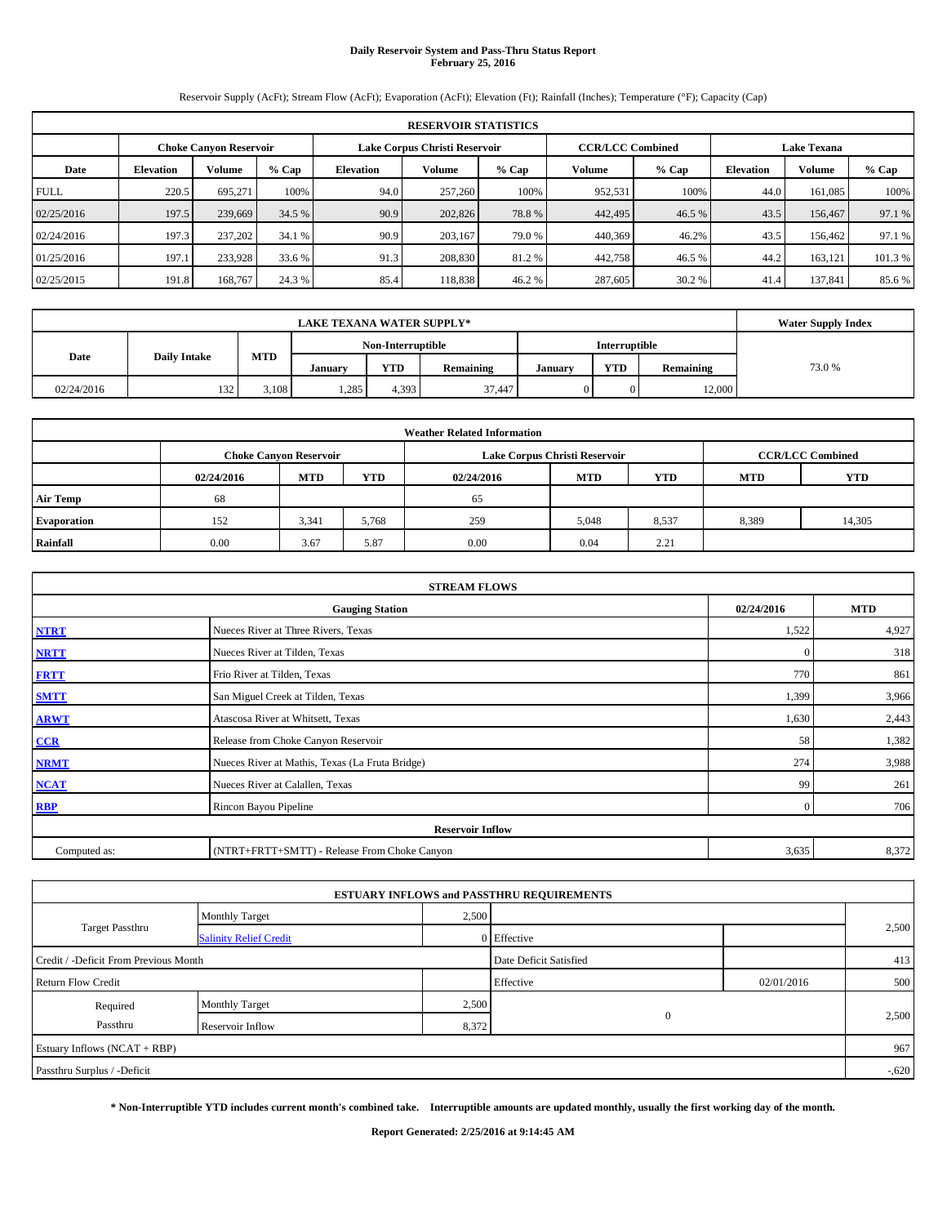# **Daily Reservoir System and Pass-Thru Status Report February 25, 2016**

Reservoir Supply (AcFt); Stream Flow (AcFt); Evaporation (AcFt); Elevation (Ft); Rainfall (Inches); Temperature (°F); Capacity (Cap)

|             | <b>RESERVOIR STATISTICS</b>                                                                              |         |         |                  |                                        |       |         |        |      |         |         |  |
|-------------|----------------------------------------------------------------------------------------------------------|---------|---------|------------------|----------------------------------------|-------|---------|--------|------|---------|---------|--|
|             | <b>Lake Texana</b><br>Lake Corpus Christi Reservoir<br><b>CCR/LCC Combined</b><br>Choke Canvon Reservoir |         |         |                  |                                        |       |         |        |      |         |         |  |
| Date        | <b>Elevation</b>                                                                                         | Volume  | $%$ Cap | <b>Elevation</b> | Volume<br>$%$ Cap<br>Volume<br>$%$ Cap |       |         |        |      | Volume  | $%$ Cap |  |
| <b>FULL</b> | 220.5                                                                                                    | 695.271 | 100%    | 94.0             | 257,260                                | 100%  | 952.531 | 100%   | 44.0 | 161.085 | 100%    |  |
| 02/25/2016  | 197.5                                                                                                    | 239,669 | 34.5 %  | 90.9             | 202,826                                | 78.8% | 442,495 | 46.5 % | 43.5 | 156,467 | 97.1 %  |  |
| 02/24/2016  | 197.3                                                                                                    | 237,202 | 34.1 %  | 90.9             | 203.167                                | 79.0% | 440,369 | 46.2%  | 43.5 | 156,462 | 97.1 %  |  |
| 01/25/2016  | 197.1                                                                                                    | 233,928 | 33.6 %  | 91.3             | 208,830                                | 81.2% | 442,758 | 46.5 % | 44.2 | 163.121 | 101.3%  |  |
| 02/25/2015  | 191.8                                                                                                    | 168,767 | 24.3 %  | 85.4             | 118,838                                | 46.2% | 287,605 | 30.2 % | 41.4 | 137,841 | 85.6 %  |  |

|                             | <b>LAKE TEXANA WATER SUPPLY*</b> |            |         |                   |           |         |               |           |        |  |  |
|-----------------------------|----------------------------------|------------|---------|-------------------|-----------|---------|---------------|-----------|--------|--|--|
|                             |                                  |            |         | Non-Interruptible |           |         | Interruptible |           |        |  |  |
| Date<br><b>Daily Intake</b> |                                  | <b>MTD</b> | Januarv | YTD               | Remaining | Januarv | <b>YTD</b>    | Remaining | 73.0 % |  |  |
| 02/24/2016                  | 132                              | 3,108      | 1,285   | 4,393             | 37,447    |         |               | 12,000    |        |  |  |

| <b>Weather Related Information</b> |            |                               |            |            |                               |                         |       |        |  |  |  |
|------------------------------------|------------|-------------------------------|------------|------------|-------------------------------|-------------------------|-------|--------|--|--|--|
|                                    |            | <b>Choke Canvon Reservoir</b> |            |            | Lake Corpus Christi Reservoir | <b>CCR/LCC Combined</b> |       |        |  |  |  |
|                                    | 02/24/2016 | <b>MTD</b>                    | <b>MTD</b> | <b>YTD</b> |                               |                         |       |        |  |  |  |
| <b>Air Temp</b>                    | 68         |                               |            | 65         |                               |                         |       |        |  |  |  |
| <b>Evaporation</b>                 | 152        | 3,341                         | 5,768      | 259        | 5,048                         | 8,537                   | 8,389 | 14,305 |  |  |  |
| Rainfall                           | 0.00       | 3.67                          | 5.87       | 0.00       | 0.04                          | 2.21                    |       |        |  |  |  |

| <b>STREAM FLOWS</b> |                                                 |                |            |  |  |  |  |  |  |
|---------------------|-------------------------------------------------|----------------|------------|--|--|--|--|--|--|
|                     | <b>Gauging Station</b>                          | 02/24/2016     | <b>MTD</b> |  |  |  |  |  |  |
| <b>NTRT</b>         | Nueces River at Three Rivers, Texas             | 1,522          | 4,927      |  |  |  |  |  |  |
| <b>NRTT</b>         | Nueces River at Tilden, Texas                   | $\overline{0}$ | 318        |  |  |  |  |  |  |
| <b>FRTT</b>         | Frio River at Tilden, Texas                     | 770            | 861        |  |  |  |  |  |  |
| <b>SMTT</b>         | San Miguel Creek at Tilden, Texas               | 1,399          | 3,966      |  |  |  |  |  |  |
| <b>ARWT</b>         | Atascosa River at Whitsett, Texas               | 1,630          | 2,443      |  |  |  |  |  |  |
| CCR                 | Release from Choke Canyon Reservoir             | 58             | 1,382      |  |  |  |  |  |  |
| <b>NRMT</b>         | Nueces River at Mathis, Texas (La Fruta Bridge) | 274            | 3,988      |  |  |  |  |  |  |
| <b>NCAT</b>         | Nueces River at Calallen, Texas                 | 99             | 261        |  |  |  |  |  |  |
| <b>RBP</b>          | Rincon Bayou Pipeline                           | $\overline{0}$ | 706        |  |  |  |  |  |  |
|                     | <b>Reservoir Inflow</b>                         |                |            |  |  |  |  |  |  |
| Computed as:        | (NTRT+FRTT+SMTT) - Release From Choke Canyon    |                |            |  |  |  |  |  |  |

|                                       |                               |       | <b>ESTUARY INFLOWS and PASSTHRU REQUIREMENTS</b> |            |          |
|---------------------------------------|-------------------------------|-------|--------------------------------------------------|------------|----------|
|                                       | <b>Monthly Target</b>         | 2,500 |                                                  |            |          |
| <b>Target Passthru</b>                | <b>Salinity Relief Credit</b> |       | 0 Effective                                      |            | 2,500    |
| Credit / -Deficit From Previous Month |                               |       | Date Deficit Satisfied                           |            | 413      |
| <b>Return Flow Credit</b>             |                               |       | Effective                                        | 02/01/2016 | 500      |
| Required                              | <b>Monthly Target</b>         | 2,500 |                                                  |            |          |
| Passthru                              | Reservoir Inflow              | 8,372 | $\mathbf{0}$                                     |            | 2,500    |
| Estuary Inflows (NCAT + RBP)          |                               |       |                                                  |            | 967      |
| Passthru Surplus / -Deficit           |                               |       |                                                  |            | $-0.620$ |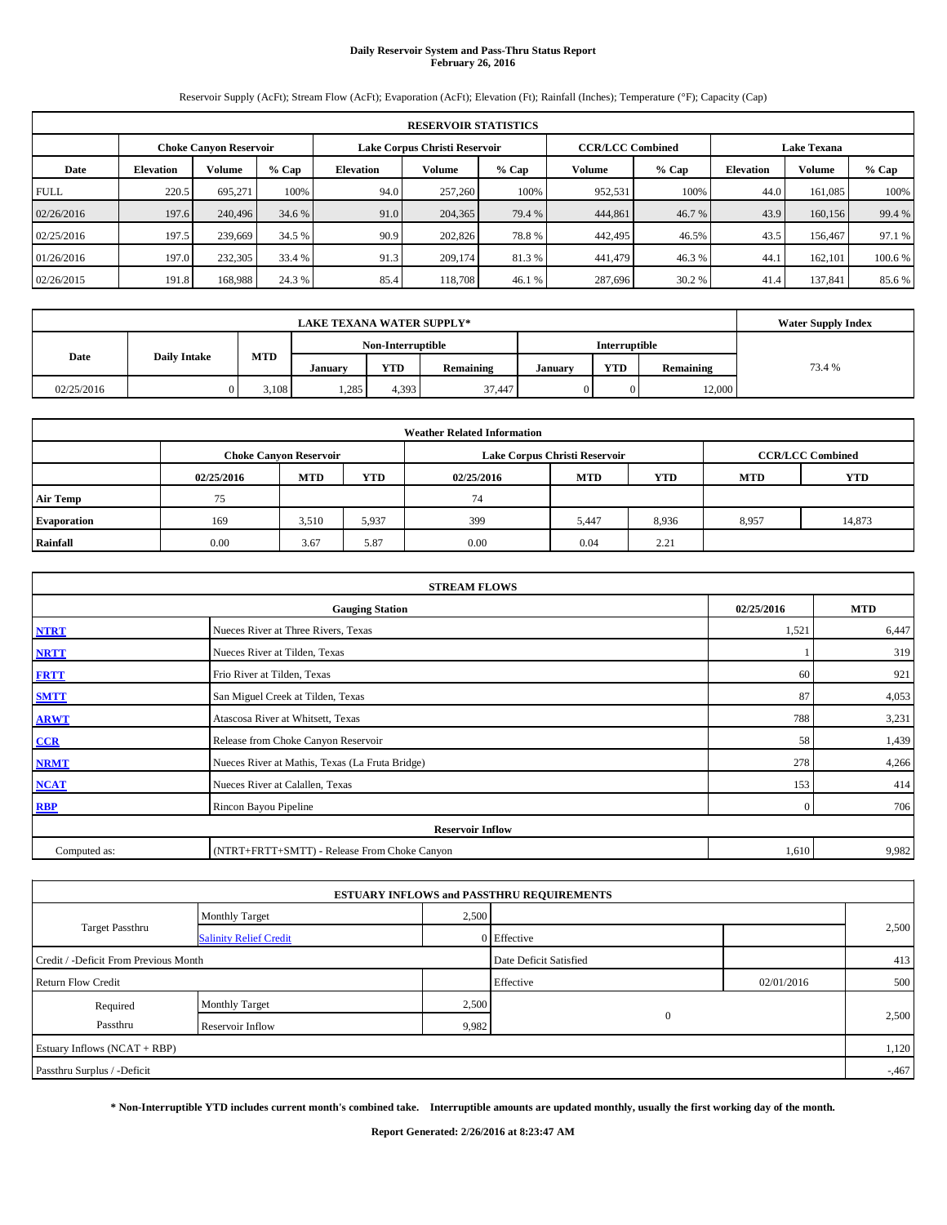## **Daily Reservoir System and Pass-Thru Status Report February 26, 2016**

Reservoir Supply (AcFt); Stream Flow (AcFt); Evaporation (AcFt); Elevation (Ft); Rainfall (Inches); Temperature (°F); Capacity (Cap)

|             | <b>RESERVOIR STATISTICS</b>                                                                                     |         |         |                  |                                                                   |        |         |        |      |               |         |  |  |
|-------------|-----------------------------------------------------------------------------------------------------------------|---------|---------|------------------|-------------------------------------------------------------------|--------|---------|--------|------|---------------|---------|--|--|
|             | <b>CCR/LCC Combined</b><br>Lake Corpus Christi Reservoir<br><b>Lake Texana</b><br><b>Choke Canvon Reservoir</b> |         |         |                  |                                                                   |        |         |        |      |               |         |  |  |
| Date        | <b>Elevation</b>                                                                                                | Volume  | $%$ Cap | <b>Elevation</b> | Volume<br><b>Volume</b><br>$%$ Cap<br><b>Elevation</b><br>$%$ Cap |        |         |        |      | <b>Volume</b> | $%$ Cap |  |  |
| <b>FULL</b> | 220.5                                                                                                           | 695,271 | 100%    | 94.0             | 257,260                                                           | 100%   | 952,531 | 100%   | 44.0 | 161.085       | 100%    |  |  |
| 02/26/2016  | 197.6                                                                                                           | 240,496 | 34.6 %  | 91.0             | 204,365                                                           | 79.4 % | 444,861 | 46.7 % | 43.9 | 160,156       | 99.4 %  |  |  |
| 02/25/2016  | 197.5                                                                                                           | 239,669 | 34.5 %  | 90.9             | 202,826                                                           | 78.8%  | 442,495 | 46.5%  | 43.5 | 156,467       | 97.1 %  |  |  |
| 01/26/2016  | 197.0                                                                                                           | 232,305 | 33.4 %  | 91.3             | 209,174                                                           | 81.3%  | 441,479 | 46.3%  | 44.  | 162,101       | 100.6 % |  |  |
| 02/26/2015  | 191.8                                                                                                           | 168,988 | 24.3 %  | 85.4             | 118,708                                                           | 46.1 % | 287,696 | 30.2 % | 41.4 | 137,841       | 85.6 %  |  |  |

|                             | <b>LAKE TEXANA WATER SUPPLY*</b> |            |         |                   |           |         |               |           |        |  |  |
|-----------------------------|----------------------------------|------------|---------|-------------------|-----------|---------|---------------|-----------|--------|--|--|
|                             |                                  |            |         | Non-Interruptible |           |         | Interruptible |           |        |  |  |
| Date<br><b>Daily Intake</b> |                                  | <b>MTD</b> | Januarv | YTD               | Remaining | Januarv | <b>YTD</b>    | Remaining | 73.4 % |  |  |
| 02/25/2016                  |                                  | 3,108      | 1,285   | 4,393             | 37,447    |         |               | 12,000    |        |  |  |

| <b>Weather Related Information</b> |            |                               |            |            |                               |                         |       |        |  |  |  |
|------------------------------------|------------|-------------------------------|------------|------------|-------------------------------|-------------------------|-------|--------|--|--|--|
|                                    |            | <b>Choke Canyon Reservoir</b> |            |            | Lake Corpus Christi Reservoir | <b>CCR/LCC Combined</b> |       |        |  |  |  |
|                                    | 02/25/2016 | <b>MTD</b>                    | <b>YTD</b> | 02/25/2016 | <b>MTD</b>                    | <b>YTD</b>              |       |        |  |  |  |
| <b>Air Temp</b>                    | 75         |                               |            | 74         |                               |                         |       |        |  |  |  |
| <b>Evaporation</b>                 | 169        | 3,510                         | 5,937      | 399        | 5.447                         | 8,936                   | 8,957 | 14,873 |  |  |  |
| Rainfall                           | 0.00       | 3.67                          | 5.87       | 0.00       | 0.04                          | 2.21                    |       |        |  |  |  |

| <b>STREAM FLOWS</b> |                                                 |                |            |  |  |  |  |  |
|---------------------|-------------------------------------------------|----------------|------------|--|--|--|--|--|
|                     | <b>Gauging Station</b>                          | 02/25/2016     | <b>MTD</b> |  |  |  |  |  |
| <b>NTRT</b>         | Nueces River at Three Rivers, Texas             | 1,521          | 6,447      |  |  |  |  |  |
| <b>NRTT</b>         | Nueces River at Tilden, Texas                   |                | 319        |  |  |  |  |  |
| <b>FRTT</b>         | Frio River at Tilden, Texas                     | 60             | 921        |  |  |  |  |  |
| <b>SMTT</b>         | San Miguel Creek at Tilden, Texas               | 87             | 4,053      |  |  |  |  |  |
| <b>ARWT</b>         | Atascosa River at Whitsett, Texas               | 788            | 3,231      |  |  |  |  |  |
| CCR                 | Release from Choke Canyon Reservoir             | 58             | 1,439      |  |  |  |  |  |
| <b>NRMT</b>         | Nueces River at Mathis, Texas (La Fruta Bridge) | 278            | 4,266      |  |  |  |  |  |
| <b>NCAT</b>         | Nueces River at Calallen, Texas                 | 153            | 414        |  |  |  |  |  |
| <b>RBP</b>          | Rincon Bayou Pipeline                           | $\overline{0}$ | 706        |  |  |  |  |  |
|                     | <b>Reservoir Inflow</b>                         |                |            |  |  |  |  |  |
| Computed as:        | (NTRT+FRTT+SMTT) - Release From Choke Canyon    |                |            |  |  |  |  |  |

|                                       |                               |       | <b>ESTUARY INFLOWS and PASSTHRU REQUIREMENTS</b> |            |         |
|---------------------------------------|-------------------------------|-------|--------------------------------------------------|------------|---------|
|                                       | <b>Monthly Target</b>         | 2,500 |                                                  |            |         |
| <b>Target Passthru</b>                | <b>Salinity Relief Credit</b> |       | 0 Effective                                      |            | 2,500   |
| Credit / -Deficit From Previous Month |                               |       | Date Deficit Satisfied                           |            | 413     |
| <b>Return Flow Credit</b>             |                               |       | Effective                                        | 02/01/2016 | 500     |
| Required                              | <b>Monthly Target</b>         | 2,500 |                                                  |            |         |
| Passthru<br>Reservoir Inflow          |                               |       | $\mathbf{0}$<br>9,982                            |            | 2,500   |
| Estuary Inflows (NCAT + RBP)          |                               |       |                                                  |            | 1,120   |
| Passthru Surplus / -Deficit           |                               |       |                                                  |            | $-.467$ |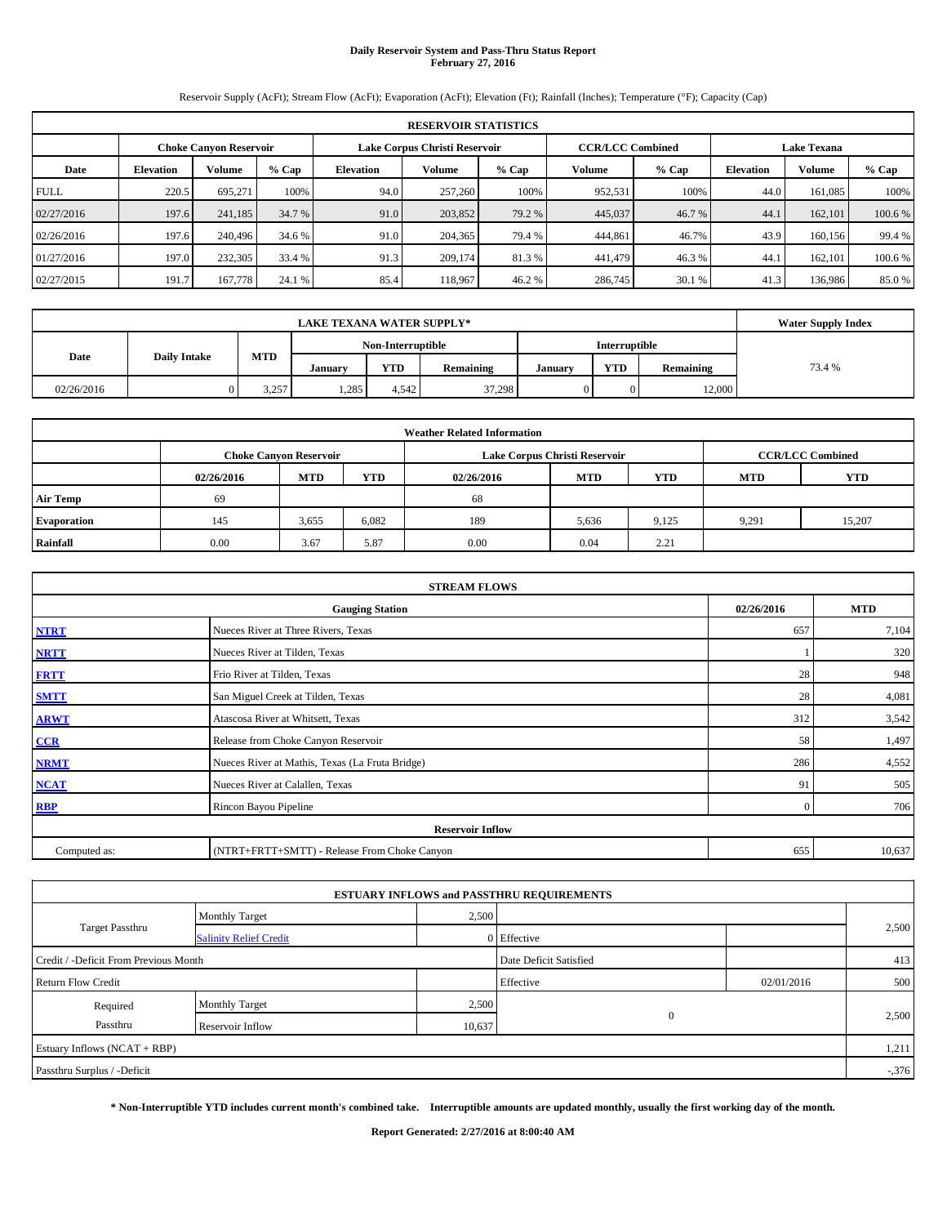# **Daily Reservoir System and Pass-Thru Status Report February 27, 2016**

Reservoir Supply (AcFt); Stream Flow (AcFt); Evaporation (AcFt); Elevation (Ft); Rainfall (Inches); Temperature (°F); Capacity (Cap)

|             | <b>RESERVOIR STATISTICS</b>                                                                                     |         |         |                  |         |         |         |         |                  |         |         |  |
|-------------|-----------------------------------------------------------------------------------------------------------------|---------|---------|------------------|---------|---------|---------|---------|------------------|---------|---------|--|
|             | Lake Corpus Christi Reservoir<br><b>CCR/LCC Combined</b><br><b>Lake Texana</b><br><b>Choke Canyon Reservoir</b> |         |         |                  |         |         |         |         |                  |         |         |  |
| Date        | <b>Elevation</b>                                                                                                | Volume  | $%$ Cap | <b>Elevation</b> | Volume  | $%$ Cap | Volume  | $%$ Cap | <b>Elevation</b> | Volume  | % Cap   |  |
| <b>FULL</b> | 220.5                                                                                                           | 695.271 | 100%    | 94.0             | 257,260 | 100%    | 952,531 | 100%    | 44.0             | 161,085 | 100%    |  |
| 02/27/2016  | 197.6                                                                                                           | 241,185 | 34.7 %  | 91.0             | 203,852 | 79.2 %  | 445,037 | 46.7 %  | 44.1             | 162,101 | 100.6 % |  |
| 02/26/2016  | 197.6                                                                                                           | 240,496 | 34.6 %  | 91.0             | 204.365 | 79.4 %  | 444,861 | 46.7%   | 43.9             | 160.156 | 99.4 %  |  |
| 01/27/2016  | 197.0                                                                                                           | 232,305 | 33.4 %  | 91.3             | 209,174 | 81.3 %  | 441,479 | 46.3%   | 44.1             | 162,101 | 100.6 % |  |
| 02/27/2015  | 191.7                                                                                                           | 167,778 | 24.1 %  | 85.4             | 118.967 | 46.2 %  | 286,745 | 30.1 %  | 41.3             | 136,986 | 85.0%   |  |

|                             | <b>LAKE TEXANA WATER SUPPLY*</b> |            |         |                   |           |         |               |           |        |  |  |
|-----------------------------|----------------------------------|------------|---------|-------------------|-----------|---------|---------------|-----------|--------|--|--|
|                             |                                  |            |         | Non-Interruptible |           |         | Interruptible |           |        |  |  |
| Date<br><b>Daily Intake</b> |                                  | <b>MTD</b> | Januarv | YTD               | Remaining | January | <b>YTD</b>    | Remaining | 73.4 % |  |  |
| 02/26/2016                  |                                  | 3,257      | 1,285   | 4.542             | 37,298    |         |               | 12,000    |        |  |  |

| <b>Weather Related Information</b> |            |                               |            |            |                               |                         |            |            |  |  |
|------------------------------------|------------|-------------------------------|------------|------------|-------------------------------|-------------------------|------------|------------|--|--|
|                                    |            | <b>Choke Canvon Reservoir</b> |            |            | Lake Corpus Christi Reservoir | <b>CCR/LCC Combined</b> |            |            |  |  |
|                                    | 02/26/2016 | <b>MTD</b>                    | <b>YTD</b> | 02/26/2016 | <b>MTD</b>                    | <b>YTD</b>              | <b>MTD</b> | <b>YTD</b> |  |  |
| <b>Air Temp</b>                    | 69         |                               |            | 68         |                               |                         |            |            |  |  |
| <b>Evaporation</b>                 | 145        | 3,655                         | 6,082      | 189        | 5,636                         | 9,125                   | 9,291      | 15,207     |  |  |
| Rainfall                           | 0.00       | 3.67                          | 5.87       | 0.00       | 0.04                          | 2.21                    |            |            |  |  |

| <b>STREAM FLOWS</b> |                                                 |          |        |  |  |  |  |  |  |  |
|---------------------|-------------------------------------------------|----------|--------|--|--|--|--|--|--|--|
|                     | <b>Gauging Station</b>                          |          |        |  |  |  |  |  |  |  |
| <b>NTRT</b>         | Nueces River at Three Rivers, Texas             | 657      | 7,104  |  |  |  |  |  |  |  |
| <b>NRTT</b>         | Nueces River at Tilden, Texas                   |          | 320    |  |  |  |  |  |  |  |
| <b>FRTT</b>         | Frio River at Tilden, Texas                     | 28       | 948    |  |  |  |  |  |  |  |
| <b>SMTT</b>         | San Miguel Creek at Tilden, Texas               | 28       | 4,081  |  |  |  |  |  |  |  |
| <b>ARWT</b>         | Atascosa River at Whitsett, Texas               | 312      | 3,542  |  |  |  |  |  |  |  |
| CCR                 | Release from Choke Canyon Reservoir             | 58       | 1,497  |  |  |  |  |  |  |  |
| <b>NRMT</b>         | Nueces River at Mathis, Texas (La Fruta Bridge) | 286      | 4,552  |  |  |  |  |  |  |  |
| <b>NCAT</b>         | Nueces River at Calallen, Texas                 | 91       | 505    |  |  |  |  |  |  |  |
| <b>RBP</b>          | Rincon Bayou Pipeline                           | $\Omega$ | 706    |  |  |  |  |  |  |  |
|                     | <b>Reservoir Inflow</b>                         |          |        |  |  |  |  |  |  |  |
| Computed as:        | (NTRT+FRTT+SMTT) - Release From Choke Canyon    | 655      | 10,637 |  |  |  |  |  |  |  |

|                                       |                               |                        | <b>ESTUARY INFLOWS and PASSTHRU REQUIREMENTS</b> |            |        |
|---------------------------------------|-------------------------------|------------------------|--------------------------------------------------|------------|--------|
|                                       | <b>Monthly Target</b>         | 2,500                  |                                                  |            |        |
| Target Passthru                       | <b>Salinity Relief Credit</b> |                        | $0$ Effective                                    |            | 2,500  |
| Credit / -Deficit From Previous Month |                               | Date Deficit Satisfied |                                                  | 413        |        |
| <b>Return Flow Credit</b>             |                               |                        | Effective                                        | 02/01/2016 | 500    |
| Required                              | Monthly Target                | 2,500                  |                                                  |            |        |
| Passthru                              | Reservoir Inflow              | 10,637                 | $\mathbf{0}$                                     |            | 2,500  |
| Estuary Inflows (NCAT + RBP)          |                               |                        |                                                  |            | 1,211  |
| Passthru Surplus / -Deficit           |                               |                        |                                                  |            | $-376$ |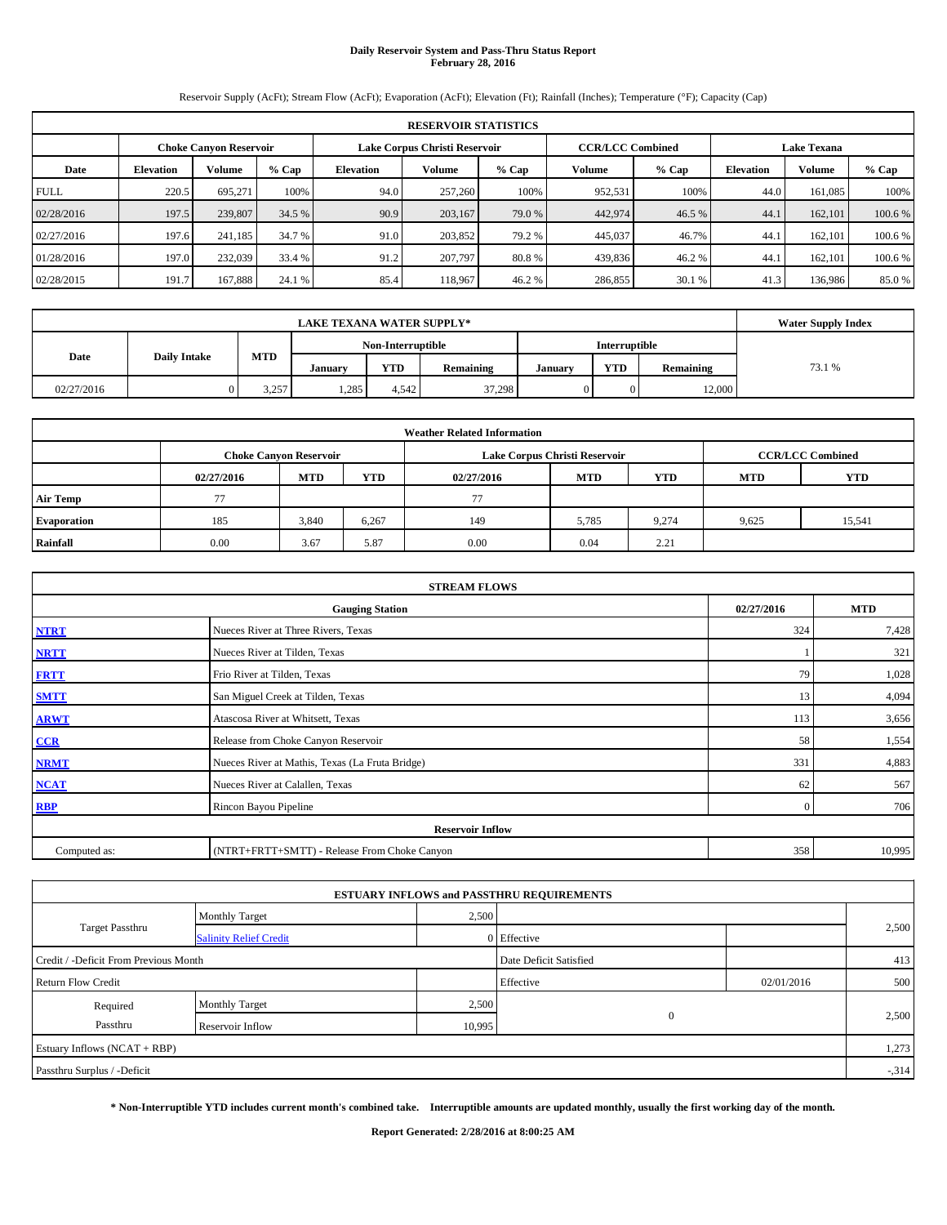# **Daily Reservoir System and Pass-Thru Status Report February 28, 2016**

Reservoir Supply (AcFt); Stream Flow (AcFt); Evaporation (AcFt); Elevation (Ft); Rainfall (Inches); Temperature (°F); Capacity (Cap)

|             | <b>RESERVOIR STATISTICS</b> |                               |         |                  |                               |         |         |                         |                    |               |         |  |
|-------------|-----------------------------|-------------------------------|---------|------------------|-------------------------------|---------|---------|-------------------------|--------------------|---------------|---------|--|
|             |                             | <b>Choke Canyon Reservoir</b> |         |                  | Lake Corpus Christi Reservoir |         |         | <b>CCR/LCC Combined</b> | <b>Lake Texana</b> |               |         |  |
| Date        | <b>Elevation</b>            | Volume                        | $%$ Cap | <b>Elevation</b> | Volume                        | $%$ Cap | Volume  | $%$ Cap                 | <b>Elevation</b>   | <b>Volume</b> | % Cap   |  |
| <b>FULL</b> | 220.5                       | 695.271                       | 100%    | 94.0             | 257,260                       | 100%    | 952,531 | 100%                    | 44.0               | 161,085       | 100%    |  |
| 02/28/2016  | 197.5                       | 239,807                       | 34.5 %  | 90.9             | 203,167                       | 79.0 %  | 442,974 | 46.5 %                  | 44.1               | 162,101       | 100.6 % |  |
| 02/27/2016  | 197.6                       | 241.185                       | 34.7 %  | 91.0             | 203.852                       | 79.2 %  | 445,037 | 46.7%                   | 44.1               | 162,101       | 100.6 % |  |
| 01/28/2016  | 197.0                       | 232,039                       | 33.4 %  | 91.2             | 207,797                       | 80.8%   | 439,836 | 46.2%                   | 44.1               | 162,101       | 100.6%  |  |
| 02/28/2015  | 191.7                       | 167.888                       | 24.1 %  | 85.4             | 118,967                       | 46.2%   | 286,855 | 30.1 %                  | 41.3               | 136,986       | 85.0 %  |  |

|            | <b>Water Supply Index</b> |            |         |                   |           |               |            |           |        |
|------------|---------------------------|------------|---------|-------------------|-----------|---------------|------------|-----------|--------|
|            |                           |            |         | Non-Interruptible |           | Interruptible |            |           |        |
| Date       | <b>Daily Intake</b>       | <b>MTD</b> | Januarv | YTD               | Remaining | Januarv       | <b>YTD</b> | Remaining | 73.1 % |
| 02/27/2016 |                           | 3,257      | 1,285   | 4.542             | 37,298    |               |            | 12,000    |        |

| <b>Weather Related Information</b> |            |                               |            |            |                               |                         |            |            |  |  |
|------------------------------------|------------|-------------------------------|------------|------------|-------------------------------|-------------------------|------------|------------|--|--|
|                                    |            | <b>Choke Canyon Reservoir</b> |            |            | Lake Corpus Christi Reservoir | <b>CCR/LCC Combined</b> |            |            |  |  |
|                                    | 02/27/2016 | <b>MTD</b>                    | <b>YTD</b> | 02/27/2016 | <b>MTD</b>                    | <b>YTD</b>              | <b>MTD</b> | <b>YTD</b> |  |  |
| <b>Air Temp</b>                    | 77         |                               |            | 77         |                               |                         |            |            |  |  |
| <b>Evaporation</b>                 | 185        | 3,840                         | 6,267      | 149        | 5,785                         | 9.274                   | 9,625      | 15,541     |  |  |
| Rainfall                           | 0.00       | 3.67                          | 5.87       | 0.00       | 0.04                          | 2.21                    |            |            |  |  |

| <b>STREAM FLOWS</b> |                                                 |                |        |  |  |  |  |  |  |
|---------------------|-------------------------------------------------|----------------|--------|--|--|--|--|--|--|
|                     | <b>Gauging Station</b>                          |                |        |  |  |  |  |  |  |
| <b>NTRT</b>         | Nueces River at Three Rivers, Texas             | 324            | 7,428  |  |  |  |  |  |  |
| <b>NRTT</b>         | Nueces River at Tilden, Texas                   |                | 321    |  |  |  |  |  |  |
| <b>FRTT</b>         | Frio River at Tilden, Texas                     | 79             | 1,028  |  |  |  |  |  |  |
| <b>SMTT</b>         | San Miguel Creek at Tilden, Texas               | 13             | 4,094  |  |  |  |  |  |  |
| <b>ARWT</b>         | Atascosa River at Whitsett, Texas               | 113            | 3,656  |  |  |  |  |  |  |
| CCR                 | Release from Choke Canyon Reservoir             | 58             | 1,554  |  |  |  |  |  |  |
| <b>NRMT</b>         | Nueces River at Mathis, Texas (La Fruta Bridge) | 331            | 4,883  |  |  |  |  |  |  |
| <b>NCAT</b>         | Nueces River at Calallen, Texas                 | 62             | 567    |  |  |  |  |  |  |
| <b>RBP</b>          | Rincon Bayou Pipeline                           | $\overline{0}$ | 706    |  |  |  |  |  |  |
|                     | <b>Reservoir Inflow</b>                         |                |        |  |  |  |  |  |  |
| Computed as:        | (NTRT+FRTT+SMTT) - Release From Choke Canyon    | 358            | 10,995 |  |  |  |  |  |  |

|                                                         |                       |        | <b>ESTUARY INFLOWS and PASSTHRU REQUIREMENTS</b> |            |        |  |
|---------------------------------------------------------|-----------------------|--------|--------------------------------------------------|------------|--------|--|
|                                                         | <b>Monthly Target</b> | 2,500  |                                                  |            |        |  |
| <b>Target Passthru</b><br><b>Salinity Relief Credit</b> |                       |        | 0 Effective                                      |            | 2,500  |  |
| Credit / -Deficit From Previous Month                   |                       |        | Date Deficit Satisfied                           |            | 413    |  |
| <b>Return Flow Credit</b>                               |                       |        | Effective                                        | 02/01/2016 | 500    |  |
| Required                                                | <b>Monthly Target</b> | 2,500  |                                                  |            |        |  |
| Passthru                                                | Reservoir Inflow      | 10,995 | $\mathbf{0}$                                     |            | 2,500  |  |
| Estuary Inflows $(NCAT + RBP)$                          |                       |        |                                                  |            | 1,273  |  |
| Passthru Surplus / -Deficit                             |                       |        |                                                  |            | $-314$ |  |